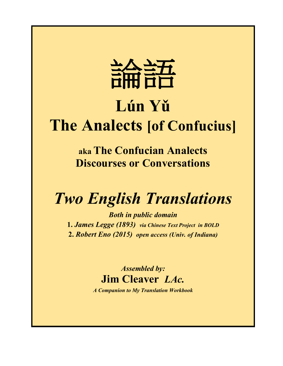

# **Lún Yǔ The Analects [of Confucius]**

**aka The Confucian Analects Discourses or Conversations**

## *Two English Translations*

*Both in public domain* **1.** *James Legge (1893) via Chinese Text Project in BOLD* **2.** *Robert Eno (2015) open access (Univ. of Indiana)*

> *Assembled by:* **Jim Cleaver** *LAc.*

*A Companion to My Translation Workbook*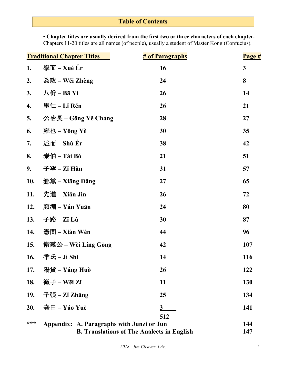## **Table of Contents**

**• Chapter titles are usually derived from the first two or three characters of each chapter.** Chapters 11-20 titles are all names (of people), usually a student of Master Kong (Confucius).

| <b>Traditional Chapter Titles</b> |                                                                                                       | <b># of Paragraphs</b>  | Page #       |
|-----------------------------------|-------------------------------------------------------------------------------------------------------|-------------------------|--------------|
| 1.                                | 學而 – Xué Ér                                                                                           | 16                      | $\mathbf{3}$ |
| 2.                                | 為政 – Wéi Zhèng                                                                                        | 24                      | 8            |
| 3.                                | 八佾-Bā Yì                                                                                              | 26                      | 14           |
| 4.                                | 里仁 – Lǐ Rén                                                                                           | 26                      | 21           |
| 5.                                | 公冶長 – Gōng Yě Cháng                                                                                   | 28                      | 27           |
| 6.                                | 雍也 – Yōng Yě                                                                                          | 30                      | 35           |
| 7.                                | 述而-Shù Ér                                                                                             | 38                      | 42           |
| 8.                                | 泰伯 – Tài Bó                                                                                           | 21                      | 51           |
| 9.                                | 子罕 $-Z$ ǐ Hǎn                                                                                         | 31                      | 57           |
| 10.                               | 鄉黨 – Xiāng Dǎng                                                                                       | 27                      | 65           |
| 11.                               | 先進-Xiān Jìn                                                                                           | 26                      | 72           |
| 12.                               | 顏淵 – Yán Yuān                                                                                         | 24                      | 80           |
| 13.                               | 子路- $Zi$ Lù                                                                                           | 30                      | 87           |
| 14.                               | 憲問 – Xiàn Wèn                                                                                         | 44                      | 96           |
| 15.                               | 衛靈公 – Wèi Líng Gōng                                                                                   | 42                      | 107          |
| <b>16.</b>                        | 季氏-Jì Shì                                                                                             | 14                      | 116          |
| 17.                               | 陽貨 – Yáng Huò                                                                                         | 26                      | 122          |
| 18.                               | 微子-Wēi Zǐ                                                                                             | 11                      | 130          |
| 19.                               | 子張 – Zǐ Zhāng                                                                                         | 25                      | 134          |
| 20.                               | 堯曰 – Yáo Yuē                                                                                          | $\overline{\mathbf{3}}$ | 141          |
| ***                               | 512<br>Appendix: A. Paragraphs with Junzi or Jun<br><b>B. Translations of The Analects in English</b> |                         |              |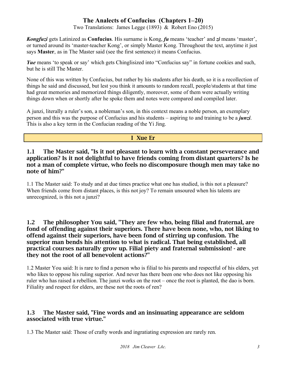Two Translations: James Legge (1893) & Robert Eno (2015)

*Kongfuzi* gets Latinized as **Confucius**. His surname is Kong, *fu* means 'teacher' and *zi* means 'master', or turned around its 'master-teacher Kong', or simply Master Kong. Throughout the text, anytime it just says **Master**, as in The Master said (see the first sentence) it means Confucius.

*Yue* means 'to speak or say' which gets Chinglisized into "Confucius say" in fortune cookies and such, but he is still The Master.

None of this was written by Confucius, but rather by his students after his death, so it is a recollection of things he said and discussed, but lest you think it amounts to random recall, people/students at that time had great memories and memorized things diligently, moreover, some of them were actually writing things down when or shortly after he spoke them and notes were compared and compiled later.

A junzi, literally a ruler's son, a nobleman's son, in this context means a noble person, an exemplary person and this was the purpose of Confucius and his students – aspiring to and training to be a *junzi*. This is also a key term in the Confucian reading of the Yi Jing.

#### I Xue Er

#### 1.1 The Master said, "Is it not pleasant to learn with a constant perseverance and application? Is it not delightful to have friends coming from distant quarters? Is he not a man of complete virtue, who feels no discomposure though men may take no note of him?"

1.1 The Master said: To study and at due times practice what one has studied, is this not a pleasure? When friends come from distant places, is this not joy? To remain unsoured when his talents are unrecognized, is this not a junzi?

#### 1.2 The philosopher You said, "They are few who, being filial and fraternal, are fond of offending against their superiors. There have been none, who, not liking to offend against their superiors, have been fond of stirring up confusion. The superior man bends his attention to what is radical. That being established, all practical courses naturally grow up. Filial piety and fraternal submission! - are they not the root of all benevolent actions?"

1.2 Master You said: It is rare to find a person who is filial to his parents and respectful of his elders, yet who likes to oppose his ruling superior. And never has there been one who does not like opposing his ruler who has raised a rebellion. The junzi works on the root – once the root is planted, the dao is born. Filiality and respect for elders, are these not the roots of ren?

#### 1.3 The Master said, "Fine words and an insinuating appearance are seldom associated with true virtue."

1.3 The Master said: Those of crafty words and ingratiating expression are rarely ren.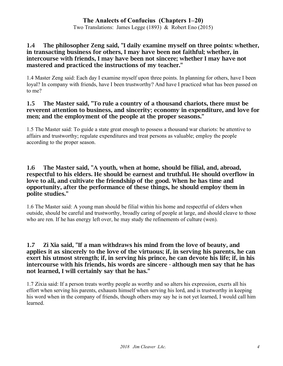Two Translations: James Legge (1893) & Robert Eno (2015)

#### 1.4 The philosopher Zeng said, "I daily examine myself on three points: whether, in transacting business for others, I may have been not faithful; whether, in intercourse with friends, I may have been not sincere; whether I may have not mastered and practiced the instructions of my teacher."

1.4 Master Zeng said: Each day I examine myself upon three points. In planning for others, have I been loyal? In company with friends, have I been trustworthy? And have I practiced what has been passed on to me?

#### 1.5 The Master said, "To rule a country of a thousand chariots, there must be reverent attention to business, and sincerity; economy in expenditure, and love for men; and the employment of the people at the proper seasons."

1.5 The Master said: To guide a state great enough to possess a thousand war chariots: be attentive to affairs and trustworthy; regulate expenditures and treat persons as valuable; employ the people according to the proper season.

#### 1.6 The Master said, "A youth, when at home, should be filial, and, abroad, respectful to his elders. He should be earnest and truthful. He should overflow in love to all, and cultivate the friendship of the good. When he has time and opportunity, after the performance of these things, he should employ them in polite studies."

1.6 The Master said: A young man should be filial within his home and respectful of elders when outside, should be careful and trustworthy, broadly caring of people at large, and should cleave to those who are ren. If he has energy left over, he may study the refinements of culture (wen).

#### 1.7 Zi Xia said, "If a man withdraws his mind from the love of beauty, and applies it as sincerely to the love of the virtuous; if, in serving his parents, he can exert his utmost strength; if, in serving his prince, he can devote his life; if, in his intercourse with his friends, his words are sincere - although men say that he has not learned, I will certainly say that he has."

1.7 Zixia said: If a person treats worthy people as worthy and so alters his expression, exerts all his effort when serving his parents, exhausts himself when serving his lord, and is trustworthy in keeping his word when in the company of friends, though others may say he is not yet learned, I would call him learned.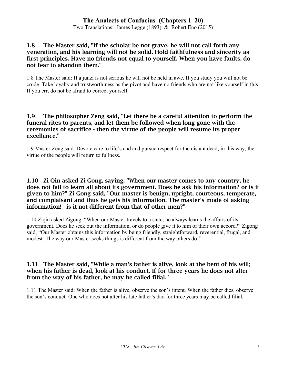#### 1.8 The Master said, "If the scholar be not grave, he will not call forth any veneration, and his learning will not be solid. Hold faithfulness and sincerity as first principles. Have no friends not equal to yourself. When you have faults, do not fear to abandon them."

1.8 The Master said: If a junzi is not serious he will not be held in awe. If you study you will not be crude. Take loyalty and trustworthiness as the pivot and have no friends who are not like yourself in this. If you err, do not be afraid to correct yourself.

#### 1.9 The philosopher Zeng said, "Let there be a careful attention to perform the funeral rites to parents, and let them be followed when long gone with the ceremonies of sacrifice - then the virtue of the people will resume its proper excellence."

1.9 Master Zeng said: Devote care to life's end and pursue respect for the distant dead; in this way, the virtue of the people will return to fullness.

#### 1.10 Zi Qin asked Zi Gong, saying, "When our master comes to any country, he does not fail to learn all about its government. Does he ask his information? or is it given to him?" Zi Gong said, "Our master is benign, upright, courteous, temperate, and complaisant and thus he gets his information. The master's mode of asking information! - is it not different from that of other men?"

1.10 Ziqin asked Zigong, "When our Master travels to a state, he always learns the affairs of its government. Does he seek out the information, or do people give it to him of their own accord?" Zigong said, "Our Master obtains this information by being friendly, straightforward, reverential, frugal, and modest. The way our Master seeks things is different from the way others do!"

#### 1.11 The Master said, "While a man's father is alive, look at the bent of his will; when his father is dead, look at his conduct. If for three years he does not alter from the way of his father, he may be called filial."

1.11 The Master said: When the father is alive, observe the son's intent. When the father dies, observe the son's conduct. One who does not alter his late father's dao for three years may be called filial.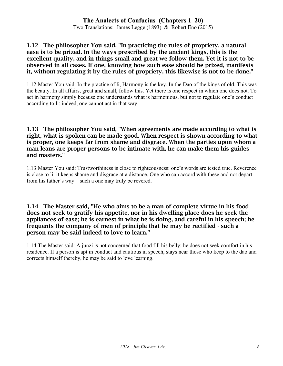Two Translations: James Legge (1893) & Robert Eno (2015)

#### 1.12 The philosopher You said, "In practicing the rules of propriety, a natural ease is to be prized. In the ways prescribed by the ancient kings, this is the excellent quality, and in things small and great we follow them. Yet it is not to be observed in all cases. If one, knowing how such ease should be prized, manifests it, without regulating it by the rules of propriety, this likewise is not to be done."

1.12 Master You said: In the practice of li, Harmony is the key. In the Dao of the kings of old, This was the beauty. In all affairs, great and small, follow this. Yet there is one respect in which one does not. To act in harmony simply because one understands what is harmonious, but not to regulate one's conduct according to li: indeed, one cannot act in that way.

#### 1.13 The philosopher You said, "When agreements are made according to what is right, what is spoken can be made good. When respect is shown according to what is proper, one keeps far from shame and disgrace. When the parties upon whom a man leans are proper persons to be intimate with, he can make them his guides and masters."

1.13 Master You said: Trustworthiness is close to righteousness: one's words are tested true. Reverence is close to li: it keeps shame and disgrace at a distance. One who can accord with these and not depart from his father's way – such a one may truly be revered.

#### 1.14 The Master said, "He who aims to be a man of complete virtue in his food does not seek to gratify his appetite, nor in his dwelling place does he seek the appliances of ease; he is earnest in what he is doing, and careful in his speech; he frequents the company of men of principle that he may be rectified - such a person may be said indeed to love to learn."

1.14 The Master said: A junzi is not concerned that food fill his belly; he does not seek comfort in his residence. If a person is apt in conduct and cautious in speech, stays near those who keep to the dao and corrects himself thereby, he may be said to love learning.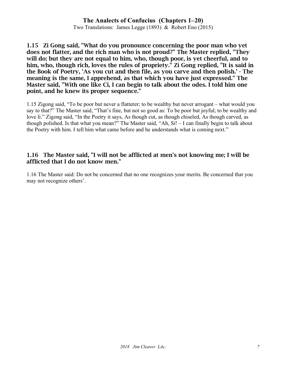Two Translations: James Legge (1893) & Robert Eno (2015)

1.15 Zi Gong said, "What do you pronounce concerning the poor man who yet does not flatter, and the rich man who is not proud?" The Master replied, "They will do; but they are not equal to him, who, though poor, is yet cheerful, and to him, who, though rich, loves the rules of propriety." Zi Gong replied, "It is said in the Book of Poetry, 'As you cut and then file, as you carve and then polish.' - The meaning is the same, I apprehend, as that which you have just expressed." The Master said, "With one like Ci, I can begin to talk about the odes. I told him one point, and he knew its proper sequence."

1.15 Zigong said, "To be poor but never a flatterer; to be wealthy but never arrogant – what would you say to that?" The Master said, "That's fine, but not so good as: To be poor but joyful; to be wealthy and love li." Zigong said, "In the Poetry it says, As though cut, as though chiseled, As though carved, as though polished. Is that what you mean?" The Master said, "Ah, Si! – I can finally begin to talk about the Poetry with him. I tell him what came before and he understands what is coming next."

#### 1.16 The Master said, "I will not be afflicted at men's not knowing me; I will be afflicted that I do not know men."

1.16 The Master said: Do not be concerned that no one recognizes your merits. Be concerned that you may not recognize others'.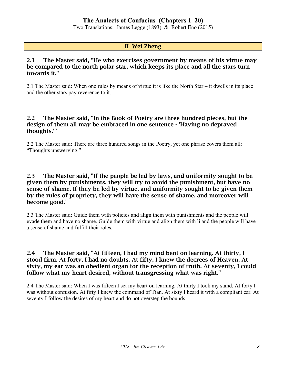Two Translations: James Legge (1893) & Robert Eno (2015)

#### II Wei Zheng

#### 2.1 The Master said, "He who exercises government by means of his virtue may be compared to the north polar star, which keeps its place and all the stars turn towards it."

2.1 The Master said: When one rules by means of virtue it is like the North Star – it dwells in its place and the other stars pay reverence to it.

#### 2.2 The Master said, "In the Book of Poetry are three hundred pieces, but the design of them all may be embraced in one sentence - 'Having no depraved thoughts.'"

2.2 The Master said: There are three hundred songs in the Poetry, yet one phrase covers them all: "Thoughts unswerving."

#### 2.3 The Master said, "If the people be led by laws, and uniformity sought to be given them by punishments, they will try to avoid the punishment, but have no sense of shame. If they be led by virtue, and uniformity sought to be given them by the rules of propriety, they will have the sense of shame, and moreover will become good."

2.3 The Master said: Guide them with policies and align them with punishments and the people will evade them and have no shame. Guide them with virtue and align them with li and the people will have a sense of shame and fulfill their roles.

#### 2.4 The Master said, "At fifteen, I had my mind bent on learning. At thirty, I stood firm. At forty, I had no doubts. At fifty, I knew the decrees of Heaven. At sixty, my ear was an obedient organ for the reception of truth. At seventy, I could follow what my heart desired, without transgressing what was right."

2.4 The Master said: When I was fifteen I set my heart on learning. At thirty I took my stand. At forty I was without confusion. At fifty I knew the command of Tian. At sixty I heard it with a compliant ear. At seventy I follow the desires of my heart and do not overstep the bounds.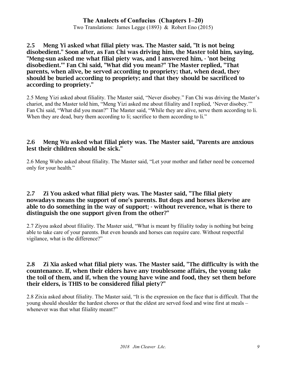#### **The Analects of Confucius (Chapters 1–20)** Two Translations: James Legge (1893) & Robert Eno (2015)

2.5 Meng Yi asked what filial piety was. The Master said, "It is not being disobedient." Soon after, as Fan Chi was driving him, the Master told him, saying, "Meng-sun asked me what filial piety was, and I answered him, - 'not being disobedient.'" Fan Chi said, "What did you mean?" The Master replied, "That parents, when alive, be served according to propriety; that, when dead, they should be buried according to propriety; and that they should be sacrificed to according to propriety."

2.5 Meng Yizi asked about filiality. The Master said, "Never disobey." Fan Chi was driving the Master's chariot, and the Master told him, "Meng Yizi asked me about filiality and I replied, 'Never disobey.'" Fan Chi said, "What did you mean?" The Master said, "While they are alive, serve them according to li. When they are dead, bury them according to li; sacrifice to them according to li."

#### 2.6 Meng Wu asked what filial piety was. The Master said, "Parents are anxious lest their children should be sick."

2.6 Meng Wubo asked about filiality. The Master said, "Let your mother and father need be concerned only for your health."

#### 2.7 Zi You asked what filial piety was. The Master said, "The filial piety nowadays means the support of one's parents. But dogs and horses likewise are able to do something in the way of support; - without reverence, what is there to distinguish the one support given from the other?"

2.7 Ziyou asked about filiality. The Master said, "What is meant by filiality today is nothing but being able to take care of your parents. But even hounds and horses can require care. Without respectful vigilance, what is the difference?"

#### 2.8 Zi Xia asked what filial piety was. The Master said, "The difficulty is with the countenance. If, when their elders have any troublesome affairs, the young take the toil of them, and if, when the young have wine and food, they set them before their elders, is THIS to be considered filial piety?"

2.8 Zixia asked about filiality. The Master said, "It is the expression on the face that is difficult. That the young should shoulder the hardest chores or that the eldest are served food and wine first at meals – whenever was that what filiality meant?"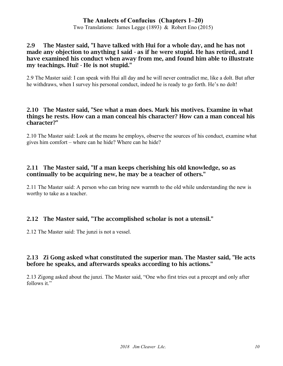Two Translations: James Legge (1893) & Robert Eno (2015)

#### 2.9 The Master said, "I have talked with Hui for a whole day, and he has not made any objection to anything I said - as if he were stupid. He has retired, and I have examined his conduct when away from me, and found him able to illustrate my teachings. Hui! - He is not stupid."

2.9 The Master said: I can speak with Hui all day and he will never contradict me, like a dolt. But after he withdraws, when I survey his personal conduct, indeed he is ready to go forth. He's no dolt!

#### 2.10 The Master said, "See what a man does. Mark his motives. Examine in what things he rests. How can a man conceal his character? How can a man conceal his character?"

2.10 The Master said: Look at the means he employs, observe the sources of his conduct, examine what gives him comfort – where can he hide? Where can he hide?

#### 2.11 The Master said, "If a man keeps cherishing his old knowledge, so as continually to be acquiring new, he may be a teacher of others."

2.11 The Master said: A person who can bring new warmth to the old while understanding the new is worthy to take as a teacher.

## 2.12 The Master said, "The accomplished scholar is not a utensil."

2.12 The Master said: The junzi is not a vessel.

#### 2.13 Zi Gong asked what constituted the superior man. The Master said, "He acts before he speaks, and afterwards speaks according to his actions."

2.13 Zigong asked about the junzi. The Master said, "One who first tries out a precept and only after follows it."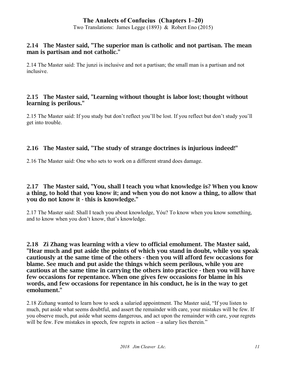Two Translations: James Legge (1893) & Robert Eno (2015)

#### 2.14 The Master said, "The superior man is catholic and not partisan. The mean man is partisan and not catholic."

2.14 The Master said: The junzi is inclusive and not a partisan; the small man is a partisan and not inclusive.

#### 2.15 The Master said, "Learning without thought is labor lost; thought without learning is perilous."

2.15 The Master said: If you study but don't reflect you'll be lost. If you reflect but don't study you'll get into trouble.

## 2.16 The Master said, "The study of strange doctrines is injurious indeed!"

2.16 The Master said: One who sets to work on a different strand does damage.

#### 2.17 The Master said, "You, shall I teach you what knowledge is? When you know a thing, to hold that you know it; and when you do not know a thing, to allow that you do not know it - this is knowledge."

2.17 The Master said: Shall I teach you about knowledge, Yóu? To know when you know something, and to know when you don't know, that's knowledge.

2.18 Zi Zhang was learning with a view to official emolument. The Master said, "Hear much and put aside the points of which you stand in doubt, while you speak cautiously at the same time of the others - then you will afford few occasions for blame. See much and put aside the things which seem perilous, while you are cautious at the same time in carrying the others into practice - then you will have few occasions for repentance. When one gives few occasions for blame in his words, and few occasions for repentance in his conduct, he is in the way to get emolument."

2.18 Zizhang wanted to learn how to seek a salaried appointment. The Master said, "If you listen to much, put aside what seems doubtful, and assert the remainder with care, your mistakes will be few. If you observe much, put aside what seems dangerous, and act upon the remainder with care, your regrets will be few. Few mistakes in speech, few regrets in action – a salary lies therein."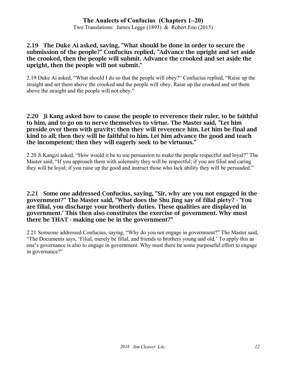Two Translations: James Legge (1893) & Robert Eno (2015)

#### 2.19 The Duke Ai asked, saying, "What should be done in order to secure the submission of the people?" Confucius replied, "Advance the upright and set aside the crooked, then the people will submit. Advance the crooked and set aside the upright, then the people will not submit."

2.19 Duke Ai asked, "What should I do so that the people will obey?" Confucius replied, "Raise up the straight and set them above the crooked and the people will obey. Raise up the crooked and set them above the straight and the people will not obey."

#### 2.20 Ji Kang asked how to cause the people to reverence their ruler, to be faithful to him, and to go on to nerve themselves to virtue. The Master said, "Let him preside over them with gravity; then they will reverence him. Let him be final and kind to all; then they will be faithful to him. Let him advance the good and teach the incompetent; then they will eagerly seek to be virtuous."

2.20 Ji Kangzi asked, "How would it be to use persuasion to make the people respectful and loyal?" The Master said, "If you approach them with solemnity they will be respectful; if you are filial and caring they will be loyal; if you raise up the good and instruct those who lack ability they will be persuaded."

#### 2.21 Some one addressed Confucius, saying, "Sir, why are you not engaged in the government?" The Master said, "What does the Shu Jing say of filial piety? - 'You are filial, you discharge your brotherly duties. These qualities are displayed in government.' This then also constitutes the exercise of government. Why must there be THAT - making one be in the government?"

2.21 Someone addressed Confucius, saying, "Why do you not engage in government?" The Master said, "The Documents says, 'Filial, merely be filial, and friends to brothers young and old.' To apply this as one's governance is also to engage in government. Why must there be some purposeful effort to engage in governance?"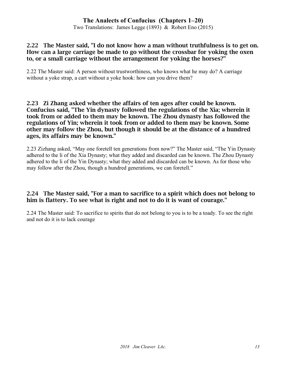Two Translations: James Legge (1893) & Robert Eno (2015)

#### 2.22 The Master said, "I do not know how a man without truthfulness is to get on. How can a large carriage be made to go without the crossbar for yoking the oxen to, or a small carriage without the arrangement for yoking the horses?"

2.22 The Master said: A person without trustworthiness, who knows what he may do? A carriage without a yoke strap, a cart without a yoke hook: how can you drive them?

#### 2.23 Zi Zhang asked whether the affairs of ten ages after could be known. Confucius said, "The Yin dynasty followed the regulations of the Xia; wherein it took from or added to them may be known. The Zhou dynasty has followed the regulations of Yin; wherein it took from or added to them may be known. Some other may follow the Zhou, but though it should be at the distance of a hundred ages, its affairs may be known."

2.23 Zizhang asked, "May one foretell ten generations from now?" The Master said, "The Yin Dynasty adhered to the li of the Xia Dynasty; what they added and discarded can be known. The Zhou Dynasty adhered to the li of the Yin Dynasty; what they added and discarded can be known. As for those who may follow after the Zhou, though a hundred generations, we can foretell."

#### 2.24 The Master said, "For a man to sacrifice to a spirit which does not belong to him is flattery. To see what is right and not to do it is want of courage."

2.24 The Master said: To sacrifice to spirits that do not belong to you is to be a toady. To see the right and not do it is to lack courage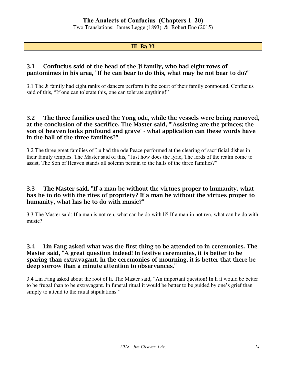Two Translations: James Legge (1893) & Robert Eno (2015)

#### III Ba Yi

#### 3.1 Confucius said of the head of the Ji family, who had eight rows of pantomimes in his area, "If he can bear to do this, what may he not bear to do?"

3.1 The Ji family had eight ranks of dancers perform in the court of their family compound. Confucius said of this, "If one can tolerate this, one can tolerate anything!"

#### 3.2 The three families used the Yong ode, while the vessels were being removed, at the conclusion of the sacrifice. The Master said, "'Assisting are the princes; the son of heaven looks profound and grave' - what application can these words have in the hall of the three families?"

3.2 The three great families of Lu had the ode Peace performed at the clearing of sacrificial dishes in their family temples. The Master said of this, "Just how does the lyric, The lords of the realm come to assist, The Son of Heaven stands all solemn pertain to the halls of the three families?"

#### 3.3 The Master said, "If a man be without the virtues proper to humanity, what has he to do with the rites of propriety? If a man be without the virtues proper to humanity, what has he to do with music?"

3.3 The Master said: If a man is not ren, what can he do with li? If a man in not ren, what can he do with music?

#### 3.4 Lin Fang asked what was the first thing to be attended to in ceremonies. The Master said, "A great question indeed! In festive ceremonies, it is better to be sparing than extravagant. In the ceremonies of mourning, it is better that there be deep sorrow than a minute attention to observances."

3.4 Lin Fang asked about the root of li. The Master said, "An important question! In li it would be better to be frugal than to be extravagant. In funeral ritual it would be better to be guided by one's grief than simply to attend to the ritual stipulations."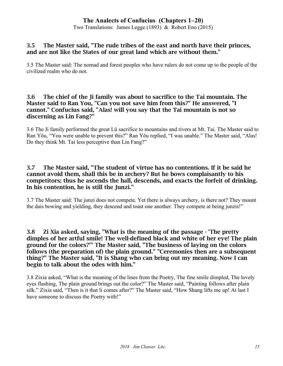Two Translations: James Legge (1893) & Robert Eno (2015)

#### 3.5 The Master said, "The rude tribes of the east and north have their princes, and are not like the States of our great land which are without them."

3.5 The Master said: The nomad and forest peoples who have rulers do not come up to the people of the civilized realm who do not.

#### 3.6 The chief of the Ji family was about to sacrifice to the Tai mountain. The Master said to Ran You, "Can you not save him from this?" He answered, "I cannot." Confucius said, "Alas! will you say that the Tai mountain is not so discerning as Lin Fang?"

3.6 The Ji family performed the great Lü sacrifice to mountains and rivers at Mt. Tai. The Master said to Ran Yǒu, "You were unable to prevent this?" Ran Yǒu replied, "I was unable." The Master said, "Alas! Do they think Mt. Tai less perceptive than Lin Fang?"

#### 3.7 The Master said, "The student of virtue has no contentions. If it be said he cannot avoid them, shall this be in archery? But he bows complaisantly to his competitors; thus he ascends the hall, descends, and exacts the forfeit of drinking. In his contention, he is still the Junzi."

3.7 The Master said: The junzi does not compete. Yet there is always archery, is there not? They mount the dais bowing and yielding, they descend and toast one another. They compete at being junzis!"

3.8 Zi Xia asked, saying, "What is the meaning of the passage - 'The pretty dimples of her artful smile! The well-defined black and white of her eye! The plain ground for the colors?'" The Master said, "The business of laying on the colors follows (the preparation of) the plain ground." "Ceremonies then are a subsequent thing?" The Master said, "It is Shang who can bring out my meaning. Now I can begin to talk about the odes with him."

3.8 Zixia asked, "What is the meaning of the lines from the Poetry, The fine smile dimpled, The lovely eyes flashing, The plain ground brings out the color?" The Master said, "Painting follows after plain silk." Zixia said, "Then is it that li comes after?" The Master said, "How Shang lifts me up! At last I have someone to discuss the Poetry with!"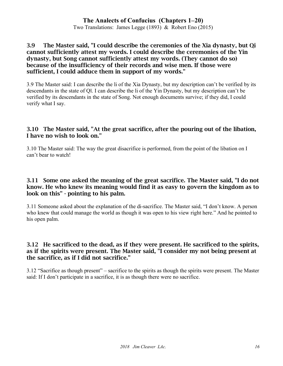Two Translations: James Legge (1893) & Robert Eno (2015)

#### 3.9 The Master said, "I could describe the ceremonies of the Xia dynasty, but Qi cannot sufficiently attest my words. I could describe the ceremonies of the Yin dynasty, but Song cannot sufficiently attest my words. (They cannot do so) because of the insufficiency of their records and wise men. If those were sufficient, I could adduce them in support of my words."

3.9 The Master said: I can describe the li of the Xia Dynasty, but my description can't be verified by its descendants in the state of Qĭ. I can describe the li of the Yin Dynasty, but my description can't be verified by its descendants in the state of Song. Not enough documents survive; if they did, I could verify what I say.

#### 3.10 The Master said, "At the great sacrifice, after the pouring out of the libation, I have no wish to look on."

3.10 The Master said: The way the great disacrifice is performed, from the point of the libation on I can't bear to watch!

#### 3.11 Some one asked the meaning of the great sacrifice. The Master said, "I do not know. He who knew its meaning would find it as easy to govern the kingdom as to look on this" - pointing to his palm.

3.11 Someone asked about the explanation of the di-sacrifice. The Master said, "I don't know. A person who knew that could manage the world as though it was open to his view right here." And he pointed to his open palm.

#### 3.12 He sacrificed to the dead, as if they were present. He sacrificed to the spirits, as if the spirits were present. The Master said, "I consider my not being present at the sacrifice, as if I did not sacrifice."

3.12 "Sacrifice as though present" – sacrifice to the spirits as though the spirits were present. The Master said: If I don't participate in a sacrifice, it is as though there were no sacrifice.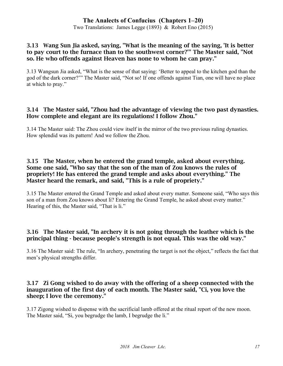Two Translations: James Legge (1893) & Robert Eno (2015)

#### 3.13 Wang Sun Jia asked, saying, "What is the meaning of the saying, 'It is better to pay court to the furnace than to the southwest corner?'" The Master said, "Not so. He who offends against Heaven has none to whom he can pray."

3.13 Wangsun Jia asked, "What is the sense of that saying: 'Better to appeal to the kitchen god than the god of the dark corner?'" The Master said, "Not so! If one offends against Tian, one will have no place at which to pray."

#### 3.14 The Master said, "Zhou had the advantage of viewing the two past dynasties. How complete and elegant are its regulations! I follow Zhou."

3.14 The Master said: The Zhou could view itself in the mirror of the two previous ruling dynasties. How splendid was its pattern! And we follow the Zhou.

#### 3.15 The Master, when he entered the grand temple, asked about everything. Some one said, "Who say that the son of the man of Zou knows the rules of propriety! He has entered the grand temple and asks about everything." The Master heard the remark, and said, "This is a rule of propriety."

3.15 The Master entered the Grand Temple and asked about every matter. Someone said, "Who says this son of a man from Zou knows about li? Entering the Grand Temple, he asked about every matter." Hearing of this, the Master said, "That is li."

#### 3.16 The Master said, "In archery it is not going through the leather which is the principal thing - because people's strength is not equal. This was the old way."

3.16 The Master said: The rule, "In archery, penetrating the target is not the object," reflects the fact that men's physical strengths differ.

#### 3.17 Zi Gong wished to do away with the offering of a sheep connected with the inauguration of the first day of each month. The Master said, "Ci, you love the sheep; I love the ceremony."

3.17 Zigong wished to dispense with the sacrificial lamb offered at the ritual report of the new moon. The Master said, "Si, you begrudge the lamb, I begrudge the li."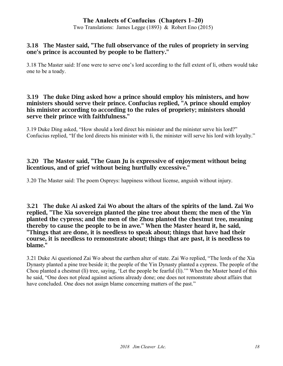Two Translations: James Legge (1893) & Robert Eno (2015)

#### 3.18 The Master said, "The full observance of the rules of propriety in serving one's prince is accounted by people to be flattery."

3.18 The Master said: If one were to serve one's lord according to the full extent of li, others would take one to be a toady.

#### 3.19 The duke Ding asked how a prince should employ his ministers, and how ministers should serve their prince. Confucius replied, "A prince should employ his minister according to according to the rules of propriety; ministers should serve their prince with faithfulness."

3.19 Duke Ding asked, "How should a lord direct his minister and the minister serve his lord?" Confucius replied, "If the lord directs his minister with li, the minister will serve his lord with loyalty."

### 3.20 The Master said, "The Guan Ju is expressive of enjoyment without being licentious, and of grief without being hurtfully excessive."

3.20 The Master said: The poem Ospreys: happiness without license, anguish without injury.

3.21 The duke Ai asked Zai Wo about the altars of the spirits of the land. Zai Wo replied, "The Xia sovereign planted the pine tree about them; the men of the Yin planted the cypress; and the men of the Zhou planted the chestnut tree, meaning thereby to cause the people to be in awe." When the Master heard it, he said, "Things that are done, it is needless to speak about; things that have had their course, it is needless to remonstrate about; things that are past, it is needless to blame."

3.21 Duke Ai questioned Zai Wo about the earthen alter of state. Zai Wo replied, "The lords of the Xia Dynasty planted a pine tree beside it; the people of the Yin Dynasty planted a cypress. The people of the Chou planted a chestnut (lì) tree, saying, 'Let the people be fearful (lì).'" When the Master heard of this he said, "One does not plead against actions already done; one does not remonstrate about affairs that have concluded. One does not assign blame concerning matters of the past."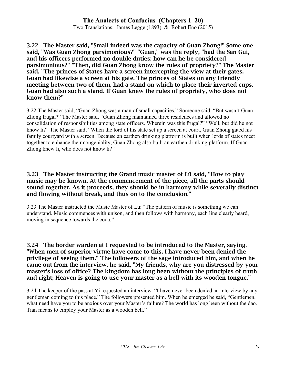Two Translations: James Legge (1893) & Robert Eno (2015)

3.22 The Master said, "Small indeed was the capacity of Guan Zhong!" Some one said, "Was Guan Zhong parsimonious?" "Guan," was the reply, "had the San Gui, and his officers performed no double duties; how can he be considered parsimonious?" "Then, did Guan Zhong know the rules of propriety?" The Master said, "The princes of States have a screen intercepting the view at their gates. Guan had likewise a screen at his gate. The princes of States on any friendly meeting between two of them, had a stand on which to place their inverted cups. Guan had also such a stand. If Guan knew the rules of propriety, who does not know them?"

3.22 The Master said, "Guan Zhong was a man of small capacities." Someone said, "But wasn't Guan Zhong frugal?" The Master said, "Guan Zhong maintained three residences and allowed no consolidation of responsibilities among state officers. Wherein was this frugal?" "Well, but did he not know li?" The Master said, "When the lord of his state set up a screen at court, Guan Zhong gated his family courtyard with a screen. Because an earthen drinking platform is built when lords of states meet together to enhance their congeniality, Guan Zhong also built an earthen drinking platform. If Guan Zhong knew li, who does not know li?"

#### 3.23 The Master instructing the Grand music master of Lü said, "How to play music may be known. At the commencement of the piece, all the parts should sound together. As it proceeds, they should be in harmony while severally distinct and flowing without break, and thus on to the conclusion."

3.23 The Master instructed the Music Master of Lu: "The pattern of music is something we can understand. Music commences with unison, and then follows with harmony, each line clearly heard, moving in sequence towards the coda."

#### 3.24 The border warden at I requested to be introduced to the Master, saying, "When men of superior virtue have come to this, I have never been denied the privilege of seeing them." The followers of the sage introduced him, and when he came out from the interview, he said, "My friends, why are you distressed by your master's loss of office? The kingdom has long been without the principles of truth and right; Heaven is going to use your master as a bell with its wooden tongue."

3.24 The keeper of the pass at Yi requested an interview. "I have never been denied an interview by any gentleman coming to this place." The followers presented him. When he emerged he said, "Gentlemen, what need have you to be anxious over your Master's failure? The world has long been without the dao. Tian means to employ your Master as a wooden bell."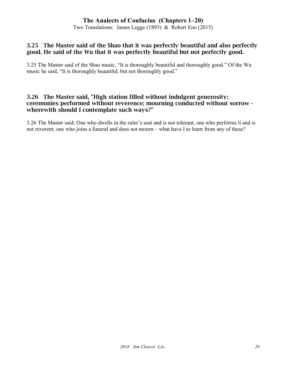Two Translations: James Legge (1893) & Robert Eno (2015)

#### 3.25 The Master said of the Shao that it was perfectly beautiful and also perfectly good. He said of the Wu that it was perfectly beautiful but not perfectly good.

3.25 The Master said of the Shao music, "It is thoroughly beautiful and thoroughly good." Of the Wu music he said, "It is thoroughly beautiful, but not thoroughly good."

#### 3.26 The Master said, "High station filled without indulgent generosity; ceremonies performed without reverence; mourning conducted without sorrow wherewith should I contemplate such ways?"

3.26 The Master said: One who dwells in the ruler's seat and is not tolerant, one who performs li and is not reverent, one who joins a funeral and does not mourn – what have I to learn from any of these?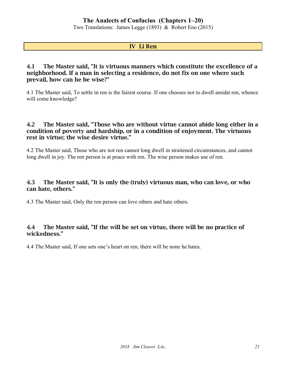Two Translations: James Legge (1893) & Robert Eno (2015)

#### IV Li Ren

#### 4.1 The Master said, "It is virtuous manners which constitute the excellence of a neighborhood. If a man in selecting a residence, do not fix on one where such prevail, how can he be wise?"

4.1 The Master said, To settle in ren is the fairest course. If one chooses not to dwell amidst ren, whence will come knowledge?

#### 4.2 The Master said, "Those who are without virtue cannot abide long either in a condition of poverty and hardship, or in a condition of enjoyment. The virtuous rest in virtue; the wise desire virtue."

4.2 The Master said, Those who are not ren cannot long dwell in straitened circumstances, and cannot long dwell in joy. The ren person is at peace with ren. The wise person makes use of ren.

#### 4.3 The Master said, "It is only the (truly) virtuous man, who can love, or who can hate, others."

4.3 The Master said, Only the ren person can love others and hate others.

#### 4.4 The Master said, "If the will be set on virtue, there will be no practice of wickedness."

4.4 The Master said, If one sets one's heart on ren, there will be none he hates.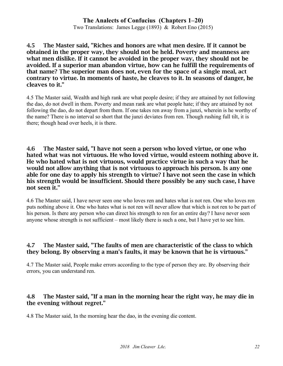Two Translations: James Legge (1893) & Robert Eno (2015)

4.5 The Master said, "Riches and honors are what men desire. If it cannot be obtained in the proper way, they should not be held. Poverty and meanness are what men dislike. If it cannot be avoided in the proper way, they should not be avoided. If a superior man abandon virtue, how can he fulfill the requirements of that name? The superior man does not, even for the space of a single meal, act contrary to virtue. In moments of haste, he cleaves to it. In seasons of danger, he cleaves to it."

4.5 The Master said, Wealth and high rank are what people desire; if they are attained by not following the dao, do not dwell in them. Poverty and mean rank are what people hate; if they are attained by not following the dao, do not depart from them. If one takes ren away from a junzi, wherein is he worthy of the name? There is no interval so short that the junzi deviates from ren. Though rushing full tilt, it is there; though head over heels, it is there.

4.6 The Master said, "I have not seen a person who loved virtue, or one who hated what was not virtuous. He who loved virtue, would esteem nothing above it. He who hated what is not virtuous, would practice virtue in such a way that he would not allow anything that is not virtuous to approach his person. Is any one able for one day to apply his strength to virtue? I have not seen the case in which his strength would be insufficient. Should there possibly be any such case, I have not seen it."

4.6 The Master said, I have never seen one who loves ren and hates what is not ren. One who loves ren puts nothing above it. One who hates what is not ren will never allow that which is not ren to be part of his person. Is there any person who can direct his strength to ren for an entire day? I have never seen anyone whose strength is not sufficient – most likely there is such a one, but I have yet to see him.

#### 4.7 The Master said, "The faults of men are characteristic of the class to which they belong. By observing a man's faults, it may be known that he is virtuous."

4.7 The Master said, People make errors according to the type of person they are. By observing their errors, you can understand ren.

#### 4.8 The Master said, "If a man in the morning hear the right way, he may die in the evening without regret."

4.8 The Master said, In the morning hear the dao, in the evening die content.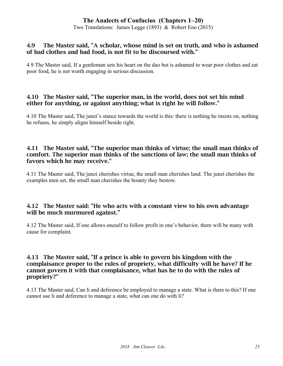Two Translations: James Legge (1893) & Robert Eno (2015)

#### 4.9 The Master said, "A scholar, whose mind is set on truth, and who is ashamed of bad clothes and bad food, is not fit to be discoursed with."

4.9 The Master said, If a gentleman sets his heart on the dao but is ashamed to wear poor clothes and eat poor food, he is not worth engaging in serious discussion.

#### 4.10 The Master said, "The superior man, in the world, does not set his mind either for anything, or against anything; what is right he will follow."

4.10 The Master said, The junzi's stance towards the world is this: there is nothing he insists on, nothing he refuses, he simply aligns himself beside right.

#### 4.11 The Master said, "The superior man thinks of virtue; the small man thinks of comfort. The superior man thinks of the sanctions of law; the small man thinks of favors which he may receive."

4.11 The Master said, The junzi cherishes virtue, the small man cherishes land. The junzi cherishes the examples men set, the small man cherishes the bounty they bestow.

#### 4.12 The Master said: "He who acts with a constant view to his own advantage will be much murmured against."

4.12 The Master said, If one allows oneself to follow profit in one's behavior, there will be many with cause for complaint.

#### 4.13 The Master said, "If a prince is able to govern his kingdom with the complaisance proper to the rules of propriety, what difficulty will he have? If he cannot govern it with that complaisance, what has he to do with the rules of propriety?"

4.13 The Master said, Can li and deference be employed to manage a state. What is there to this? If one cannot use li and deference to manage a state, what can one do with li?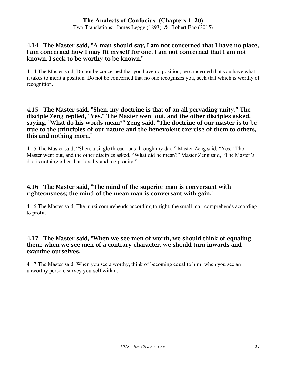Two Translations: James Legge (1893) & Robert Eno (2015)

#### 4.14 The Master said, "A man should say, I am not concerned that I have no place, I am concerned how I may fit myself for one. I am not concerned that I am not known, I seek to be worthy to be known."

4.14 The Master said, Do not be concerned that you have no position, be concerned that you have what it takes to merit a position. Do not be concerned that no one recognizes you, seek that which is worthy of recognition.

#### 4.15 The Master said, "Shen, my doctrine is that of an all-pervading unity." The disciple Zeng replied, "Yes." The Master went out, and the other disciples asked, saying, "What do his words mean?" Zeng said, "The doctrine of our master is to be true to the principles of our nature and the benevolent exercise of them to others, this and nothing more."

4.15 The Master said, "Shen, a single thread runs through my dao." Master Zeng said, "Yes." The Master went out, and the other disciples asked, "What did he mean?" Master Zeng said, "The Master's dao is nothing other than loyalty and reciprocity."

#### 4.16 The Master said, "The mind of the superior man is conversant with righteousness; the mind of the mean man is conversant with gain."

4.16 The Master said, The junzi comprehends according to right, the small man comprehends according to profit.

#### 4.17 The Master said, "When we see men of worth, we should think of equaling them; when we see men of a contrary character, we should turn inwards and examine ourselves."

4.17 The Master said, When you see a worthy, think of becoming equal to him; when you see an unworthy person, survey yourself within.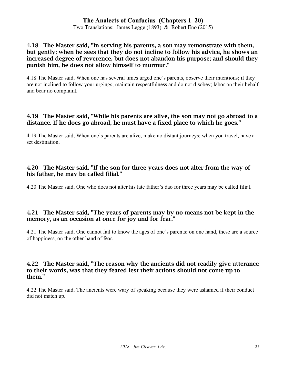Two Translations: James Legge (1893) & Robert Eno (2015)

#### 4.18 The Master said, "In serving his parents, a son may remonstrate with them, but gently; when he sees that they do not incline to follow his advice, he shows an increased degree of reverence, but does not abandon his purpose; and should they punish him, he does not allow himself to murmur."

4.18 The Master said, When one has several times urged one's parents, observe their intentions; if they are not inclined to follow your urgings, maintain respectfulness and do not disobey; labor on their behalf and bear no complaint.

#### 4.19 The Master said, "While his parents are alive, the son may not go abroad to a distance. If he does go abroad, he must have a fixed place to which he goes."

4.19 The Master said, When one's parents are alive, make no distant journeys; when you travel, have a set destination.

#### 4.20 The Master said, "If the son for three years does not alter from the way of his father, he may be called filial."

4.20 The Master said, One who does not alter his late father's dao for three years may be called filial.

#### 4.21 The Master said, "The years of parents may by no means not be kept in the memory, as an occasion at once for joy and for fear."

4.21 The Master said, One cannot fail to know the ages of one's parents: on one hand, these are a source of happiness, on the other hand of fear.

#### 4.22 The Master said, "The reason why the ancients did not readily give utterance to their words, was that they feared lest their actions should not come up to them."

4.22 The Master said, The ancients were wary of speaking because they were ashamed if their conduct did not match up.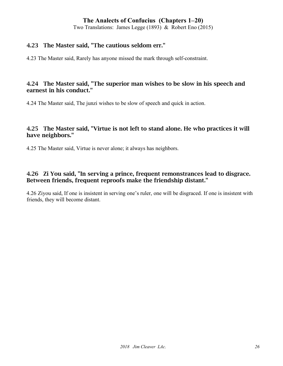Two Translations: James Legge (1893) & Robert Eno (2015)

#### 4.23 The Master said, "The cautious seldom err."

4.23 The Master said, Rarely has anyone missed the mark through self-constraint.

#### 4.24 The Master said, "The superior man wishes to be slow in his speech and earnest in his conduct."

4.24 The Master said, The junzi wishes to be slow of speech and quick in action.

#### 4.25 The Master said, "Virtue is not left to stand alone. He who practices it will have neighbors."

4.25 The Master said, Virtue is never alone; it always has neighbors.

#### 4.26 Zi You said, "In serving a prince, frequent remonstrances lead to disgrace. Between friends, frequent reproofs make the friendship distant."

4.26 Ziyou said, If one is insistent in serving one's ruler, one will be disgraced. If one is insistent with friends, they will become distant.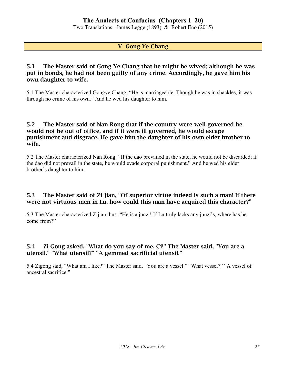Two Translations: James Legge (1893) & Robert Eno (2015)

#### V Gong Ye Chang

#### 5.1 The Master said of Gong Ye Chang that he might be wived; although he was put in bonds, he had not been guilty of any crime. Accordingly, he gave him his own daughter to wife.

5.1 The Master characterized Gongye Chang: "He is marriageable. Though he was in shackles, it was through no crime of his own." And he wed his daughter to him.

#### 5.2 The Master said of Nan Rong that if the country were well governed he would not be out of office, and if it were ill governed, he would escape punishment and disgrace. He gave him the daughter of his own elder brother to wife.

5.2 The Master characterized Nan Rong: "If the dao prevailed in the state, he would not be discarded; if the dao did not prevail in the state, he would evade corporal punishment." And he wed his elder brother's daughter to him.

#### 5.3 The Master said of Zi Jian, "Of superior virtue indeed is such a man! If there were not virtuous men in Lu, how could this man have acquired this character?"

5.3 The Master characterized Zijian thus: "He is a junzi! If Lu truly lacks any junzi's, where has he come from?"

#### 5.4 Zi Gong asked, "What do you say of me, Ci!" The Master said, "You are a utensil." "What utensil?" "A gemmed sacrificial utensil."

5.4 Zigong said, "What am I like?" The Master said, "You are a vessel." "What vessel?" "A vessel of ancestral sacrifice."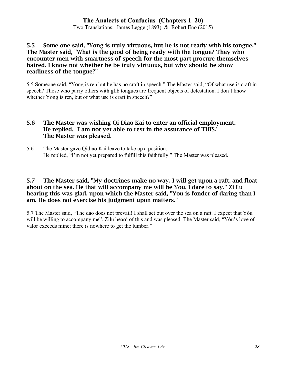Two Translations: James Legge (1893) & Robert Eno (2015)

#### 5.5 Some one said, "Yong is truly virtuous, but he is not ready with his tongue." The Master said, "What is the good of being ready with the tongue? They who encounter men with smartness of speech for the most part procure themselves hatred. I know not whether he be truly virtuous, but why should he show readiness of the tongue?"

5.5 Someone said, "Yong is ren but he has no craft in speech." The Master said, "Of what use is craft in speech? Those who parry others with glib tongues are frequent objects of detestation. I don't know whether Yong is ren, but of what use is craft in speech?"

#### 5.6 The Master was wishing Qi Diao Kai to enter an official employment. He replied, "I am not yet able to rest in the assurance of THIS." The Master was pleased.

5.6 The Master gave Qidiao Kai leave to take up a position. He replied, "I'm not yet prepared to fulfill this faithfully." The Master was pleased.

#### 5.7 The Master said, "My doctrines make no way. I will get upon a raft, and float about on the sea. He that will accompany me will be You, I dare to say." Zi Lu hearing this was glad, upon which the Master said, "You is fonder of daring than I am. He does not exercise his judgment upon matters."

5.7 The Master said, "The dao does not prevail! I shall set out over the sea on a raft. I expect that Yóu will be willing to accompany me". Zilu heard of this and was pleased. The Master said, "Yóu's love of valor exceeds mine; there is nowhere to get the lumber."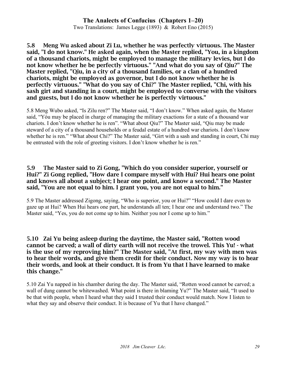Two Translations: James Legge (1893) & Robert Eno (2015)

#### 5.8 Meng Wu asked about Zi Lu, whether he was perfectly virtuous. The Master said, "I do not know." He asked again, when the Master replied, "You, in a kingdom of a thousand chariots, might be employed to manage the military levies, but I do not know whether he be perfectly virtuous." "And what do you say of Qiu?" The Master replied, "Qiu, in a city of a thousand families, or a clan of a hundred chariots, might be employed as governor, but I do not know whether he is perfectly virtuous." "What do you say of Chi?" The Master replied, "Chi, with his sash girt and standing in a court, might be employed to converse with the visitors and guests, but I do not know whether he is perfectly virtuous."

5.8 Meng Wubo asked, "Is Zilu ren?" The Master said, "I don't know." When asked again, the Master said, "Yóu may be placed in charge of managing the military exactions for a state of a thousand war chariots. I don't know whether he is ren". "What about Qiu?" The Master said, "Qiu may be made steward of a city of a thousand households or a feudal estate of a hundred war chariots. I don't know whether he is ren." "What about Chi?" The Master said, "Girt with a sash and standing in court, Chi may be entrusted with the role of greeting visitors. I don't know whether he is ren."

#### 5.9 The Master said to Zi Gong, "Which do you consider superior, yourself or Hui?" Zi Gong replied, "How dare I compare myself with Hui? Hui hears one point and knows all about a subject; I hear one point, and know a second." The Master said, "You are not equal to him. I grant you, you are not equal to him."

5.9 The Master addressed Zigong, saying, "Who is superior, you or Hui?" "How could I dare even to gaze up at Hui? When Hui hears one part, he understands all ten; I hear one and understand two." The Master said, "Yes, you do not come up to him. Neither you nor I come up to him."

#### 5.10 Zai Yu being asleep during the daytime, the Master said, "Rotten wood cannot be carved; a wall of dirty earth will not receive the trowel. This Yu! - what is the use of my reproving him?" The Master said, "At first, my way with men was to hear their words, and give them credit for their conduct. Now my way is to hear their words, and look at their conduct. It is from Yu that I have learned to make this change."

5.10 Zai Yu napped in his chamber during the day. The Master said, "Rotten wood cannot be carved; a wall of dung cannot be whitewashed. What point is there in blaming Yu?" The Master said, "It used to be that with people, when I heard what they said I trusted their conduct would match. Now I listen to what they say and observe their conduct. It is because of Yu that I have changed."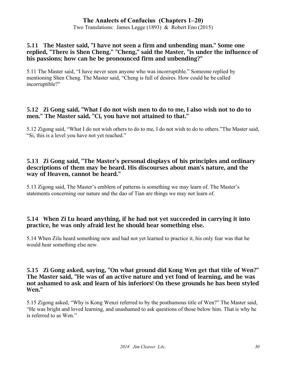Two Translations: James Legge (1893) & Robert Eno (2015)

#### 5.11 The Master said, "I have not seen a firm and unbending man." Some one replied, "There is Shen Cheng." "Cheng," said the Master, "is under the influence of his passions; how can he be pronounced firm and unbending?"

5.11 The Master said, "I have never seen anyone who was incorruptible." Someone replied by mentioning Shen Cheng. The Master said, "Cheng is full of desires. How could he be called incorruptible?"

## 5.12 Zi Gong said, "What I do not wish men to do to me, I also wish not to do to men." The Master said, "Ci, you have not attained to that."

5.12 Zigong said, "What I do not wish others to do to me, I do not wish to do to others."The Master said, "Si, this is a level you have not yet reached."

#### 5.13 Zi Gong said, "The Master's personal displays of his principles and ordinary descriptions of them may be heard. His discourses about man's nature, and the way of Heaven, cannot be heard."

5.13 Zigong said, The Master's emblem of patterns is something we may learn of. The Master's statements concerning our nature and the dao of Tian are things we may not learn of.

## 5.14 When Zi Lu heard anything, if he had not yet succeeded in carrying it into practice, he was only afraid lest he should hear something else.

5.14 When Zilu heard something new and had not yet learned to practice it, his only fear was that he would hear something else new.

#### 5.15 Zi Gong asked, saying, "On what ground did Kong Wen get that title of Wen?" The Master said, "He was of an active nature and yet fond of learning, and he was not ashamed to ask and learn of his inferiors! On these grounds he has been styled Wen."

5.15 Zigong asked, "Why is Kong Wenzi referred to by the posthumous title of Wen?" The Master said, "He was bright and loved learning, and unashamed to ask questions of those below him. That is why he is referred to as Wen."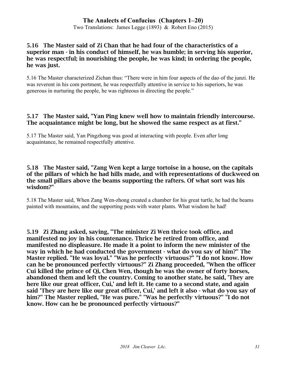#### 5.16 The Master said of Zi Chan that he had four of the characteristics of a superior man - in his conduct of himself, he was humble; in serving his superior, he was respectful; in nourishing the people, he was kind; in ordering the people, he was just.

5.16 The Master characterized Zichan thus: "There were in him four aspects of the dao of the junzi. He was reverent in his com portment, he was respectfully attentive in service to his superiors, he was generous in nurturing the people, he was righteous in directing the people."

#### 5.17 The Master said, "Yan Ping knew well how to maintain friendly intercourse. The acquaintance might be long, but he showed the same respect as at first."

5.17 The Master said, Yan Pingzhong was good at interacting with people. Even after long acquaintance, he remained respectfully attentive.

#### 5.18 The Master said, "Zang Wen kept a large tortoise in a house, on the capitals of the pillars of which he had hills made, and with representations of duckweed on the small pillars above the beams supporting the rafters. Of what sort was his wisdom?"

5.18 The Master said, When Zang Wen-zhong created a chamber for his great turtle, he had the beams painted with mountains, and the supporting posts with water plants. What wisdom he had!

5.19 Zi Zhang asked, saying, "The minister Zi Wen thrice took office, and manifested no joy in his countenance. Thrice he retired from office, and manifested no displeasure. He made it a point to inform the new minister of the way in which he had conducted the government - what do you say of him?" The Master replied. "He was loyal." "Was he perfectly virtuous?" "I do not know. How can he be pronounced perfectly virtuous?" Zi Zhang proceeded, "When the officer Cui killed the prince of Qi, Chen Wen, though he was the owner of forty horses, abandoned them and left the country. Coming to another state, he said, 'They are here like our great officer, Cui,' and left it. He came to a second state, and again said 'They are here like our great officer, Cui,' and left it also - what do you say of him?" The Master replied, "He was pure." "Was he perfectly virtuous?" "I do not know. How can he be pronounced perfectly virtuous?"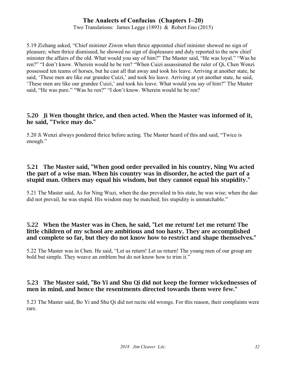Two Translations: James Legge (1893) & Robert Eno (2015)

5.19 Zizhang asked, "Chief minister Ziwen when thrice appointed chief minister showed no sign of pleasure; when thrice dismissed, he showed no sign of displeasure and duly reported to the new chief minister the affairs of the old. What would you say of him?" The Master said, "He was loyal." "Was he ren?" "I don't know. Wherein would he be ren? "When Cuizi assassinated the ruler of Qi, Chen Wenzi possessed ten teams of horses, but he cast all that away and took his leave. Arriving at another state, he said, 'These men are like our grandee Cuizi,' and took his leave. Arriving at yet another state, he said, 'These men are like our grandee Cuizi,' and took his leave. What would you say of him?" The Master said, "He was pure." "Was he ren?" "I don't know. Wherein would he be ren?

#### 5.20 Ji Wen thought thrice, and then acted. When the Master was informed of it, he said, "Twice may do."

5.20 Ji Wenzi always pondered thrice before acting. The Master heard of this and said, "Twice is enough."

#### 5.21 The Master said, "When good order prevailed in his country, Ning Wu acted the part of a wise man. When his country was in disorder, he acted the part of a stupid man. Others may equal his wisdom, but they cannot equal his stupidity."

5.21 The Master said, As for Ning Wuzi, when the dao prevailed in his state, he was wise; when the dao did not prevail, he was stupid. His wisdom may be matched; his stupidity is unmatchable."

#### 5.22 When the Master was in Chen, he said, "Let me return! Let me return! The little children of my school are ambitious and too hasty. They are accomplished and complete so far, but they do not know how to restrict and shape themselves."

5.22 The Master was in Chen. He said, "Let us return! Let us return! The young men of our group are bold but simple. They weave an emblem but do not know how to trim it."

#### 5.23 The Master said, "Bo Yi and Shu Qi did not keep the former wickednesses of men in mind, and hence the resentments directed towards them were few."

5.23 The Master said, Bo Yi and Shu Qi did not recite old wrongs. For this reason, their complaints were rare.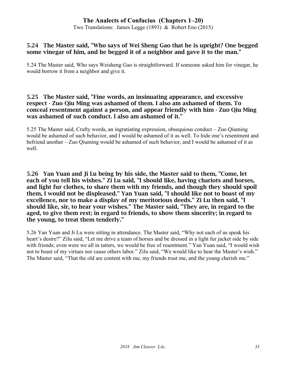Two Translations: James Legge (1893) & Robert Eno (2015)

#### 5.24 The Master said, "Who says of Wei Sheng Gao that he is upright? One begged some vinegar of him, and he begged it of a neighbor and gave it to the man."

5.24 The Master said, Who says Weisheng Gao is straightforward. If someone asked him for vinegar, he would borrow it from a neighbor and give it.

#### 5.25 The Master said, "Fine words, an insinuating appearance, and excessive respect - Zuo Qiu Ming was ashamed of them. I also am ashamed of them. To conceal resentment against a person, and appear friendly with him - Zuo Qiu Ming was ashamed of such conduct. I also am ashamed of it."

5.25 The Master said, Crafty words, an ingratiating expression, obsequious conduct – Zuo Qiuming would be ashamed of such behavior, and I would be ashamed of it as well. To hide one's resentment and befriend another – Zuo Qiuming would be ashamed of such behavior, and I would be ashamed of it as well.

5.26 Yan Yuan and Ji Lu being by his side, the Master said to them, "Come, let each of you tell his wishes." Zi Lu said, "I should like, having chariots and horses, and light fur clothes, to share them with my friends, and though they should spoil them, I would not be displeased." Yan Yuan said, "I should like not to boast of my excellence, nor to make a display of my meritorious deeds." Zi Lu then said, "I should like, sir, to hear your wishes." The Master said, "They are, in regard to the aged, to give them rest; in regard to friends, to show them sincerity; in regard to the young, to treat them tenderly."

5.26 Yan Yuan and Ji Lu were sitting in attendance. The Master said, "Why not each of us speak his heart's desire?" Zilu said, "Let me drive a team of horses and be dressed in a light fur jacket side by side with friends; even were we all in tatters, we would be free of resentment." Yan Yuan said, "I would wish not to boast of my virtues nor cause others labor." Zilu said, "We would like to hear the Master's wish." The Master said, "That the old are content with me, my friends trust me, and the young cherish me."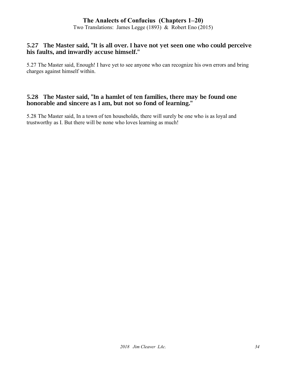Two Translations: James Legge (1893) & Robert Eno (2015)

#### 5.27 The Master said, "It is all over. I have not yet seen one who could perceive his faults, and inwardly accuse himself."

5.27 The Master said, Enough! I have yet to see anyone who can recognize his own errors and bring charges against himself within.

#### 5.28 The Master said, "In a hamlet of ten families, there may be found one honorable and sincere as I am, but not so fond of learning."

5.28 The Master said, In a town of ten households, there will surely be one who is as loyal and trustworthy as I. But there will be none who loves learning as much!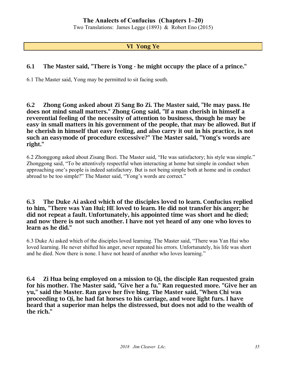Two Translations: James Legge (1893) & Robert Eno (2015)

#### VI Yong Ye

#### 6.1 The Master said, "There is Yong - he might occupy the place of a prince."

6.1 The Master said, Yong may be permitted to sit facing south.

6.2 Zhong Gong asked about Zi Sang Bo Zi. The Master said, "He may pass. He does not mind small matters." Zhong Gong said, "If a man cherish in himself a reverential feeling of the necessity of attention to business, though he may be easy in small matters in his government of the people, that may be allowed. But if he cherish in himself that easy feeling, and also carry it out in his practice, is not such an easymode of procedure excessive?" The Master said, "Yong's words are right."

6.2 Zhonggong asked about Zisang Bozi. The Master said, "He was satisfactory; his style was simple." Zhonggong said, "To be attentively respectful when interacting at home but simple in conduct when approaching one's people is indeed satisfactory. But is not being simple both at home and in conduct abroad to be too simple?" The Master said, "Yong's words are correct."

6.3 The Duke Ai asked which of the disciples loved to learn. Confucius replied to him, "There was Yan Hui; HE loved to learn. He did not transfer his anger; he did not repeat a fault. Unfortunately, his appointed time was short and he died; and now there is not such another. I have not yet heard of any one who loves to learn as he did."

6.3 Duke Ai asked which of the disciples loved learning. The Master said, "There was Yan Hui who loved learning. He never shifted his anger, never repeated his errors. Unfortunately, his life was short and he died. Now there is none. I have not heard of another who loves learning."

6.4 Zi Hua being employed on a mission to Qi, the disciple Ran requested grain for his mother. The Master said, "Give her a fu." Ran requested more. "Give her an yu," said the Master. Ran gave her five bing. The Master said, "When Chi was proceeding to Qi, he had fat horses to his carriage, and wore light furs. I have heard that a superior man helps the distressed, but does not add to the wealth of the rich."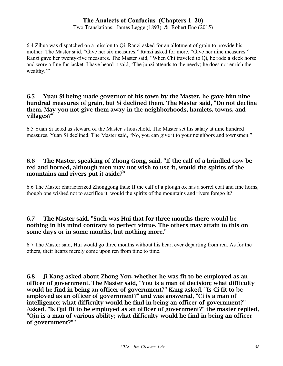Two Translations: James Legge (1893) & Robert Eno (2015)

6.4 Zihua was dispatched on a mission to Qi. Ranzi asked for an allotment of grain to provide his mother. The Master said, "Give her six measures." Ranzi asked for more. "Give her nine measures." Ranzi gave her twenty-five measures. The Master said, "When Chi traveled to Qi, he rode a sleek horse and wore a fine fur jacket. I have heard it said, 'The junzi attends to the needy; he does not enrich the wealthy.'"

#### 6.5 Yuan Si being made governor of his town by the Master, he gave him nine hundred measures of grain, but Si declined them. The Master said, "Do not decline them. May you not give them away in the neighborhoods, hamlets, towns, and villages?"

6.5 Yuan Si acted as steward of the Master's household. The Master set his salary at nine hundred measures. Yuan Si declined. The Master said, "No, you can give it to your neighbors and townsmen."

#### 6.6 The Master, speaking of Zhong Gong, said, "If the calf of a brindled cow be red and horned, although men may not wish to use it, would the spirits of the mountains and rivers put it aside?"

6.6 The Master characterized Zhonggong thus: If the calf of a plough ox has a sorrel coat and fine horns, though one wished not to sacrifice it, would the spirits of the mountains and rivers forego it?

#### 6.7 The Master said, "Such was Hui that for three months there would be nothing in his mind contrary to perfect virtue. The others may attain to this on some days or in some months, but nothing more."

6.7 The Master said, Hui would go three months without his heart ever departing from ren. As for the others, their hearts merely come upon ren from time to time.

6.8 Ji Kang asked about Zhong You, whether he was fit to be employed as an officer of government. The Master said, "You is a man of decision; what difficulty would he find in being an officer of government?" Kang asked, "Is Ci fit to be employed as an officer of government?" and was answered, "Ci is a man of intelligence; what difficulty would he find in being an officer of government?" Asked, "Is Qui fit to be employed as an officer of government?" the master replied, "Qiu is a man of various ability; what difficulty would he find in being an officer of government?""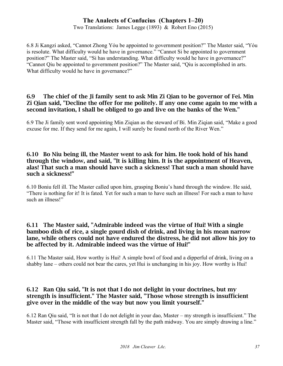Two Translations: James Legge (1893) & Robert Eno (2015)

6.8 Ji Kangzi asked, "Cannot Zhong Yóu be appointed to government position?" The Master said, "Yóu is resolute. What difficulty would he have in governance." "Cannot Si be appointed to government position?" The Master said, "Si has understanding. What difficulty would he have in governance?" "Cannot Qiu be appointed to government position?" The Master said, "Qiu is accomplished in arts. What difficulty would he have in governance?"

## 6.9 The chief of the Ji family sent to ask Min Zi Qian to be governor of Fei. Min Zi Qian said, "Decline the offer for me politely. If any one come again to me with a second invitation, I shall be obliged to go and live on the banks of the Wen."

6.9 The Ji family sent word appointing Min Ziqian as the steward of Bi. Min Ziqian said, "Make a good excuse for me. If they send for me again, I will surely be found north of the River Wen."

## 6.10 Bo Niu being ill, the Master went to ask for him. He took hold of his hand through the window, and said, "It is killing him. It is the appointment of Heaven, alas! That such a man should have such a sickness! That such a man should have such a sickness!"

6.10 Boniu fell ill. The Master called upon him, grasping Boniu's hand through the window. He said, "There is nothing for it! It is fated. Yet for such a man to have such an illness! For such a man to have such an illness!"

## 6.11 The Master said, "Admirable indeed was the virtue of Hui! With a single bamboo dish of rice, a single gourd dish of drink, and living in his mean narrow lane, while others could not have endured the distress, he did not allow his joy to be affected by it. Admirable indeed was the virtue of Hui!"

6.11 The Master said, How worthy is Hui! A simple bowl of food and a dipperful of drink, living on a shabby lane – others could not bear the cares, yet Hui is unchanging in his joy. How worthy is Hui!

## 6.12 Ran Qiu said, "It is not that I do not delight in your doctrines, but my strength is insufficient." The Master said, "Those whose strength is insufficient give over in the middle of the way but now you limit yourself."

6.12 Ran Qiu said, "It is not that I do not delight in your dao, Master – my strength is insufficient." The Master said, "Those with insufficient strength fall by the path midway. You are simply drawing a line."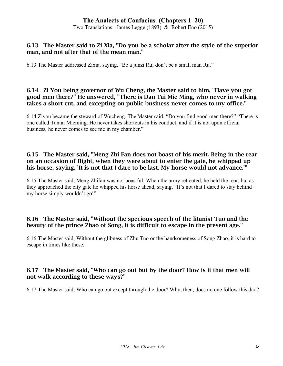Two Translations: James Legge (1893) & Robert Eno (2015)

#### 6.13 The Master said to Zi Xia, "Do you be a scholar after the style of the superior man, and not after that of the mean man."

6.13 The Master addressed Zixia, saying, "Be a junzi Ru; don't be a small man Ru."

#### 6.14 Zi You being governor of Wu Cheng, the Master said to him, "Have you got good men there?" He answered, "There is Dan Tai Mie Ming, who never in walking takes a short cut, and excepting on public business never comes to my office."

6.14 Ziyou became the steward of Wucheng. The Master said, "Do you find good men there?" "There is one called Tantai Mieming. He never takes shortcuts in his conduct, and if it is not upon official business, he never comes to see me in my chamber."

## 6.15 The Master said, "Meng Zhi Fan does not boast of his merit. Being in the rear on an occasion of flight, when they were about to enter the gate, he whipped up his horse, saying, 'It is not that I dare to be last. My horse would not advance.'"

6.15 The Master said, Meng Zhifan was not boastful. When the army retreated, he held the rear, but as they approached the city gate he whipped his horse ahead, saying, "It's not that I dared to stay behind – my horse simply wouldn't go!"

## 6.16 The Master said, "Without the specious speech of the litanist Tuo and the beauty of the prince Zhao of Song, it is difficult to escape in the present age."

6.16 The Master said, Without the glibness of Zhu Tuo or the handsomeness of Song Zhao, it is hard to escape in times like these.

# 6.17 The Master said, "Who can go out but by the door? How is it that men will not walk according to these ways?"

6.17 The Master said, Who can go out except through the door? Why, then, does no one follow this dao?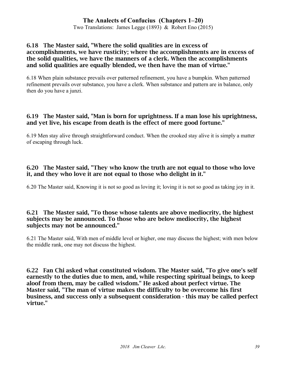Two Translations: James Legge (1893) & Robert Eno (2015)

## 6.18 The Master said, "Where the solid qualities are in excess of accomplishments, we have rusticity; where the accomplishments are in excess of the solid qualities, we have the manners of a clerk. When the accomplishments and solid qualities are equally blended, we then have the man of virtue."

6.18 When plain substance prevails over patterned refinement, you have a bumpkin. When patterned refinement prevails over substance, you have a clerk. When substance and pattern are in balance, only then do you have a junzi.

## 6.19 The Master said, "Man is born for uprightness. If a man lose his uprightness, and yet live, his escape from death is the effect of mere good fortune."

6.19 Men stay alive through straightforward conduct. When the crooked stay alive it is simply a matter of escaping through luck.

## 6.20 The Master said, "They who know the truth are not equal to those who love it, and they who love it are not equal to those who delight in it."

6.20 The Master said, Knowing it is not so good as loving it; loving it is not so good as taking joy in it.

## 6.21 The Master said, "To those whose talents are above mediocrity, the highest subjects may be announced. To those who are below mediocrity, the highest subjects may not be announced."

6.21 The Master said, With men of middle level or higher, one may discuss the highest; with men below the middle rank, one may not discuss the highest.

6.22 Fan Chi asked what constituted wisdom. The Master said, "To give one's self earnestly to the duties due to men, and, while respecting spiritual beings, to keep aloof from them, may be called wisdom." He asked about perfect virtue. The Master said, "The man of virtue makes the difficulty to be overcome his first business, and success only a subsequent consideration - this may be called perfect virtue."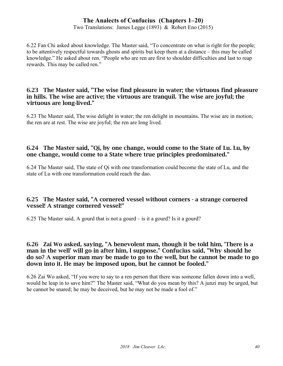Two Translations: James Legge (1893) & Robert Eno (2015)

6.22 Fan Chi asked about knowledge. The Master said, "To concentrate on what is right for the people; to be attentively respectful towards ghosts and spirits but keep them at a distance – this may be called knowledge." He asked about ren. "People who are ren are first to shoulder difficulties and last to reap rewards. This may be called ren."

#### 6.23 The Master said, "The wise find pleasure in water; the virtuous find pleasure in hills. The wise are active; the virtuous are tranquil. The wise are joyful; the virtuous are long-lived."

6.23 The Master said, The wise delight in water; the ren delight in mountains. The wise are in motion; the ren are at rest. The wise are joyful; the ren are long lived.

## 6.24 The Master said, "Qi, by one change, would come to the State of Lu. Lu, by one change, would come to a State where true principles predominated."

6.24 The Master said, The state of Qi with one transformation could become the state of Lu, and the state of Lu with one transformation could reach the dao.

## 6.25 The Master said, "A cornered vessel without corners - a strange cornered vessel! A strange cornered vessel!"

6.25 The Master said, A gourd that is not a gourd – is it a gourd? Is it a gourd?

## 6.26 Zai Wo asked, saying, "A benevolent man, though it be told him, 'There is a man in the well' will go in after him, I suppose." Confucius said, "Why should he do so? A superior man may be made to go to the well, but he cannot be made to go down into it. He may be imposed upon, but he cannot be fooled."

6.26 Zai Wo asked, "If you were to say to a ren person that there was someone fallen down into a well, would he leap in to save him?" The Master said, "What do you mean by this? A junzi may be urged, but he cannot be snared; he may be deceived, but he may not be made a fool of."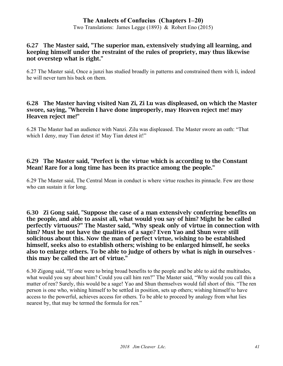Two Translations: James Legge (1893) & Robert Eno (2015)

## 6.27 The Master said, "The superior man, extensively studying all learning, and keeping himself under the restraint of the rules of propriety, may thus likewise not overstep what is right."

6.27 The Master said, Once a junzi has studied broadly in patterns and constrained them with li, indeed he will never turn his back on them.

#### 6.28 The Master having visited Nan Zi, Zi Lu was displeased, on which the Master swore, saying, "Wherein I have done improperly, may Heaven reject me! may Heaven reject me!"

6.28 The Master had an audience with Nanzi. Zilu was displeased. The Master swore an oath: "That which I deny, may Tian detest it! May Tian detest it!"

## 6.29 The Master said, "Perfect is the virtue which is according to the Constant Mean! Rare for a long time has been its practice among the people."

6.29 The Master said, The Central Mean in conduct is where virtue reaches its pinnacle. Few are those who can sustain it for long.

6.30 Zi Gong said, "Suppose the case of a man extensively conferring benefits on the people, and able to assist all, what would you say of him? Might he be called perfectly virtuous?" The Master said, "Why speak only of virtue in connection with him? Must he not have the qualities of a sage? Even Yao and Shun were still solicitous about this. Now the man of perfect virtue, wishing to be established himself, seeks also to establish others; wishing to be enlarged himself, he seeks also to enlarge others. To be able to judge of others by what is nigh in ourselves this may be called the art of virtue."

6.30 Zigong said, "If one were to bring broad benefits to the people and be able to aid the multitudes, what would you say about him? Could you call him ren?" The Master said, "Why would you call this a matter of ren? Surely, this would be a sage! Yao and Shun themselves would fall short of this. "The ren person is one who, wishing himself to be settled in position, sets up others; wishing himself to have access to the powerful, achieves access for others. To be able to proceed by analogy from what lies nearest by, that may be termed the formula for ren."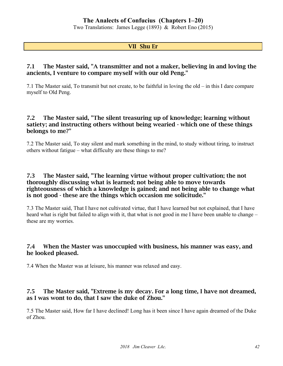Two Translations: James Legge (1893) & Robert Eno (2015)

#### VII Shu Er

## 7.1 The Master said, "A transmitter and not a maker, believing in and loving the ancients, I venture to compare myself with our old Peng."

7.1 The Master said, To transmit but not create, to be faithful in loving the old – in this I dare compare myself to Old Peng.

## 7.2 The Master said, "The silent treasuring up of knowledge; learning without satiety; and instructing others without being wearied - which one of these things belongs to me?"

7.2 The Master said, To stay silent and mark something in the mind, to study without tiring, to instruct others without fatigue – what difficulty are these things to me?

## 7.3 The Master said, "The learning virtue without proper cultivation; the not thoroughly discussing what is learned; not being able to move towards righteousness of which a knowledge is gained; and not being able to change what is not good - these are the things which occasion me solicitude."

7.3 The Master said, That I have not cultivated virtue, that I have learned but not explained, that I have heard what is right but failed to align with it, that what is not good in me I have been unable to change – these are my worries.

## 7.4 When the Master was unoccupied with business, his manner was easy, and he looked pleased.

7.4 When the Master was at leisure, his manner was relaxed and easy.

## 7.5 The Master said, "Extreme is my decay. For a long time, I have not dreamed, as I was wont to do, that I saw the duke of Zhou."

7.5 The Master said, How far I have declined! Long has it been since I have again dreamed of the Duke of Zhou.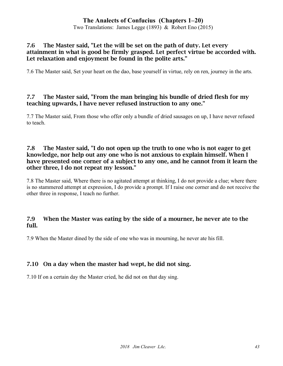Two Translations: James Legge (1893) & Robert Eno (2015)

## 7.6 The Master said, "Let the will be set on the path of duty. Let every attainment in what is good be firmly grasped. Let perfect virtue be accorded with. Let relaxation and enjoyment be found in the polite arts."

7.6 The Master said, Set your heart on the dao, base yourself in virtue, rely on ren, journey in the arts.

## 7.7 The Master said, "From the man bringing his bundle of dried flesh for my teaching upwards, I have never refused instruction to any one."

7.7 The Master said, From those who offer only a bundle of dried sausages on up, I have never refused to teach.

## 7.8 The Master said, "I do not open up the truth to one who is not eager to get knowledge, nor help out any one who is not anxious to explain himself. When I have presented one corner of a subject to any one, and he cannot from it learn the other three, I do not repeat my lesson."

7.8 The Master said, Where there is no agitated attempt at thinking, I do not provide a clue; where there is no stammered attempt at expression, I do provide a prompt. If I raise one corner and do not receive the other three in response, I teach no further.

## 7.9 When the Master was eating by the side of a mourner, he never ate to the full.

7.9 When the Master dined by the side of one who was in mourning, he never ate his fill.

## 7.10 On a day when the master had wept, he did not sing.

7.10 If on a certain day the Master cried, he did not on that day sing.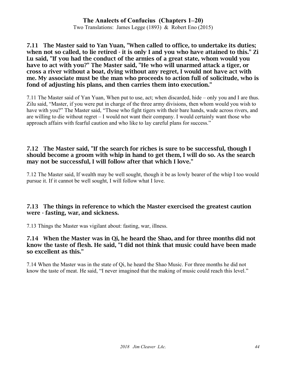Two Translations: James Legge (1893) & Robert Eno (2015)

#### 7.11 The Master said to Yan Yuan, "When called to office, to undertake its duties; when not so called, to lie retired - it is only I and you who have attained to this." Zi Lu said, "If you had the conduct of the armies of a great state, whom would you have to act with you?" The Master said, "He who will unarmed attack a tiger, or cross a river without a boat, dying without any regret, I would not have act with me. My associate must be the man who proceeds to action full of solicitude, who is fond of adjusting his plans, and then carries them into execution."

7.11 The Master said of Yan Yuan, When put to use, act; when discarded, hide – only you and I are thus. Zilu said, "Master, if you were put in charge of the three army divisions, then whom would you wish to have with you?" The Master said, "Those who fight tigers with their bare hands, wade across rivers, and are willing to die without regret – I would not want their company. I would certainly want those who approach affairs with fearful caution and who like to lay careful plans for success."

## 7.12 The Master said, "If the search for riches is sure to be successful, though I should become a groom with whip in hand to get them, I will do so. As the search may not be successful, I will follow after that which I love."

7.12 The Master said, If wealth may be well sought, though it be as lowly bearer of the whip I too would pursue it. If it cannot be well sought, I will follow what I love.

## 7.13 The things in reference to which the Master exercised the greatest caution were - fasting, war, and sickness.

7.13 Things the Master was vigilant about: fasting, war, illness.

## 7.14 When the Master was in Qi, he heard the Shao, and for three months did not know the taste of flesh. He said, "I did not think that music could have been made so excellent as this."

7.14 When the Master was in the state of Qi, he heard the Shao Music. For three months he did not know the taste of meat. He said, "I never imagined that the making of music could reach this level."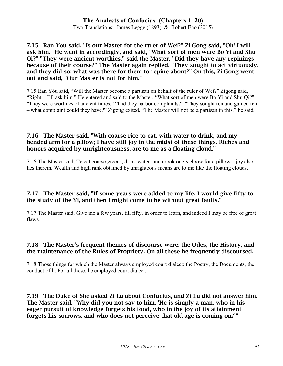Two Translations: James Legge (1893) & Robert Eno (2015)

7.15 Ran You said, "Is our Master for the ruler of Wei?" Zi Gong said, "Oh! I will ask him." He went in accordingly, and said, "What sort of men were Bo Yi and Shu Qi?" "They were ancient worthies," said the Master. "Did they have any repinings because of their course?" The Master again replied, "They sought to act virtuously, and they did so; what was there for them to repine about?" On this, Zi Gong went out and said, "Our Master is not for him."

7.15 Ran Yǒu said, "Will the Master become a partisan on behalf of the ruler of Wei?" Zigong said, "Right – I'll ask him." He entered and said to the Master, "What sort of men were Bo Yi and Shu Qi?" "They were worthies of ancient times." "Did they harbor complaints?" "They sought ren and gained ren – what complaint could they have?" Zigong exited. "The Master will not be a partisan in this," he said.

## 7.16 The Master said, "With coarse rice to eat, with water to drink, and my bended arm for a pillow; I have still joy in the midst of these things. Riches and honors acquired by unrighteousness, are to me as a floating cloud."

7.16 The Master said, To eat coarse greens, drink water, and crook one's elbow for a pillow – joy also lies therein. Wealth and high rank obtained by unrighteous means are to me like the floating clouds.

## 7.17 The Master said, "If some years were added to my life, I would give fifty to the study of the Yi, and then I might come to be without great faults."

7.17 The Master said, Give me a few years, till fifty, in order to learn, and indeed I may be free of great flaws.

## 7.18 The Master's frequent themes of discourse were: the Odes, the History, and the maintenance of the Rules of Propriety. On all these he frequently discoursed.

7.18 Those things for which the Master always employed court dialect: the Poetry, the Documents, the conduct of li. For all these, he employed court dialect.

7.19 The Duke of She asked Zi Lu about Confucius, and Zi Lu did not answer him. The Master said, "Why did you not say to him, 'He is simply a man, who in his eager pursuit of knowledge forgets his food, who in the joy of its attainment forgets his sorrows, and who does not perceive that old age is coming on?'"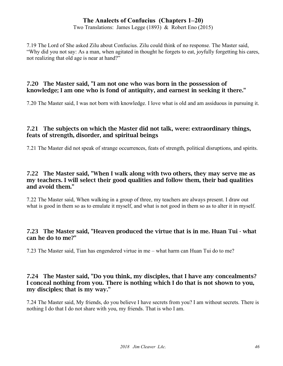Two Translations: James Legge (1893) & Robert Eno (2015)

7.19 The Lord of She asked Zilu about Confucius. Zilu could think of no response. The Master said, "Why did you not say: As a man, when agitated in thought he forgets to eat, joyfully forgetting his cares, not realizing that old age is near at hand?"

## 7.20 The Master said, "I am not one who was born in the possession of knowledge; I am one who is fond of antiquity, and earnest in seeking it there."

7.20 The Master said, I was not born with knowledge. I love what is old and am assiduous in pursuing it.

## 7.21 The subjects on which the Master did not talk, were: extraordinary things, feats of strength, disorder, and spiritual beings

7.21 The Master did not speak of strange occurrences, feats of strength, political disruptions, and spirits.

## 7.22 The Master said, "When I walk along with two others, they may serve me as my teachers. I will select their good qualities and follow them, their bad qualities and avoid them."

7.22 The Master said, When walking in a group of three, my teachers are always present. I draw out what is good in them so as to emulate it myself, and what is not good in them so as to alter it in myself.

## 7.23 The Master said, "Heaven produced the virtue that is in me. Huan Tui - what can he do to me?"

7.23 The Master said, Tian has engendered virtue in me – what harm can Huan Tui do to me?

## 7.24 The Master said, "Do you think, my disciples, that I have any concealments? I conceal nothing from you. There is nothing which I do that is not shown to you, my disciples; that is my way."

7.24 The Master said, My friends, do you believe I have secrets from you? I am without secrets. There is nothing I do that I do not share with you, my friends. That is who I am.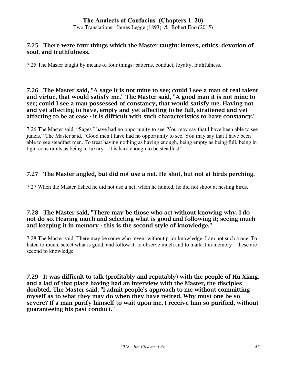Two Translations: James Legge (1893) & Robert Eno (2015)

## 7.25 There were four things which the Master taught: letters, ethics, devotion of soul, and truthfulness.

7.25 The Master taught by means of four things: patterns, conduct, loyalty, faithfulness.

#### 7.26 The Master said, "A sage it is not mine to see; could I see a man of real talent and virtue, that would satisfy me." The Master said, "A good man it is not mine to see; could I see a man possessed of constancy, that would satisfy me. Having not and yet affecting to have, empty and yet affecting to be full, straitened and yet affecting to be at ease - it is difficult with such characteristics to have constancy."

7.26 The Master said, "Sages I have had no opportunity to see. You may say that I have been able to see junzis." The Master said, "Good men I have had no opportunity to see. You may say that I have been able to see steadfast men. To treat having nothing as having enough, being empty as being full, being in tight constraints as being in luxury – it is hard enough to be steadfast!"

## 7.27 The Master angled, but did not use a net. He shot, but not at birds perching.

7.27 When the Master fished he did not use a net; when he hunted, he did not shoot at nesting birds.

## 7.28 The Master said, "There may be those who act without knowing why. I do not do so. Hearing much and selecting what is good and following it; seeing much and keeping it in memory - this is the second style of knowledge."

7.28 The Master said, There may be some who invent without prior knowledge. I am not such a one. To listen to much, select what is good, and follow it; to observe much and to mark it in memory – these are second to knowledge.

7.29 It was difficult to talk (profitably and reputably) with the people of Hu Xiang, and a lad of that place having had an interview with the Master, the disciples doubted. The Master said, "I admit people's approach to me without committing myself as to what they may do when they have retired. Why must one be so severe? If a man purify himself to wait upon me, I receive him so purified, without guaranteeing his past conduct."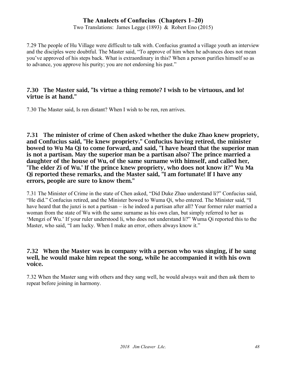Two Translations: James Legge (1893) & Robert Eno (2015)

7.29 The people of Hu Village were difficult to talk with. Confucius granted a village youth an interview and the disciples were doubtful. The Master said, "To approve of him when he advances does not mean you've approved of his steps back. What is extraordinary in this? When a person purifies himself so as to advance, you approve his purity; you are not endorsing his past."

#### 7.30 The Master said, "Is virtue a thing remote? I wish to be virtuous, and lo! virtue is at hand."

7.30 The Master said, Is ren distant? When I wish to be ren, ren arrives.

7.31 The minister of crime of Chen asked whether the duke Zhao knew propriety, and Confucius said, "He knew propriety." Confucius having retired, the minister bowed to Wu Ma Qi to come forward, and said, "I have heard that the superior man is not a partisan. May the superior man be a partisan also? The prince married a daughter of the house of Wu, of the same surname with himself, and called her, 'The elder Zi of Wu.' If the prince knew propriety, who does not know it?" Wu Ma Qi reported these remarks, and the Master said, "I am fortunate! If I have any errors, people are sure to know them."

7.31 The Minister of Crime in the state of Chen asked, "Did Duke Zhao understand li?" Confucius said, "He did." Confucius retired, and the Minister bowed to Wuma Qi, who entered. The Minister said, "I have heard that the junzi is not a partisan – is he indeed a partisan after all? Your former ruler married a woman from the state of Wu with the same surname as his own clan, but simply referred to her as 'Mengzi of Wu.' If your ruler understood li, who does not understand li?" Wuma Qi reported this to the Master, who said, "I am lucky. When I make an error, others always know it."

## 7.32 When the Master was in company with a person who was singing, if he sang well, he would make him repeat the song, while he accompanied it with his own voice.

7.32 When the Master sang with others and they sang well, he would always wait and then ask them to repeat before joining in harmony.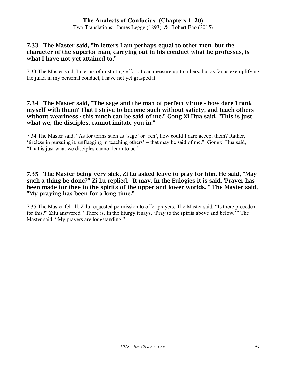Two Translations: James Legge (1893) & Robert Eno (2015)

## 7.33 The Master said, "In letters I am perhaps equal to other men, but the character of the superior man, carrying out in his conduct what he professes, is what I have not yet attained to."

7.33 The Master said, In terms of unstinting effort, I can measure up to others, but as far as exemplifying the junzi in my personal conduct, I have not yet grasped it.

#### 7.34 The Master said, "The sage and the man of perfect virtue - how dare I rank myself with them? That I strive to become such without satiety, and teach others without weariness - this much can be said of me." Gong Xi Hua said, "This is just what we, the disciples, cannot imitate you in."

7.34 The Master said, "As for terms such as 'sage' or 'ren', how could I dare accept them? Rather, 'tireless in pursuing it, unflagging in teaching others' – that may be said of me." Gongxi Hua said, "That is just what we disciples cannot learn to be."

#### 7.35 The Master being very sick, Zi Lu asked leave to pray for him. He said, "May such a thing be done?" Zi Lu replied, "It may. In the Eulogies it is said, 'Prayer has been made for thee to the spirits of the upper and lower worlds.'" The Master said, "My praying has been for a long time."

7.35 The Master fell ill. Zilu requested permission to offer prayers. The Master said, "Is there precedent for this?" Zilu answered, "There is. In the liturgy it says, 'Pray to the spirits above and below.'" The Master said, "My prayers are longstanding."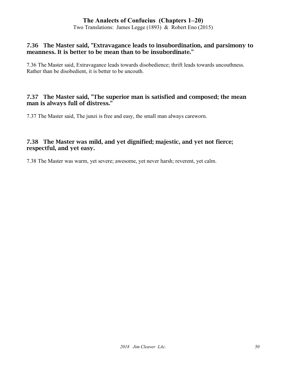Two Translations: James Legge (1893) & Robert Eno (2015)

#### 7.36 The Master said, "Extravagance leads to insubordination, and parsimony to meanness. It is better to be mean than to be insubordinate."

7.36 The Master said, Extravagance leads towards disobedience; thrift leads towards uncouthness. Rather than be disobedient, it is better to be uncouth.

#### 7.37 The Master said, "The superior man is satisfied and composed; the mean man is always full of distress."

7.37 The Master said, The junzi is free and easy, the small man always careworn.

## 7.38 The Master was mild, and yet dignified; majestic, and yet not fierce; respectful, and yet easy.

7.38 The Master was warm, yet severe; awesome, yet never harsh; reverent, yet calm.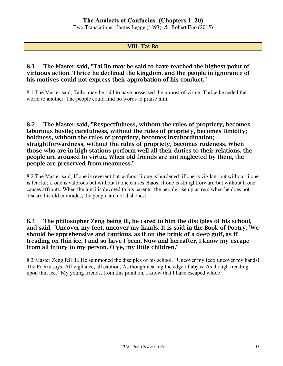Two Translations: James Legge (1893) & Robert Eno (2015)

## VIII Tai Bo

## 8.1 The Master said, "Tai Bo may be said to have reached the highest point of virtuous action. Thrice he declined the kingdom, and the people in ignorance of his motives could not express their approbation of his conduct."

8.1 The Master said, Taibo may be said to have possessed the utmost of virtue. Thrice he ceded the world to another. The people could find no words to praise him.

#### 8.2 The Master said, "Respectfulness, without the rules of propriety, becomes laborious bustle; carefulness, without the rules of propriety, becomes timidity; boldness, without the rules of propriety, becomes insubordination; straightforwardness, without the rules of propriety, becomes rudeness. When those who are in high stations perform well all their duties to their relations, the people are aroused to virtue. When old friends are not neglected by them, the people are preserved from meanness."

8.2 The Master said, If one is reverent but without li one is burdened; if one is vigilant but without li one is fearful; if one is valorous but without li one causes chaos; if one is straightforward but without li one causes affronts. When the junzi is devoted to his parents, the people rise up as ren; when he does not discard his old comrades, the people are not dishonest.

## 8.3 The philosopher Zeng being ill, he cared to him the disciples of his school, and said, "Uncover my feet, uncover my hands. It is said in the Book of Poetry, 'We should be apprehensive and cautious, as if on the brink of a deep gulf, as if treading on thin ice, I and so have I been. Now and hereafter, I know my escape from all injury to my person. O ye, my little children."

8.3 Master Zeng fell ill. He summoned the disciples of his school. "Uncover my feet; uncover my hands! The Poetry says, All vigilance, all caution, As though nearing the edge of abyss, As though treading upon thin ice. "My young friends, from this point on, I know that I have escaped whole!"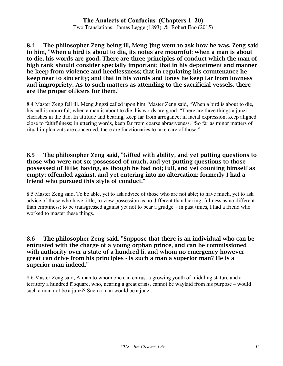# **The Analects of Confucius (Chapters 1–20)** Two Translations: James Legge (1893) & Robert Eno (2015)

8.4 The philosopher Zeng being ill, Meng Jing went to ask how he was. Zeng said to him, "When a bird is about to die, its notes are mournful; when a man is about to die, his words are good. There are three principles of conduct which the man of high rank should consider specially important: that in his deportment and manner he keep from violence and heedlessness; that in regulating his countenance he keep near to sincerity; and that in his words and tones he keep far from lowness and impropriety. As to such matters as attending to the sacrificial vessels, there are the proper officers for them."

8.4 Master Zeng fell ill. Meng Jingzi called upon him. Master Zeng said, "When a bird is about to die, his call is mournful; when a man is about to die, his words are good. "There are three things a junzi cherishes in the dao. In attitude and bearing, keep far from arrogance; in facial expression, keep aligned close to faithfulness; in uttering words, keep far from coarse abrasiveness. "So far as minor matters of ritual implements are concerned, there are functionaries to take care of those."

## 8.5 The philosopher Zeng said, "Gifted with ability, and yet putting questions to those who were not so; possessed of much, and yet putting questions to those possessed of little; having, as though he had not; full, and yet counting himself as empty; offended against, and yet entering into no altercation; formerly I had a friend who pursued this style of conduct."

8.5 Master Zeng said, To be able, yet to ask advice of those who are not able; to have much, yet to ask advice of those who have little; to view possession as no different than lacking; fullness as no different than emptiness; to be transgressed against yet not to bear a grudge – in past times, I had a friend who worked to master these things.

## 8.6 The philosopher Zeng said, "Suppose that there is an individual who can be entrusted with the charge of a young orphan prince, and can be commissioned with authority over a state of a hundred li, and whom no emergency however great can drive from his principles - is such a man a superior man? He is a superior man indeed."

8.6 Master Zeng said, A man to whom one can entrust a growing youth of middling stature and a territory a hundred lĭ square, who, nearing a great crisis, cannot be waylaid from his purpose – would such a man not be a junzi? Such a man would be a junzi.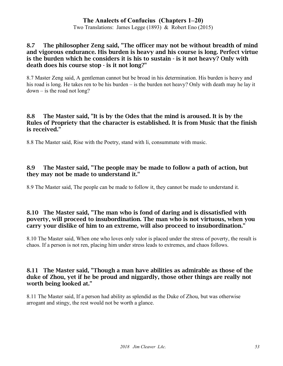Two Translations: James Legge (1893) & Robert Eno (2015)

## 8.7 The philosopher Zeng said, "The officer may not be without breadth of mind and vigorous endurance. His burden is heavy and his course is long. Perfect virtue is the burden which he considers it is his to sustain - is it not heavy? Only with death does his course stop - is it not long?"

8.7 Master Zeng said, A gentleman cannot but be broad in his determination. His burden is heavy and his road is long. He takes ren to be his burden – is the burden not heavy? Only with death may he lay it  $down - is$  the road not long?

## 8.8 The Master said, "It is by the Odes that the mind is aroused. It is by the Rules of Propriety that the character is established. It is from Music that the finish is received."

8.8 The Master said, Rise with the Poetry, stand with li, consummate with music.

## 8.9 The Master said, "The people may be made to follow a path of action, but they may not be made to understand it."

8.9 The Master said, The people can be made to follow it, they cannot be made to understand it.

## 8.10 The Master said, "The man who is fond of daring and is dissatisfied with poverty, will proceed to insubordination. The man who is not virtuous, when you carry your dislike of him to an extreme, will also proceed to insubordination."

8.10 The Master said, When one who loves only valor is placed under the stress of poverty, the result is chaos. If a person is not ren, placing him under stress leads to extremes, and chaos follows.

## 8.11 The Master said, "Though a man have abilities as admirable as those of the duke of Zhou, yet if he be proud and niggardly, those other things are really not worth being looked at."

8.11 The Master said, If a person had ability as splendid as the Duke of Zhou, but was otherwise arrogant and stingy, the rest would not be worth a glance.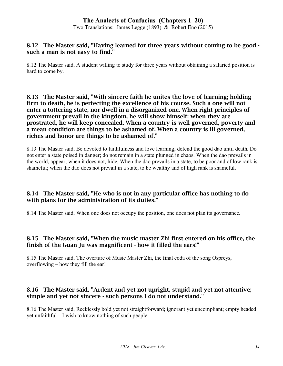Two Translations: James Legge (1893) & Robert Eno (2015)

## 8.12 The Master said, "Having learned for three years without coming to be good such a man is not easy to find."

8.12 The Master said, A student willing to study for three years without obtaining a salaried position is hard to come by.

8.13 The Master said, "With sincere faith he unites the love of learning; holding firm to death, he is perfecting the excellence of his course. Such a one will not enter a tottering state, nor dwell in a disorganized one. When right principles of government prevail in the kingdom, he will show himself; when they are prostrated, he will keep concealed. When a country is well governed, poverty and a mean condition are things to be ashamed of. When a country is ill governed, riches and honor are things to be ashamed of."

8.13 The Master said, Be devoted to faithfulness and love learning; defend the good dao until death. Do not enter a state poised in danger; do not remain in a state plunged in chaos. When the dao prevails in the world, appear; when it does not, hide. When the dao prevails in a state, to be poor and of low rank is shameful; when the dao does not prevail in a state, to be wealthy and of high rank is shameful.

## 8.14 The Master said, "He who is not in any particular office has nothing to do with plans for the administration of its duties."

8.14 The Master said, When one does not occupy the position, one does not plan its governance.

## 8.15 The Master said, "When the music master Zhi first entered on his office, the finish of the Guan Ju was magnificent - how it filled the ears!"

8.15 The Master said, The overture of Music Master Zhi, the final coda of the song Ospreys, overflowing – how they fill the ear!

## 8.16 The Master said, "Ardent and yet not upright, stupid and yet not attentive; simple and yet not sincere - such persons I do not understand."

8.16 The Master said, Recklessly bold yet not straightforward; ignorant yet uncompliant; empty headed yet unfaithful – I wish to know nothing of such people.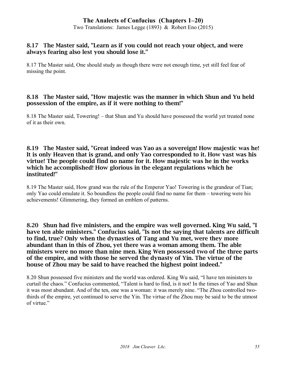Two Translations: James Legge (1893) & Robert Eno (2015)

## 8.17 The Master said, "Learn as if you could not reach your object, and were always fearing also lest you should lose it."

8.17 The Master said, One should study as though there were not enough time, yet still feel fear of missing the point.

## 8.18 The Master said, "How majestic was the manner in which Shun and Yu held possession of the empire, as if it were nothing to them!"

8.18 The Master said, Towering! – that Shun and Yu should have possessed the world yet treated none of it as their own.

## 8.19 The Master said, "Great indeed was Yao as a sovereign! How majestic was he! It is only Heaven that is grand, and only Yao corresponded to it. How vast was his virtue! The people could find no name for it. How majestic was he in the works which he accomplished! How glorious in the elegant regulations which he instituted!"

8.19 The Master said, How grand was the rule of the Emperor Yao! Towering is the grandeur of Tian; only Yao could emulate it. So boundless the people could find no name for them – towering were his achievements! Glimmering, they formed an emblem of patterns.

8.20 Shun had five ministers, and the empire was well governed. King Wu said, "I have ten able ministers." Confucius said, "Is not the saying that talents are difficult to find, true? Only when the dynasties of Tang and Yu met, were they more abundant than in this of Zhou, yet there was a woman among them. The able ministers were no more than nine men. King Wen possessed two of the three parts of the empire, and with those he served the dynasty of Yin. The virtue of the house of Zhou may be said to have reached the highest point indeed."

8.20 Shun possessed five ministers and the world was ordered. King Wu said, "I have ten ministers to curtail the chaos." Confucius commented, "Talent is hard to find, is it not! In the times of Yao and Shun it was most abundant. And of the ten, one was a woman: it was merely nine. "The Zhou controlled twothirds of the empire, yet continued to serve the Yin. The virtue of the Zhou may be said to be the utmost of virtue."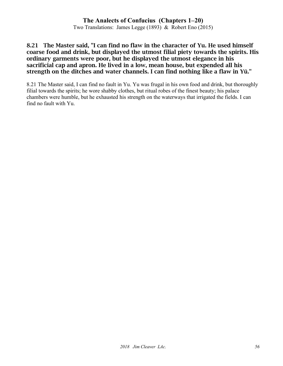Two Translations: James Legge (1893) & Robert Eno (2015)

#### 8.21 The Master said, "I can find no flaw in the character of Yu. He used himself coarse food and drink, but displayed the utmost filial piety towards the spirits. His ordinary garments were poor, but he displayed the utmost elegance in his sacrificial cap and apron. He lived in a low, mean house, but expended all his strength on the ditches and water channels. I can find nothing like a flaw in Yü."

8.21 The Master said, I can find no fault in Yu. Yu was frugal in his own food and drink, but thoroughly filial towards the spirits; he wore shabby clothes, but ritual robes of the finest beauty; his palace chambers were humble, but he exhausted his strength on the waterways that irrigated the fields. I can find no fault with Yu.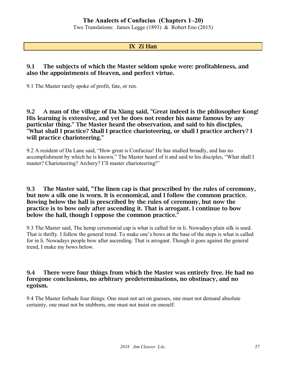Two Translations: James Legge (1893) & Robert Eno (2015)

#### IX Zi Han

#### 9.1 The subjects of which the Master seldom spoke were: profitableness, and also the appointments of Heaven, and perfect virtue.

9.1 The Master rarely spoke of profit, fate, or ren.

9.2 A man of the village of Da Xiang said, "Great indeed is the philosopher Kong! His learning is extensive, and yet he does not render his name famous by any particular thing." The Master heard the observation, and said to his disciples, "What shall I practice? Shall I practice charioteering, or shall I practice archery? I will practice charioteering."

9.2 A resident of Da Lane said, "How great is Confucius! He has studied broadly, and has no accomplishment by which he is known." The Master heard of it and said to his disciples, "What shall I master? Charioteering? Archery? I'll master charioteering!"

#### 9.3 The Master said, "The linen cap is that prescribed by the rules of ceremony, but now a silk one is worn. It is economical, and I follow the common practice. Bowing below the hall is prescribed by the rules of ceremony, but now the practice is to bow only after ascending it. That is arrogant. I continue to bow below the hall, though I oppose the common practice."

9.3 The Master said, The hemp ceremonial cap is what is called for in li. Nowadays plain silk is used. That is thrifty. I follow the general trend. To make one's bows at the base of the steps is what is called for in li. Nowadays people bow after ascending. That is arrogant. Though it goes against the general trend, I make my bows below.

## 9.4 There were four things from which the Master was entirely free. He had no foregone conclusions, no arbitrary predeterminations, no obstinacy, and no egoism.

9.4 The Master forbade four things: One must not act on guesses, one must not demand absolute certainty, one must not be stubborn, one must not insist on oneself.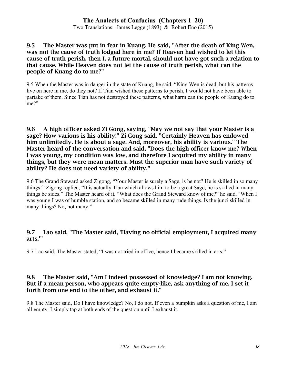Two Translations: James Legge (1893) & Robert Eno (2015)

## 9.5 The Master was put in fear in Kuang. He said, "After the death of King Wen, was not the cause of truth lodged here in me? If Heaven had wished to let this cause of truth perish, then I, a future mortal, should not have got such a relation to that cause. While Heaven does not let the cause of truth perish, what can the people of Kuang do to me?"

9.5 When the Master was in danger in the state of Kuang, he said, "King Wen is dead, but his patterns live on here in me, do they not? If Tian wished these patterns to perish, I would not have been able to partake of them. Since Tian has not destroyed these patterns, what harm can the people of Kuang do to me?"

9.6 A high officer asked Zi Gong, saying, "May we not say that your Master is a sage? How various is his ability!" Zi Gong said, "Certainly Heaven has endowed him unlimitedly. He is about a sage. And, moreover, his ability is various." The Master heard of the conversation and said, "Does the high officer know me? When I was young, my condition was low, and therefore I acquired my ability in many things, but they were mean matters. Must the superior man have such variety of ability? He does not need variety of ability."

9.6 The Grand Steward asked Zigong, "Your Master is surely a Sage, is he not? He is skilled in so many things!" Zigong replied, "It is actually Tian which allows him to be a great Sage; he is skilled in many things be sides." The Master heard of it. "What does the Grand Steward know of me?" he said. "When I was young I was of humble station, and so became skilled in many rude things. Is the junzi skilled in many things? No, not many."

## 9.7 Lao said, "The Master said, 'Having no official employment, I acquired many arts.'"

9.7 Lao said, The Master stated, "I was not tried in office, hence I became skilled in arts."

## 9.8 The Master said, "Am I indeed possessed of knowledge? I am not knowing. But if a mean person, who appears quite empty-like, ask anything of me, I set it forth from one end to the other, and exhaust it."

9.8 The Master said, Do I have knowledge? No, I do not. If even a bumpkin asks a question of me, I am all empty. I simply tap at both ends of the question until I exhaust it.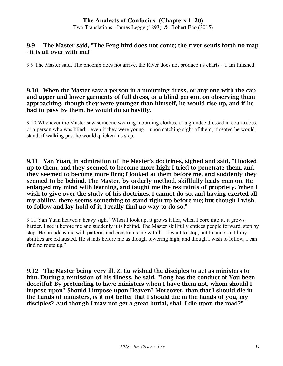Two Translations: James Legge (1893) & Robert Eno (2015)

## 9.9 The Master said, "The Feng bird does not come; the river sends forth no map - it is all over with me!"

9.9 The Master said, The phoenix does not arrive, the River does not produce its charts – I am finished!

#### 9.10 When the Master saw a person in a mourning dress, or any one with the cap and upper and lower garments of full dress, or a blind person, on observing them approaching, though they were younger than himself, he would rise up, and if he had to pass by them, he would do so hastily.

9.10 Whenever the Master saw someone wearing mourning clothes, or a grandee dressed in court robes, or a person who was blind – even if they were young – upon catching sight of them, if seated he would stand, if walking past he would quicken his step.

9.11 Yan Yuan, in admiration of the Master's doctrines, sighed and said, "I looked up to them, and they seemed to become more high; I tried to penetrate them, and they seemed to become more firm; I looked at them before me, and suddenly they seemed to be behind. The Master, by orderly method, skillfully leads men on. He enlarged my mind with learning, and taught me the restraints of propriety. When I wish to give over the study of his doctrines, I cannot do so, and having exerted all my ability, there seems something to stand right up before me; but though I wish to follow and lay hold of it, I really find no way to do so."

9.11 Yan Yuan heaved a heavy sigh. "When I look up, it grows taller, when I bore into it, it grows harder. I see it before me and suddenly it is behind. The Master skillfully entices people forward, step by step. He broadens me with patterns and constrains me with li – I want to stop, but I cannot until my abilities are exhausted. He stands before me as though towering high, and though I wish to follow, I can find no route up."

9.12 The Master being very ill, Zi Lu wished the disciples to act as ministers to him. During a remission of his illness, he said, "Long has the conduct of You been deceitful! By pretending to have ministers when I have them not, whom should I impose upon? Should I impose upon Heaven? Moreover, than that I should die in the hands of ministers, is it not better that I should die in the hands of you, my disciples? And though I may not get a great burial, shall I die upon the road?"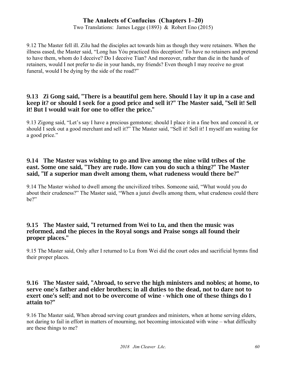Two Translations: James Legge (1893) & Robert Eno (2015)

9.12 The Master fell ill. Zilu had the disciples act towards him as though they were retainers. When the illness eased, the Master said, "Long has Yóu practiced this deception! To have no retainers and pretend to have them, whom do I deceive? Do I deceive Tian? And moreover, rather than die in the hands of retainers, would I not prefer to die in your hands, my friends? Even though I may receive no great funeral, would I be dying by the side of the road?"

## 9.13 Zi Gong said, "There is a beautiful gem here. Should I lay it up in a case and keep it? or should I seek for a good price and sell it?" The Master said, "Sell it! Sell it! But I would wait for one to offer the price."

9.13 Zigong said, "Let's say I have a precious gemstone; should I place it in a fine box and conceal it, or should I seek out a good merchant and sell it?" The Master said, "Sell it! Sell it! I myself am waiting for a good price."

## 9.14 The Master was wishing to go and live among the nine wild tribes of the east. Some one said, "They are rude. How can you do such a thing?" The Master said, "If a superior man dwelt among them, what rudeness would there be?"

9.14 The Master wished to dwell among the uncivilized tribes. Someone said, "What would you do about their crudeness?" The Master said, "When a junzi dwells among them, what crudeness could there be?"

## 9.15 The Master said, "I returned from Wei to Lu, and then the music was reformed, and the pieces in the Royal songs and Praise songs all found their proper places."

9.15 The Master said, Only after I returned to Lu from Wei did the court odes and sacrificial hymns find their proper places.

#### 9.16 The Master said, "Abroad, to serve the high ministers and nobles; at home, to serve one's father and elder brothers; in all duties to the dead, not to dare not to exert one's self; and not to be overcome of wine - which one of these things do I attain to?"

9.16 The Master said, When abroad serving court grandees and ministers, when at home serving elders, not daring to fail in effort in matters of mourning, not becoming intoxicated with wine – what difficulty are these things to me?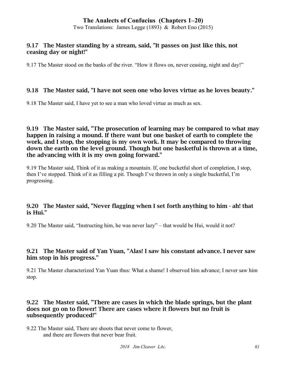Two Translations: James Legge (1893) & Robert Eno (2015)

## 9.17 The Master standing by a stream, said, "It passes on just like this, not ceasing day or night!"

9.17 The Master stood on the banks of the river. "How it flows on, never ceasing, night and day!"

## 9.18 The Master said, "I have not seen one who loves virtue as he loves beauty."

9.18 The Master said, I have yet to see a man who loved virtue as much as sex.

9.19 The Master said, "The prosecution of learning may be compared to what may happen in raising a mound. If there want but one basket of earth to complete the work, and I stop, the stopping is my own work. It may be compared to throwing down the earth on the level ground. Though but one basketful is thrown at a time, the advancing with it is my own going forward."

9.19 The Master said, Think of it as making a mountain. If, one bucketful short of completion, I stop, then I've stopped. Think of it as filling a pit. Though I've thrown in only a single bucketful, I'm progressing.

## 9.20 The Master said, "Never flagging when I set forth anything to him - ah! that is Hui."

9.20 The Master said, "Instructing him, he was never lazy" – that would be Hui, would it not?

## 9.21 The Master said of Yan Yuan, "Alas! I saw his constant advance. I never saw him stop in his progress."

9.21 The Master characterized Yan Yuan thus: What a shame! I observed him advance; I never saw him stop.

#### 9.22 The Master said, "There are cases in which the blade springs, but the plant does not go on to flower! There are cases where it flowers but no fruit is subsequently produced!"

9.22 The Master said, There are shoots that never come to flower, and there are flowers that never bear fruit.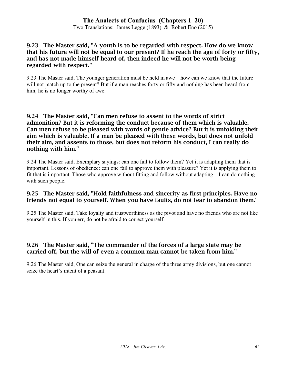Two Translations: James Legge (1893) & Robert Eno (2015)

## 9.23 The Master said, "A youth is to be regarded with respect. How do we know that his future will not be equal to our present? If he reach the age of forty or fifty, and has not made himself heard of, then indeed he will not be worth being regarded with respect."

9.23 The Master said, The younger generation must be held in awe – how can we know that the future will not match up to the present? But if a man reaches forty or fifty and nothing has been heard from him, he is no longer worthy of awe.

### 9.24 The Master said, "Can men refuse to assent to the words of strict admonition? But it is reforming the conduct because of them which is valuable. Can men refuse to be pleased with words of gentle advice? But it is unfolding their aim which is valuable. If a man be pleased with these words, but does not unfold their aim, and assents to those, but does not reform his conduct, I can really do nothing with him."

9.24 The Master said, Exemplary sayings: can one fail to follow them? Yet it is adapting them that is important. Lessons of obedience: can one fail to approve them with pleasure? Yet it is applying them to fit that is important. Those who approve without fitting and follow without adapting – I can do nothing with such people.

## 9.25 The Master said, "Hold faithfulness and sincerity as first principles. Have no friends not equal to yourself. When you have faults, do not fear to abandon them."

9.25 The Master said, Take loyalty and trustworthiness as the pivot and have no friends who are not like yourself in this. If you err, do not be afraid to correct yourself.

# 9.26 The Master said, "The commander of the forces of a large state may be carried off, but the will of even a common man cannot be taken from him."

9.26 The Master said, One can seize the general in charge of the three army divisions, but one cannot seize the heart's intent of a peasant.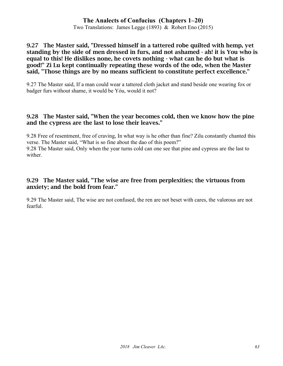Two Translations: James Legge (1893) & Robert Eno (2015)

#### 9.27 The Master said, "Dressed himself in a tattered robe quilted with hemp, yet standing by the side of men dressed in furs, and not ashamed - ah! it is You who is equal to this! He dislikes none, he covets nothing - what can he do but what is good!" Zi Lu kept continually repeating these words of the ode, when the Master said, "Those things are by no means sufficient to constitute perfect excellence."

9.27 The Master said, If a man could wear a tattered cloth jacket and stand beside one wearing fox or badger furs without shame, it would be Yóu, would it not?

#### 9.28 The Master said, "When the year becomes cold, then we know how the pine and the cypress are the last to lose their leaves."

9.28 Free of resentment, free of craving, In what way is he other than fine? Zilu constantly chanted this verse. The Master said, "What is so fine about the dao of this poem?"

9.28 The Master said, Only when the year turns cold can one see that pine and cypress are the last to wither.

## 9.29 The Master said, "The wise are free from perplexities; the virtuous from anxiety; and the bold from fear."

9.29 The Master said, The wise are not confused, the ren are not beset with cares, the valorous are not fearful.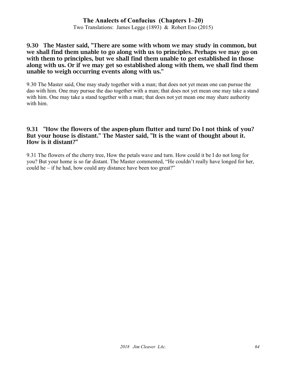Two Translations: James Legge (1893) & Robert Eno (2015)

#### 9.30 The Master said, "There are some with whom we may study in common, but we shall find them unable to go along with us to principles. Perhaps we may go on with them to principles, but we shall find them unable to get established in those along with us. Or if we may get so established along with them, we shall find them unable to weigh occurring events along with us."

9.30 The Master said, One may study together with a man; that does not yet mean one can pursue the dao with him. One may pursue the dao together with a man; that does not yet mean one may take a stand with him. One may take a stand together with a man; that does not vet mean one may share authority with him.

## 9.31 "How the flowers of the aspen-plum flutter and turn! Do I not think of you? But your house is distant." The Master said, "It is the want of thought about it. How is it distant?"

9.31 The flowers of the cherry tree, How the petals wave and turn. How could it be I do not long for you? But your home is so far distant. The Master commented, "He couldn't really have longed for her, could he – if he had, how could any distance have been too great?"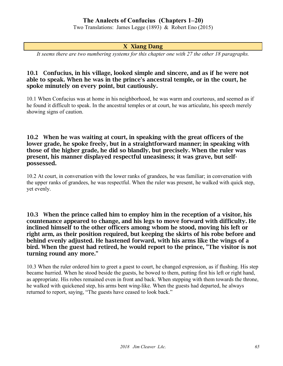Two Translations: James Legge (1893) & Robert Eno (2015)

## X Xiang Dang

*It seems there are two numbering systems for this chapter one with 27 the other 18 paragraphs.*

### 10.1 Confucius, in his village, looked simple and sincere, and as if he were not able to speak. When he was in the prince's ancestral temple, or in the court, he spoke minutely on every point, but cautiously.

10.1 When Confucius was at home in his neighborhood, he was warm and courteous, and seemed as if he found it difficult to speak. In the ancestral temples or at court, he was articulate, his speech merely showing signs of caution.

10.2 When he was waiting at court, in speaking with the great officers of the lower grade, he spoke freely, but in a straightforward manner; in speaking with those of the higher grade, he did so blandly, but precisely. When the ruler was present, his manner displayed respectful uneasiness; it was grave, but selfpossessed.

10.2 At court, in conversation with the lower ranks of grandees, he was familiar; in conversation with the upper ranks of grandees, he was respectful. When the ruler was present, he walked with quick step, yet evenly.

#### 10.3 When the prince called him to employ him in the reception of a visitor, his countenance appeared to change, and his legs to move forward with difficulty. He inclined himself to the other officers among whom he stood, moving his left or right arm, as their position required, but keeping the skirts of his robe before and behind evenly adjusted. He hastened forward, with his arms like the wings of a bird. When the guest had retired, he would report to the prince, "The visitor is not turning round any more."

10.3 When the ruler ordered him to greet a guest to court, he changed expression, as if flushing. His step became hurried. When he stood beside the guests, he bowed to them, putting first his left or right hand, as appropriate. His robes remained even in front and back. When stepping with them towards the throne, he walked with quickened step, his arms bent wing-like. When the guests had departed, he always returned to report, saying, "The guests have ceased to look back."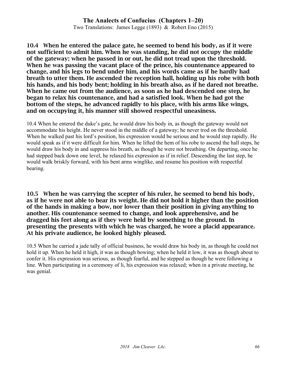## **The Analects of Confucius (Chapters 1–20)** Two Translations: James Legge (1893) & Robert Eno (2015)

10.4 When he entered the palace gate, he seemed to bend his body, as if it were not sufficient to admit him. When he was standing, he did not occupy the middle of the gateway; when he passed in or out, he did not tread upon the threshold. When he was passing the vacant place of the prince, his countenance appeared to change, and his legs to bend under him, and his words came as if he hardly had breath to utter them. He ascended the reception hall, holding up his robe with both his hands, and his body bent; holding in his breath also, as if he dared not breathe. When he came out from the audience, as soon as he had descended one step, he began to relax his countenance, and had a satisfied look. When he had got the bottom of the steps, he advanced rapidly to his place, with his arms like wings, and on occupying it, his manner still showed respectful uneasiness.

10.4 When he entered the duke's gate, he would draw his body in, as though the gateway would not accommodate his height. He never stood in the middle of a gateway; he never trod on the threshold. When he walked past his lord's position, his expression would be serious and he would step rapidly. He would speak as if it were difficult for him. When he lifted the hem of his robe to ascend the hall steps, he would draw his body in and suppress his breath, as though he were not breathing. On departing, once he had stepped back down one level, he relaxed his expression as if in relief. Descending the last step, he would walk briskly forward, with his bent arms winglike, and resume his position with respectful bearing.

10.5 When he was carrying the scepter of his ruler, he seemed to bend his body, as if he were not able to bear its weight. He did not hold it higher than the position of the hands in making a bow, nor lower than their position in giving anything to another. His countenance seemed to change, and look apprehensive, and he dragged his feet along as if they were held by something to the ground. In presenting the presents with which he was charged, he wore a placid appearance. At his private audience, he looked highly pleased.

10.5 When he carried a jade tally of official business, he would draw his body in, as though he could not hold it up. When he held it high, it was as though bowing; when he held it low, it was as though about to confer it. His expression was serious, as though fearful, and he stepped as though he were following a line. When participating in a ceremony of li, his expression was relaxed; when in a private meeting, he was genial.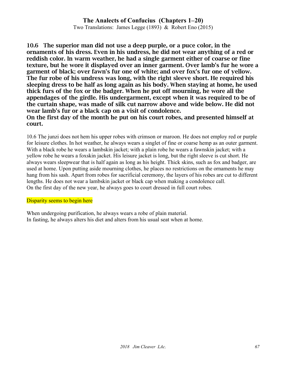Two Translations: James Legge (1893) & Robert Eno (2015)

10.6 The superior man did not use a deep purple, or a puce color, in the ornaments of his dress. Even in his undress, he did not wear anything of a red or reddish color. In warm weather, he had a single garment either of coarse or fine texture, but he wore it displayed over an inner garment. Over lamb's fur he wore a garment of black; over fawn's fur one of white; and over fox's fur one of yellow. The fur robe of his undress was long, with the right sleeve short. He required his sleeping dress to be half as long again as his body. When staying at home, he used thick furs of the fox or the badger. When he put off mourning, he wore all the appendages of the girdle. His undergarment, except when it was required to be of the curtain shape, was made of silk cut narrow above and wide below. He did not wear lamb's fur or a black cap on a visit of condolence.

On the first day of the month he put on his court robes, and presented himself at court.

10.6 The junzi does not hem his upper robes with crimson or maroon. He does not employ red or purple for leisure clothes. In hot weather, he always wears a singlet of fine or coarse hemp as an outer garment. With a black robe he wears a lambskin jacket; with a plain robe he wears a fawnskin jacket; with a yellow robe he wears a foxskin jacket. His leisure jacket is long, but the right sleeve is cut short. He always wears sleepwear that is half again as long as his height. Thick skins, such as fox and badger, are used at home. Upon putting aside mourning clothes, he places no restrictions on the ornaments he may hang from his sash. Apart from robes for sacrificial ceremony, the layers of his robes are cut to different lengths. He does not wear a lambskin jacket or black cap when making a condolence call. On the first day of the new year, he always goes to court dressed in full court robes.

#### Disparity seems to begin here

When undergoing purification, he always wears a robe of plain material. In fasting, he always alters his diet and alters from his usual seat when at home.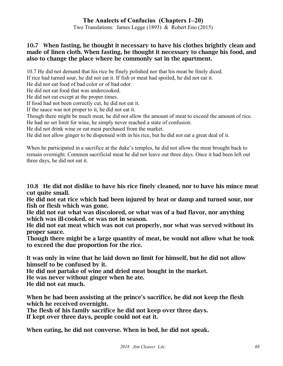Two Translations: James Legge (1893) & Robert Eno (2015)

## 10.7 When fasting, he thought it necessary to have his clothes brightly clean and made of linen cloth. When fasting, he thought it necessary to change his food, and also to change the place where he commonly sat in the apartment.

10.7 He did not demand that his rice be finely polished nor that his meat be finely diced.

If rice had turned sour, he did not eat it. If fish or meat had spoiled, he did not eat it.

He did not eat food of bad color or of bad odor.

He did not eat food that was undercooked.

He did not eat except at the proper times.

If food had not been correctly cut, he did not eat it.

If the sauce was not proper to it, he did not eat it.

Though there might be much meat, he did not allow the amount of meat to exceed the amount of rice. He had no set limit for wine, he simply never reached a state of confusion.

He did not drink wine or eat meat purchased from the market.

He did not allow ginger to be dispensed with in his rice, but he did not eat a great deal of it.

When he participated in a sacrifice at the duke's temples, he did not allow the meat brought back to remain overnight. Common sacrificial meat he did not leave out three days. Once it had been left out three days, he did not eat it.

10.8 He did not dislike to have his rice finely cleaned, nor to have his mince meat cut quite small.

He did not eat rice which had been injured by heat or damp and turned sour, nor fish or flesh which was gone.

He did not eat what was discolored, or what was of a bad flavor, nor anything which was ill-cooked, or was not in season.

He did not eat meat which was not cut properly, nor what was served without its proper sauce.

Though there might be a large quantity of meat, he would not allow what he took to exceed the due proportion for the rice.

It was only in wine that he laid down no limit for himself, but he did not allow himself to be confused by it.

He did not partake of wine and dried meat bought in the market.

He was never without ginger when he ate.

He did not eat much.

When he had been assisting at the prince's sacrifice, he did not keep the flesh which he received overnight.

The flesh of his family sacrifice he did not keep over three days.

If kept over three days, people could not eat it.

When eating, he did not converse. When in bed, he did not speak.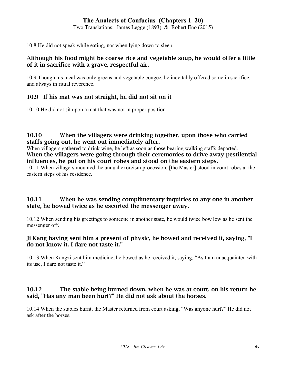Two Translations: James Legge (1893) & Robert Eno (2015)

10.8 He did not speak while eating, nor when lying down to sleep.

## Although his food might be coarse rice and vegetable soup, he would offer a little of it in sacrifice with a grave, respectful air.

10.9 Though his meal was only greens and vegetable congee, he inevitably offered some in sacrifice, and always in ritual reverence.

## 10.9 If his mat was not straight, he did not sit on it

10.10 He did not sit upon a mat that was not in proper position.

## 10.10 When the villagers were drinking together, upon those who carried staffs going out, he went out immediately after.

When villagers gathered to drink wine, he left as soon as those bearing walking staffs departed. When the villagers were going through their ceremonies to drive away pestilential influences, he put on his court robes and stood on the eastern steps.

10.11 When villagers mounted the annual exorcism procession, [the Master] stood in court robes at the eastern steps of his residence.

## 10.11 When he was sending complimentary inquiries to any one in another state, he bowed twice as he escorted the messenger away.

10.12 When sending his greetings to someone in another state, he would twice bow low as he sent the messenger off.

## Ji Kang having sent him a present of physic, he bowed and received it, saying, "I do not know it. I dare not taste it."

10.13 When Kangzi sent him medicine, he bowed as he received it, saying, "As I am unacquainted with its use, I dare not taste it."

## 10.12 The stable being burned down, when he was at court, on his return he said, "Has any man been hurt?" He did not ask about the horses.

10.14 When the stables burnt, the Master returned from court asking, "Was anyone hurt?" He did not ask after the horses.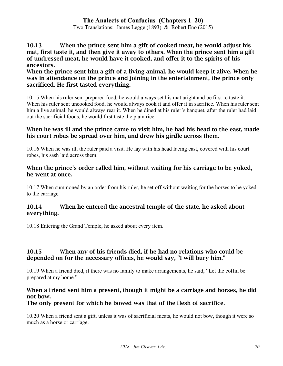Two Translations: James Legge (1893) & Robert Eno (2015)

10.13 When the prince sent him a gift of cooked meat, he would adjust his mat, first taste it, and then give it away to others. When the prince sent him a gift of undressed meat, he would have it cooked, and offer it to the spirits of his ancestors.

When the prince sent him a gift of a living animal, he would keep it alive. When he was in attendance on the prince and joining in the entertainment, the prince only sacrificed. He first tasted everything.

10.15 When his ruler sent prepared food, he would always set his mat aright and be first to taste it. When his ruler sent uncooked food, he would always cook it and offer it in sacrifice. When his ruler sent him a live animal, he would always rear it. When he dined at his ruler's banquet, after the ruler had laid out the sacrificial foods, he would first taste the plain rice.

#### When he was ill and the prince came to visit him, he had his head to the east, made his court robes be spread over him, and drew his girdle across them.

10.16 When he was ill, the ruler paid a visit. He lay with his head facing east, covered with his court robes, his sash laid across them.

#### When the prince's order called him, without waiting for his carriage to be yoked, he went at once.

10.17 When summoned by an order from his ruler, he set off without waiting for the horses to be yoked to the carriage.

## 10.14 When he entered the ancestral temple of the state, he asked about everything.

10.18 Entering the Grand Temple, he asked about every item.

## 10.15 When any of his friends died, if he had no relations who could be depended on for the necessary offices, he would say, "I will bury him."

10.19 When a friend died, if there was no family to make arrangements, he said, "Let the coffin be prepared at my home."

# When a friend sent him a present, though it might be a carriage and horses, he did not bow.

# The only present for which he bowed was that of the flesh of sacrifice.

10.20 When a friend sent a gift, unless it was of sacrificial meats, he would not bow, though it were so much as a horse or carriage.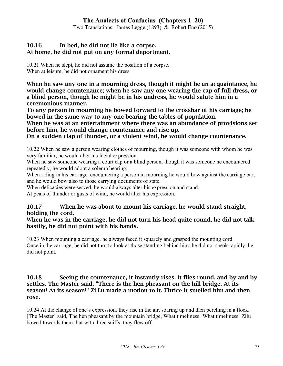Two Translations: James Legge (1893) & Robert Eno (2015)

## 10.16 In bed, he did not lie like a corpse. At home, he did not put on any formal deportment.

10.21 When he slept, he did not assume the position of a corpse. When at leisure, he did not ornament his dress.

When he saw any one in a mourning dress, though it might be an acquaintance, he would change countenance; when he saw any one wearing the cap of full dress, or a blind person, though he might be in his undress, he would salute him in a ceremonious manner.

To any person in mourning he bowed forward to the crossbar of his carriage; he bowed in the same way to any one bearing the tables of population.

When he was at an entertainment where there was an abundance of provisions set before him, he would change countenance and rise up.

On a sudden clap of thunder, or a violent wind, he would change countenance.

10.22 When he saw a person wearing clothes of mourning, though it was someone with whom he was very familiar, he would alter his facial expression.

When he saw someone wearing a court cap or a blind person, though it was someone he encountered repeatedly, he would adopt a solemn bearing.

When riding in his carriage, encountering a person in mourning he would bow against the carriage bar, and he would bow also to those carrying documents of state.

When delicacies were served, he would always alter his expression and stand.

At peals of thunder or gusts of wind, he would alter his expression.

# 10.17 When he was about to mount his carriage, he would stand straight, holding the cord.

## When he was in the carriage, he did not turn his head quite round, he did not talk hastily, he did not point with his hands.

10.23 When mounting a carriage, he always faced it squarely and grasped the mounting cord. Once in the carriage, he did not turn to look at those standing behind him; he did not speak rapidly; he did not point.

## 10.18 Seeing the countenance, it instantly rises. It flies round, and by and by settles. The Master said, "There is the hen-pheasant on the hill bridge. At its season! At its season!" Zi Lu made a motion to it. Thrice it smelled him and then rose.

10.24 At the change of one's expression, they rise in the air, soaring up and then perching in a flock. [The Master] said, The hen pheasant by the mountain bridge, What timeliness! What timeliness! Zilu bowed towards them, but with three sniffs, they flew off.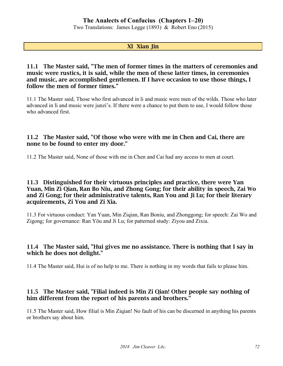Two Translations: James Legge (1893) & Robert Eno (2015)

## XI Xian Jin

### 11.1 The Master said, "The men of former times in the matters of ceremonies and music were rustics, it is said, while the men of these latter times, in ceremonies and music, are accomplished gentlemen. If I have occasion to use those things, I follow the men of former times."

11.1 The Master said, Those who first advanced in li and music were men of the wilds. Those who later advanced in li and music were junzi's. If there were a chance to put them to use, I would follow those who advanced first.

#### 11.2 The Master said, "Of those who were with me in Chen and Cai, there are none to be found to enter my door."

11.2 The Master said, None of those with me in Chen and Cai had any access to men at court.

#### 11.3 Distinguished for their virtuous principles and practice, there were Yan Yuan, Min Zi Qian, Ran Bo Niu, and Zhong Gong; for their ability in speech, Zai Wo and Zi Gong; for their administrative talents, Ran You and Ji Lu; for their literary acquirements, Zi You and Zi Xia.

11.3 For virtuous conduct: Yan Yuan, Min Ziqian, Ran Boniu, and Zhonggong; for speech: Zai Wo and Zigong; for governance: Ran Yŏu and Ji Lu; for patterned study: Ziyou and Zixia.

## 11.4 The Master said, "Hui gives me no assistance. There is nothing that I say in which he does not delight."

11.4 The Master said, Hui is of no help to me. There is nothing in my words that fails to please him.

## 11.5 The Master said, "Filial indeed is Min Zi Qian! Other people say nothing of him different from the report of his parents and brothers."

11.5 The Master said, How filial is Min Ziqian! No fault of his can be discerned in anything his parents or brothers say about him.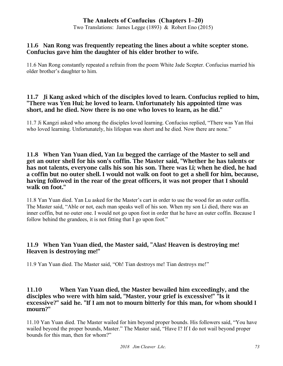Two Translations: James Legge (1893) & Robert Eno (2015)

#### 11.6 Nan Rong was frequently repeating the lines about a white scepter stone. Confucius gave him the daughter of his elder brother to wife.

11.6 Nan Rong constantly repeated a refrain from the poem White Jade Scepter. Confucius married his older brother's daughter to him.

### 11.7 Ji Kang asked which of the disciples loved to learn. Confucius replied to him, "There was Yen Hui; he loved to learn. Unfortunately his appointed time was short, and he died. Now there is no one who loves to learn, as he did."

11.7 Ji Kangzi asked who among the disciples loved learning. Confucius replied, "There was Yan Hui who loved learning. Unfortunately, his lifespan was short and he died. Now there are none."

#### 11.8 When Yan Yuan died, Yan Lu begged the carriage of the Master to sell and get an outer shell for his son's coffin. The Master said, "Whether he has talents or has not talents, everyone calls his son his son. There was Li; when he died, he had a coffin but no outer shell. I would not walk on foot to get a shell for him, because, having followed in the rear of the great officers, it was not proper that I should walk on foot."

11.8 Yan Yuan died. Yan Lu asked for the Master's cart in order to use the wood for an outer coffin. The Master said, "Able or not, each man speaks well of his son. When my son Li died, there was an inner coffin, but no outer one. I would not go upon foot in order that he have an outer coffin. Because I follow behind the grandees, it is not fitting that I go upon foot."

# 11.9 When Yan Yuan died, the Master said, "Alas! Heaven is destroying me! Heaven is destroying me!"

11.9 Yan Yuan died. The Master said, "Oh! Tian destroys me! Tian destroys me!"

#### 11.10 When Yan Yuan died, the Master bewailed him exceedingly, and the disciples who were with him said, "Master, your grief is excessive!" "Is it excessive?" said he. "If I am not to mourn bitterly for this man, for whom should I mourn?"

11.10 Yan Yuan died. The Master wailed for him beyond proper bounds. His followers said, "You have wailed beyond the proper bounds, Master." The Master said, "Have I? If I do not wail beyond proper bounds for this man, then for whom?"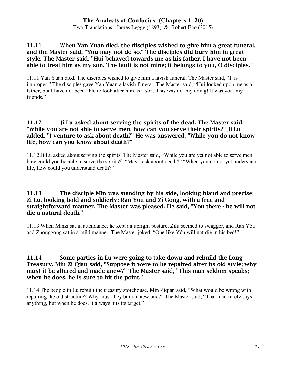Two Translations: James Legge (1893) & Robert Eno (2015)

### 11.11 When Yan Yuan died, the disciples wished to give him a great funeral, and the Master said, "You may not do so." The disciples did bury him in great style. The Master said, "Hui behaved towards me as his father. I have not been able to treat him as my son. The fault is not mine; it belongs to you, O disciples."

11.11 Yan Yuan died. The disciples wished to give him a lavish funeral. The Master said, "It is improper." The disciples gave Yan Yuan a lavish funeral. The Master said, "Hui looked upon me as a father, but I have not been able to look after him as a son. This was not my doing! It was you, my friends."

#### 11.12 Ji Lu asked about serving the spirits of the dead. The Master said, "While you are not able to serve men, how can you serve their spirits?" Ji Lu added, "I venture to ask about death?" He was answered, "While you do not know life, how can you know about death?"

11.12 Ji Lu asked about serving the spirits. The Master said, "While you are yet not able to serve men, how could you be able to serve the spirits?" "May I ask about death?" "When you do not yet understand life, how could you understand death?"

#### 11.13 The disciple Min was standing by his side, looking bland and precise; Zi Lu, looking bold and soldierly; Ran You and Zi Gong, with a free and straightforward manner. The Master was pleased. He said, "You there - he will not die a natural death."

11.13 When Minzi sat in attendance, he kept an upright posture, Zilu seemed to swagger, and Ran Yǒu and Zhonggong sat in a mild manner. The Master joked, "One like Yóu will not die in his bed!"

#### 11.14 Some parties in Lu were going to take down and rebuild the Long Treasury. Min Zi Qian said, "Suppose it were to be repaired after its old style; why must it be altered and made anew?" The Master said, "This man seldom speaks; when he does, he is sure to hit the point."

11.14 The people in Lu rebuilt the treasury storehouse. Min Ziqian said, "What would be wrong with repairing the old structure? Why must they build a new one?" The Master said, "That man rarely says anything, but when he does, it always hits its target."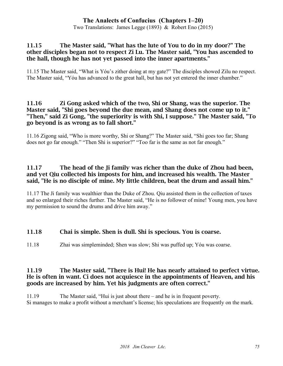Two Translations: James Legge (1893) & Robert Eno (2015)

### 11.15 The Master said, "What has the lute of You to do in my door?" The other disciples began not to respect Zi Lu. The Master said, "You has ascended to the hall, though he has not yet passed into the inner apartments."

11.15 The Master said, "What is Yóu's zither doing at my gate?" The disciples showed Zilu no respect. The Master said, "Yóu has advanced to the great hall, but has not yet entered the inner chamber."

#### 11.16 Zi Gong asked which of the two, Shi or Shang, was the superior. The Master said, "Shi goes beyond the due mean, and Shang does not come up to it." "Then," said Zi Gong, "the superiority is with Shi, I suppose." The Master said, "To go beyond is as wrong as to fall short."

11.16 Zigong said, "Who is more worthy, Shi or Shang?" The Master said, "Shi goes too far; Shang does not go far enough." "Then Shi is superior?" "Too far is the same as not far enough."

#### 11.17 The head of the Ji family was richer than the duke of Zhou had been, and yet Qiu collected his imposts for him, and increased his wealth. The Master said, "He is no disciple of mine. My little children, beat the drum and assail him."

11.17 The Ji family was wealthier than the Duke of Zhou. Qiu assisted them in the collection of taxes and so enlarged their riches further. The Master said, "He is no follower of mine! Young men, you have my permission to sound the drums and drive him away."

### 11.18 Chai is simple. Shen is dull. Shi is specious. You is coarse.

11.18 Zhai was simpleminded; Shen was slow; Shi was puffed up; Yóu was coarse.

#### 11.19 The Master said, "There is Hui! He has nearly attained to perfect virtue. He is often in want. Ci does not acquiesce in the appointments of Heaven, and his goods are increased by him. Yet his judgments are often correct."

11.19 The Master said, "Hui is just about there – and he is in frequent poverty. Si manages to make a profit without a merchant's license; his speculations are frequently on the mark.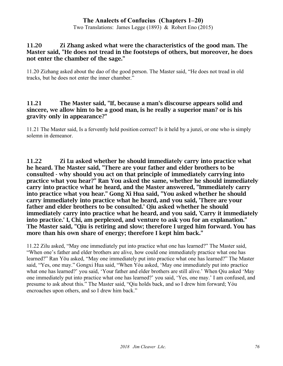Two Translations: James Legge (1893) & Robert Eno (2015)

#### 11.20 Zi Zhang asked what were the characteristics of the good man. The Master said, "He does not tread in the footsteps of others, but moreover, he does not enter the chamber of the sage."

11.20 Zizhang asked about the dao of the good person. The Master said, "He does not tread in old tracks, but he does not enter the inner chamber."

#### 11.21 The Master said, "If, because a man's discourse appears solid and sincere, we allow him to be a good man, is he really a superior man? or is his gravity only in appearance?"

11.21 The Master said, Is a fervently held position correct? Is it held by a junzi, or one who is simply solemn in demeanor.

11.22 Zi Lu asked whether he should immediately carry into practice what he heard. The Master said, "There are your father and elder brothers to be consulted - why should you act on that principle of immediately carrying into practice what you hear?" Ran You asked the same, whether he should immediately carry into practice what he heard, and the Master answered, "Immediately carry into practice what you hear." Gong Xi Hua said, "You asked whether he should carry immediately into practice what he heard, and you said, 'There are your father and elder brothers to be consulted.' Qiu asked whether he should immediately carry into practice what he heard, and you said, 'Carry it immediately into practice.' I, Chi, am perplexed, and venture to ask you for an explanation." The Master said, "Qiu is retiring and slow; therefore I urged him forward. You has more than his own share of energy; therefore I kept him back."

11.22 Zilu asked, "May one immediately put into practice what one has learned?" The Master said, "When one's father and elder brothers are alive, how could one immediately practice what one has learned?" Ran Yǒu asked, "May one immediately put into practice what one has learned?" The Master said, "Yes, one may." Gongxi Hua said, "When Yóu asked, 'May one immediately put into practice what one has learned?' you said, 'Your father and elder brothers are still alive.' When Qiu asked 'May one immediately put into practice what one has learned?' you said, 'Yes, one may.' I am confused, and presume to ask about this." The Master said, "Qiu holds back, and so I drew him forward; Yóu encroaches upon others, and so I drew him back."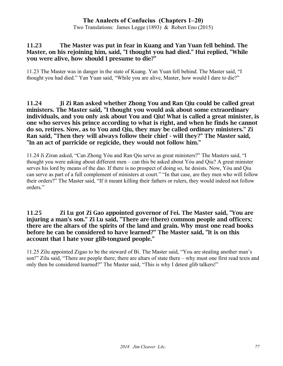Two Translations: James Legge (1893) & Robert Eno (2015)

#### 11.23 The Master was put in fear in Kuang and Yan Yuan fell behind. The Master, on his rejoining him, said, "I thought you had died." Hui replied, "While you were alive, how should I presume to die?"

11.23 The Master was in danger in the state of Kuang. Yan Yuan fell behind. The Master said, "I thought you had died." Yan Yuan said, "While you are alive, Master, how would I dare to die?"

11.24 Ji Zi Ran asked whether Zhong You and Ran Qiu could be called great ministers. The Master said, "I thought you would ask about some extraordinary individuals, and you only ask about You and Qiu! What is called a great minister, is one who serves his prince according to what is right, and when he finds he cannot do so, retires. Now, as to You and Qiu, they may be called ordinary ministers." Zi Ran said, "Then they will always follow their chief - will they?" The Master said, "In an act of parricide or regicide, they would not follow him."

11.24 Ji Ziran asked, "Can Zhong Yóu and Ran Qiu serve as great ministers?" The Masters said, "I thought you were asking about different men – can this be asked about Yóu and Qiu? A great minister serves his lord by means of the dao. If there is no prospect of doing so, he desists. Now, Yóu and Qiu can serve as part of a full complement of ministers at court." "In that case, are they men who will follow their orders?" The Master said, "If it meant killing their fathers or rulers, they would indeed not follow orders."

#### 11.25 Zi Lu got Zi Gao appointed governor of Fei. The Master said, "You are injuring a man's son." Zi Lu said, "There are (there) common people and officers; there are the altars of the spirits of the land and grain. Why must one read books before he can be considered to have learned?" The Master said, "It is on this account that I hate your glib-tongued people."

11.25 Zilu appointed Zigao to be the steward of Bi. The Master said, "You are stealing another man's son!" Zilu said, "There are people there; there are altars of state there – why must one first read texts and only then be considered learned?" The Master said, "This is why I detest glib talkers!"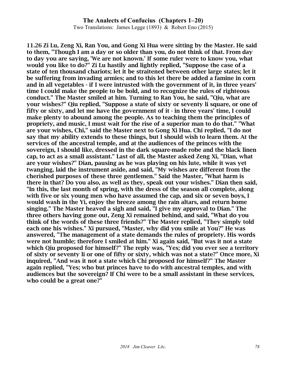Two Translations: James Legge (1893) & Robert Eno (2015)

11.26 Zi Lu, Zeng Xi, Ran You, and Gong Xi Hua were sitting by the Master. He said to them, "Though I am a day or so older than you, do not think of that. From day to day you are saying, 'We are not known.' If some ruler were to know you, what would you like to do?" Zi Lu hastily and lightly replied, "Suppose the case of a state of ten thousand chariots; let it be straitened between other large states; let it be suffering from invading armies; and to this let there be added a famine in corn and in all vegetables - if I were intrusted with the government of it, in three years' time I could make the people to be bold, and to recognize the rules of righteous conduct." The Master smiled at him. Turning to Ran You, he said, "Qiu, what are your wishes?" Qiu replied, "Suppose a state of sixty or seventy li square, or one of fifty or sixty, and let me have the government of it - in three years' time, I could make plenty to abound among the people. As to teaching them the principles of propriety, and music, I must wait for the rise of a superior man to do that." "What are your wishes, Chi," said the Master next to Gong Xi Hua. Chi replied, "I do not say that my ability extends to these things, but I should wish to learn them. At the services of the ancestral temple, and at the audiences of the princes with the sovereign, I should like, dressed in the dark square-made robe and the black linen cap, to act as a small assistant." Last of all, the Master asked Zeng Xi, "Dian, what are your wishes?" Dian, pausing as he was playing on his lute, while it was yet twanging, laid the instrument aside, and said, "My wishes are different from the cherished purposes of these three gentlemen." Said the Master, "What harm is there in that? Do you also, as well as they, speak out your wishes." Dian then said, "In this, the last month of spring, with the dress of the season all complete, along with five or six young men who have assumed the cap, and six or seven boys, I would wash in the Yi, enjoy the breeze among the rain altars, and return home singing." The Master heaved a sigh and said, "I give my approval to Dian." The three others having gone out, Zeng Xi remained behind, and said, "What do you think of the words of these three friends?" The Master replied, "They simply told each one his wishes." Xi pursued, "Master, why did you smile at You?" He was answered, "The management of a state demands the rules of propriety. His words were not humble; therefore I smiled at him." Xi again said, "But was it not a state which Qiu proposed for himself?" The reply was, "Yes; did you ever see a territory of sixty or seventy li or one of fifty or sixty, which was not a state?" Once more, Xi inquired, "And was it not a state which Chi proposed for himself?" The Master again replied, "Yes; who but princes have to do with ancestral temples, and with audiences but the sovereign? If Chi were to be a small assistant in these services, who could be a great one?"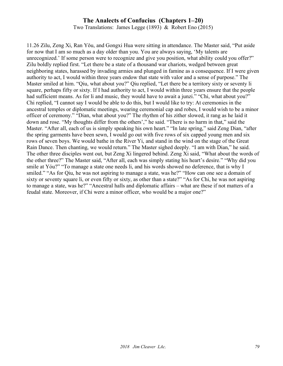Two Translations: James Legge (1893) & Robert Eno (2015)

11.26 Zilu, Zeng Xi, Ran Yǒu, and Gongxi Hua were sitting in attendance. The Master said, "Put aside for now that I am so much as a day older than you. You are always saying, 'My talents are unrecognized.' If some person were to recognize and give you position, what ability could you offer?" Zilu boldly replied first. "Let there be a state of a thousand war chariots, wedged between great neighboring states, harassed by invading armies and plunged in famine as a consequence. If I were given authority to act, I would within three years endow that state with valor and a sense of purpose." The Master smiled at him. "Qiu, what about you?" Qiu replied, "Let there be a territory sixty or seventy li square, perhaps fifty or sixty. If I had authority to act, I would within three years ensure that the people had sufficient means. As for li and music, they would have to await a junzi." "Chi, what about you?" Chi replied, "I cannot say I would be able to do this, but I would like to try: At ceremonies in the ancestral temples or diplomatic meetings, wearing ceremonial cap and robes, I would wish to be a minor officer of ceremony." "Dian, what about you?" The rhythm of his zither slowed, it rang as he laid it down and rose. "My thoughts differ from the others'," he said. "There is no harm in that," said the Master. "After all, each of us is simply speaking his own heart." "In late spring," said Zeng Dian, "after the spring garments have been sewn, I would go out with five rows of six capped young men and six rows of seven boys. We would bathe in the River Yi, and stand in the wind on the stage of the Great Rain Dance. Then chanting, we would return." The Master sighed deeply. "I am with Dian," he said. The other three disciples went out, but Zeng Xi lingered behind. Zeng Xi said, "What about the words of the other three?" The Master said, "After all, each was simply stating his heart's desire." "Why did you smile at Yóu?" "To manage a state one needs li, and his words showed no deference, that is why I smiled." "As for Qiu, he was not aspiring to manage a state, was he?" "How can one see a domain of sixty or seventy square li, or even fifty or sixty, as other than a state?" "As for Chi, he was not aspiring to manage a state, was he?" "Ancestral halls and diplomatic affairs – what are these if not matters of a feudal state. Moreover, if Chi were a minor officer, who would be a major one?"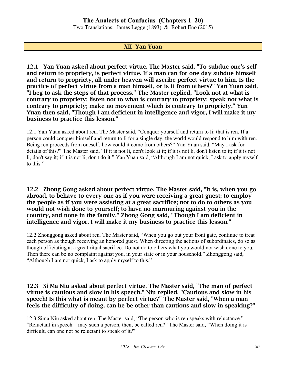Two Translations: James Legge (1893) & Robert Eno (2015)

#### XII Yan Yuan

12.1 Yan Yuan asked about perfect virtue. The Master said, "To subdue one's self and return to propriety, is perfect virtue. If a man can for one day subdue himself and return to propriety, all under heaven will ascribe perfect virtue to him. Is the practice of perfect virtue from a man himself, or is it from others?" Yan Yuan said, "I beg to ask the steps of that process." The Master replied, "Look not at what is contrary to propriety; listen not to what is contrary to propriety; speak not what is contrary to propriety; make no movement which is contrary to propriety." Yan Yuan then said, "Though I am deficient in intelligence and vigor, I will make it my business to practice this lesson."

12.1 Yan Yuan asked about ren. The Master said, "Conquer yourself and return to li: that is ren. If a person could conquer himself and return to li for a single day, the world would respond to him with ren. Being ren proceeds from oneself, how could it come from others?" Yan Yuan said, "May I ask for details of this?" The Master said, "If it is not li, don't look at it; if it is not li, don't listen to it; if it is not li, don't say it; if it is not li, don't do it." Yan Yuan said, "Although I am not quick, I ask to apply myself to this."

12.2 Zhong Gong asked about perfect virtue. The Master said, "It is, when you go abroad, to behave to every one as if you were receiving a great guest; to employ the people as if you were assisting at a great sacrifice; not to do to others as you would not wish done to yourself; to have no murmuring against you in the country, and none in the family." Zhong Gong said, "Though I am deficient in intelligence and vigor, I will make it my business to practice this lesson."

12.2 Zhonggong asked about ren. The Master said, "When you go out your front gate, continue to treat each person as though receiving an honored guest. When directing the actions of subordinates, do so as though officiating at a great ritual sacrifice. Do not do to others what you would not wish done to you. Then there can be no complaint against you, in your state or in your household." Zhonggong said, "Although I am not quick, I ask to apply myself to this."

#### 12.3 Si Ma Niu asked about perfect virtue. The Master said, "The man of perfect virtue is cautious and slow in his speech." Niu replied, "Cautious and slow in his speech! Is this what is meant by perfect virtue?" The Master said, "When a man feels the difficulty of doing, can he be other than cautious and slow in speaking?"

12.3 Sima Niu asked about ren. The Master said, "The person who is ren speaks with reluctance." "Reluctant in speech – may such a person, then, be called ren?" The Master said, "When doing it is difficult, can one not be reluctant to speak of it?"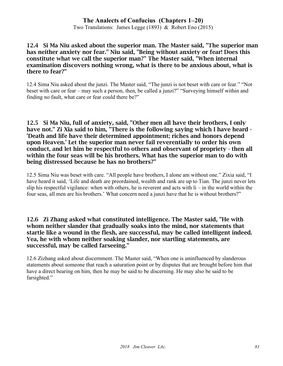Two Translations: James Legge (1893) & Robert Eno (2015)

#### 12.4 Si Ma Niu asked about the superior man. The Master said, "The superior man has neither anxiety nor fear." Niu said, "Being without anxiety or fear! Does this constitute what we call the superior man?" The Master said, "When internal examination discovers nothing wrong, what is there to be anxious about, what is there to fear?"

12.4 Sima Niu asked about the junzi. The Master said, "The junzi is not beset with care or fear." "Not beset with care or fear – may such a person, then, be called a junzi?" "Surveying himself within and finding no fault, what care or fear could there be?"

#### 12.5 Si Ma Niu, full of anxiety, said, "Other men all have their brothers, I only have not." Zi Xia said to him, "There is the following saying which I have heard - 'Death and life have their determined appointment; riches and honors depend upon Heaven.' Let the superior man never fail reverentially to order his own conduct, and let him be respectful to others and observant of propriety - then all within the four seas will be his brothers. What has the superior man to do with being distressed because he has no brothers?"

12.5 Sima Niu was beset with care. "All people have brothers, I alone am without one." Zixia said, "I have heard it said, 'Life and death are preordained, wealth and rank are up to Tian. The junzi never lets slip his respectful vigilance: when with others, he is reverent and acts with  $\mathrm{li}$  – in the world within the four seas, all men are his brothers.' What concern need a junzi have that he is without brothers?"

#### 12.6 Zi Zhang asked what constituted intelligence. The Master said, "He with whom neither slander that gradually soaks into the mind, nor statements that startle like a wound in the flesh, are successful, may be called intelligent indeed. Yea, he with whom neither soaking slander, nor startling statements, are successful, may be called farseeing."

12.6 Zizhang asked about discernment. The Master said, "When one is uninfluenced by slanderous statements about someone that reach a saturation point or by disputes that are brought before him that have a direct bearing on him, then he may be said to be discerning. He may also be said to be farsighted."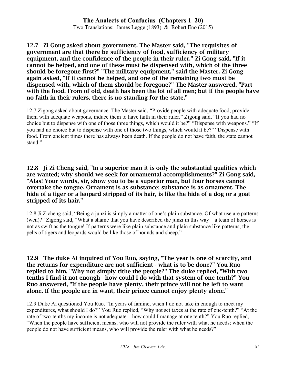#### **The Analects of Confucius (Chapters 1–20)** Two Translations: James Legge (1893) & Robert Eno (2015)

#### 12.7 Zi Gong asked about government. The Master said, "The requisites of government are that there be sufficiency of food, sufficiency of military equipment, and the confidence of the people in their ruler." Zi Gong said, "If it cannot be helped, and one of these must be dispensed with, which of the three should be foregone first?" "The military equipment," said the Master. Zi Gong again asked, "If it cannot be helped, and one of the remaining two must be dispensed with, which of them should be foregone?" The Master answered, "Part with the food. From of old, death has been the lot of all men; but if the people have no faith in their rulers, there is no standing for the state."

12.7 Zigong asked about governance. The Master said, "Provide people with adequate food, provide them with adequate weapons, induce them to have faith in their ruler." Zigong said, "If you had no choice but to dispense with one of those three things, which would it be?" "Dispense with weapons." "If you had no choice but to dispense with one of those two things, which would it be?" "Dispense with food. From ancient times there has always been death. If the people do not have faith, the state cannot stand."

12.8 Ji Zi Cheng said, "In a superior man it is only the substantial qualities which are wanted; why should we seek for ornamental accomplishments?" Zi Gong said, "Alas! Your words, sir, show you to be a superior man, but four horses cannot overtake the tongue. Ornament is as substance; substance is as ornament. The hide of a tiger or a leopard stripped of its hair, is like the hide of a dog or a goat stripped of its hair."

12.8 Ji Zicheng said, "Being a junzi is simply a matter of one's plain substance. Of what use are patterns (wen)?" Zigong said, "What a shame that you have described the junzi in this way – a team of horses is not as swift as the tongue! If patterns were like plain substance and plain substance like patterns, the pelts of tigers and leopards would be like those of hounds and sheep."

12.9 The duke Ai inquired of You Ruo, saying, "The year is one of scarcity, and the returns for expenditure are not sufficient - what is to be done?" You Ruo replied to him, "Why not simply tithe the people?" The duke replied, "With two tenths I find it not enough - how could I do with that system of one tenth?" You Ruo answered, "If the people have plenty, their prince will not be left to want alone. If the people are in want, their prince cannot enjoy plenty alone."

12.9 Duke Ai questioned You Ruo. "In years of famine, when I do not take in enough to meet my expenditures, what should I do?" You Ruo replied, "Why not set taxes at the rate of one-tenth?" "At the rate of two-tenths my income is not adequate – how could I manage at one tenth?" You Ruo replied, "When the people have sufficient means, who will not provide the ruler with what he needs; when the people do not have sufficient means, who will provide the ruler with what he needs?"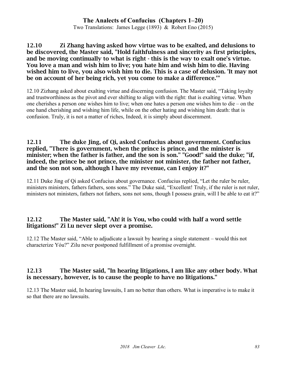Two Translations: James Legge (1893) & Robert Eno (2015)

#### 12.10 Zi Zhang having asked how virtue was to be exalted, and delusions to be discovered, the Master said, "Hold faithfulness and sincerity as first principles, and be moving continually to what is right - this is the way to exalt one's virtue. You love a man and wish him to live; you hate him and wish him to die. Having wished him to live, you also wish him to die. This is a case of delusion. 'It may not be on account of her being rich, yet you come to make a difference.'"

12.10 Zizhang asked about exalting virtue and discerning confusion. The Master said, "Taking loyalty and trustworthiness as the pivot and ever shifting to align with the right: that is exalting virtue. When one cherishes a person one wishes him to live; when one hates a person one wishes him to die – on the one hand cherishing and wishing him life, while on the other hating and wishing him death: that is confusion. Truly, it is not a matter of riches, Indeed, it is simply about discernment.

#### 12.11 The duke Jing, of Qi, asked Confucius about government. Confucius replied, "There is government, when the prince is prince, and the minister is minister; when the father is father, and the son is son." "Good!" said the duke; "if, indeed, the prince be not prince, the minister not minister, the father not father, and the son not son, although I have my revenue, can I enjoy it?"

12.11 Duke Jing of Qi asked Confucius about governance. Confucius replied, "Let the ruler be ruler, ministers ministers, fathers fathers, sons sons." The Duke said, "Excellent! Truly, if the ruler is not ruler, ministers not ministers, fathers not fathers, sons not sons, though I possess grain, will I be able to eat it?"

#### 12.12 The Master said, "Ah! it is You, who could with half a word settle litigations!" Zi Lu never slept over a promise.

12.12 The Master said, "Able to adjudicate a lawsuit by hearing a single statement – would this not characterize Yóu?" Zilu never postponed fulfillment of a promise overnight.

### 12.13 The Master said, "In hearing litigations, I am like any other body. What is necessary, however, is to cause the people to have no litigations."

12.13 The Master said, In hearing lawsuits, I am no better than others. What is imperative is to make it so that there are no lawsuits.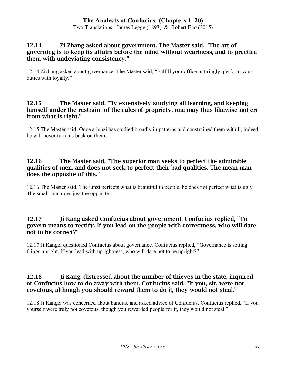Two Translations: James Legge (1893) & Robert Eno (2015)

#### 12.14 Zi Zhang asked about government. The Master said, "The art of governing is to keep its affairs before the mind without weariness, and to practice them with undeviating consistency."

12.14 Zizhang asked about governance. The Master said, "Fulfill your office untiringly, perform your duties with loyalty."

#### 12.15 The Master said, "By extensively studying all learning, and keeping himself under the restraint of the rules of propriety, one may thus likewise not err from what is right."

12.15 The Master said, Once a junzi has studied broadly in patterns and constrained them with li, indeed he will never turn his back on them.

#### 12.16 The Master said, "The superior man seeks to perfect the admirable qualities of men, and does not seek to perfect their bad qualities. The mean man does the opposite of this."

12.16 The Master said, The junzi perfects what is beautiful in people, he does not perfect what is ugly. The small man does just the opposite.

### 12.17 Ji Kang asked Confucius about government. Confucius replied, "To govern means to rectify. If you lead on the people with correctness, who will dare not to be correct?"

12.17 Ji Kangzi questioned Confucius about governance. Confucius replied, "Governance is setting things upright. If you lead with uprightness, who will dare not to be upright?"

### 12.18 Ji Kang, distressed about the number of thieves in the state, inquired of Confucius how to do away with them. Confucius said, "If you, sir, were not covetous, although you should reward them to do it, they would not steal."

12.18 Ji Kangzi was concerned about bandits, and asked advice of Confucius. Confucius replied, "If you yourself were truly not covetous, though you rewarded people for it, they would not steal."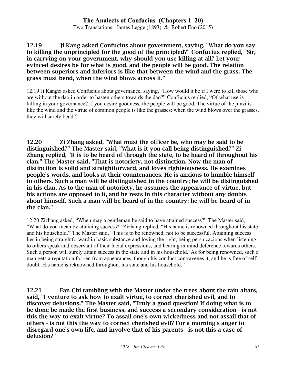Two Translations: James Legge (1893) & Robert Eno (2015)

12.19 Ji Kang asked Confucius about government, saying, "What do you say to killing the unprincipled for the good of the principled?" Confucius replied, "Sir, in carrying on your government, why should you use killing at all? Let your evinced desires be for what is good, and the people will be good. The relation between superiors and inferiors is like that between the wind and the grass. The grass must bend, when the wind blows across it."

12.19 Ji Kangzi asked Confucius about governance, saying, "How would it be if I were to kill those who are without the dao in order to hasten others towards the dao?" Confucius replied, "Of what use is killing in your governance? If you desire goodness, the people will be good. The virtue of the junzi is like the wind and the virtue of common people is like the grasses: when the wind blows over the grasses, they will surely bend."

12.20 Zi Zhang asked, "What must the officer be, who may be said to be distinguished?" The Master said, "What is it you call being distinguished?" Zi Zhang replied, "It is to be heard of through the state, to be heard of throughout his clan." The Master said, "That is notoriety, not distinction. Now the man of distinction is solid and straightforward, and loves righteousness. He examines people's words, and looks at their countenances. He is anxious to humble himself to others. Such a man will be distinguished in the country; he will be distinguished in his clan. As to the man of notoriety, he assumes the appearance of virtue, but his actions are opposed to it, and he rests in this character without any doubts about himself. Such a man will be heard of in the country; he will be heard of in the clan."

12.20 Zizhang asked, "When may a gentleman be said to have attained success?" The Master said, "What do you mean by attaining success?" Zizhang replied, "His name is renowned throughout his state and his household." The Master said, "This is to be renowned, not to be successful. Attaining success lies in being straightforward in basic substance and loving the right, being perspicacious when listening to others speak and observant of their facial expressions, and bearing in mind deference towards others. Such a person will surely attain success in the state and in his household."As for being renowned, such a man gets a reputation for ren from appearances, though his conduct contravenes it, and he is free of selfdoubt. His name is reknowned throughout his state and his household."

12.21 Fan Chi rambling with the Master under the trees about the rain altars, said, "I venture to ask how to exalt virtue, to correct cherished evil, and to discover delusions." The Master said, "Truly a good question! If doing what is to be done be made the first business, and success a secondary consideration - is not this the way to exalt virtue? To assail one's own wickedness and not assail that of others - is not this the way to correct cherished evil? For a morning's anger to disregard one's own life, and involve that of his parents - is not this a case of delusion?"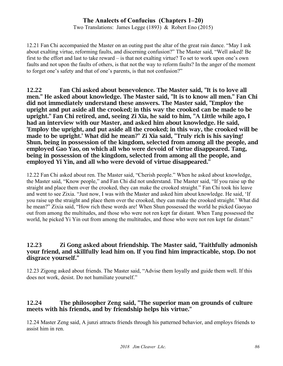Two Translations: James Legge (1893) & Robert Eno (2015)

12.21 Fan Chi accompanied the Master on an outing past the altar of the great rain dance. "May I ask about exalting virtue, reforming faults, and discerning confusion?" The Master said, "Well asked! Be first to the effort and last to take reward – is that not exalting virtue? To set to work upon one's own faults and not upon the faults of others, is that not the way to reform faults? In the anger of the moment to forget one's safety and that of one's parents, is that not confusion?"

12.22 Fan Chi asked about benevolence. The Master said, "It is to love all men." He asked about knowledge. The Master said, "It is to know all men." Fan Chi did not immediately understand these answers. The Master said, "Employ the upright and put aside all the crooked; in this way the crooked can be made to be upright." Fan Chi retired, and, seeing Zi Xia, he said to him, "A Little while ago, I had an interview with our Master, and asked him about knowledge. He said, 'Employ the upright, and put aside all the crooked; in this way, the crooked will be made to be upright.' What did he mean?" Zi Xia said, "Truly rich is his saying! Shun, being in possession of the kingdom, selected from among all the people, and employed Gao Yao, on which all who were devoid of virtue disappeared. Tang, being in possession of the kingdom, selected from among all the people, and employed Yi Yin, and all who were devoid of virtue disappeared."

12.22 Fan Chi asked about ren. The Master said, "Cherish people." When he asked about knowledge, the Master said, "Know people," and Fan Chi did not understand. The Master said, "If you raise up the straight and place them over the crooked, they can make the crooked straight." Fan Chi took his leave and went to see Zixia. "Just now, I was with the Master and asked him about knowledge. He said, 'If you raise up the straight and place them over the crooked, they can make the crooked straight.' What did he mean?" Zixia said, "How rich these words are! When Shun possessed the world he picked Gaoyao out from among the multitudes, and those who were not ren kept far distant. When Tang possessed the world, he picked Yi Yin out from among the multitudes, and those who were not ren kept far distant."

#### 12.23 Zi Gong asked about friendship. The Master said, "Faithfully admonish your friend, and skillfully lead him on. If you find him impracticable, stop. Do not disgrace yourself."

12.23 Zigong asked about friends. The Master said, "Advise them loyally and guide them well. If this does not work, desist. Do not humiliate yourself."

# 12.24 The philosopher Zeng said, "The superior man on grounds of culture meets with his friends, and by friendship helps his virtue."

12.24 Master Zeng said, A junzi attracts friends through his patterned behavior, and employs friends to assist him in ren.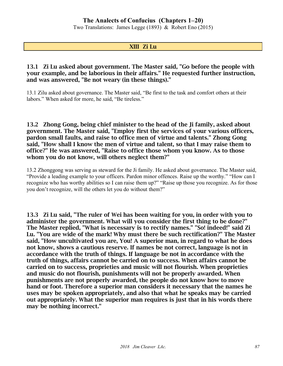Two Translations: James Legge (1893) & Robert Eno (2015)

#### XIII Zi Lu

#### 13.1 Zi Lu asked about government. The Master said, "Go before the people with your example, and be laborious in their affairs." He requested further instruction, and was answered, "Be not weary (in these things)."

13.1 Zilu asked about governance. The Master said, "Be first to the task and comfort others at their labors." When asked for more, he said, "Be tireless."

13.2 Zhong Gong, being chief minister to the head of the Ji family, asked about government. The Master said, "Employ first the services of your various officers, pardon small faults, and raise to office men of virtue and talents." Zhong Gong said, "How shall I know the men of virtue and talent, so that I may raise them to office?" He was answered, "Raise to office those whom you know. As to those whom you do not know, will others neglect them?"

13.2 Zhonggong was serving as steward for the Ji family. He asked about governance. The Master said, "Provide a leading example to your officers. Pardon minor offences. Raise up the worthy." "How can I recognize who has worthy abilities so I can raise them up?" "Raise up those you recognize. As for those you don't recognize, will the others let you do without them?"

13.3 Zi Lu said, "The ruler of Wei has been waiting for you, in order with you to administer the government. What will you consider the first thing to be done?" The Master replied, "What is necessary is to rectify names." "So! indeed!" said Zi Lu. "You are wide of the mark! Why must there be such rectification?" The Master said, "How uncultivated you are, You! A superior man, in regard to what he does not know, shows a cautious reserve. If names be not correct, language is not in accordance with the truth of things. If language be not in accordance with the truth of things, affairs cannot be carried on to success. When affairs cannot be carried on to success, proprieties and music will not flourish. When proprieties and music do not flourish, punishments will not be properly awarded. When punishments are not properly awarded, the people do not know how to move hand or foot. Therefore a superior man considers it necessary that the names he uses may be spoken appropriately, and also that what he speaks may be carried out appropriately. What the superior man requires is just that in his words there may be nothing incorrect."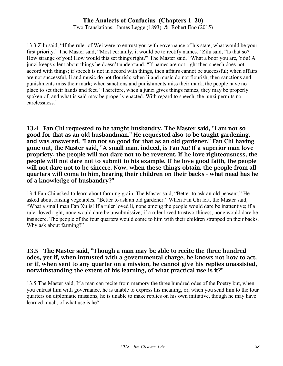Two Translations: James Legge (1893) & Robert Eno (2015)

13.3 Zilu said, "If the ruler of Wei were to entrust you with governance of his state, what would be your first priority." The Master said, "Most certainly, it would be to rectify names." Zilu said, "Is that so? How strange of you! How would this set things right?" The Master said, "What a boor you are, Yóu! A junzi keeps silent about things he doesn't understand. "If names are not right then speech does not accord with things; if speech is not in accord with things, then affairs cannot be successful; when affairs are not successful, li and music do not flourish; when li and music do not flourish, then sanctions and punishments miss their mark; when sanctions and punishments miss their mark, the people have no place to set their hands and feet. "Therefore, when a junzi gives things names, they may be properly spoken of, and what is said may be properly enacted. With regard to speech, the junzi permits no carelessness."

13.4 Fan Chi requested to be taught husbandry. The Master said, "I am not so good for that as an old husbandman." He requested also to be taught gardening, and was answered, "I am not so good for that as an old gardener." Fan Chi having gone out, the Master said, "A small man, indeed, is Fan Xu! If a superior man love propriety, the people will not dare not to be reverent. If he love righteousness, the people will not dare not to submit to his example. If he love good faith, the people will not dare not to be sincere. Now, when these things obtain, the people from all quarters will come to him, bearing their children on their backs - what need has he of a knowledge of husbandry?"

13.4 Fan Chi asked to learn about farming grain. The Master said, "Better to ask an old peasant." He asked about raising vegetables. "Better to ask an old gardener." When Fan Chi left, the Master said, "What a small man Fan Xu is! If a ruler loved li, none among the people would dare be inattentive; if a ruler loved right, none would dare be unsubmissive; if a ruler loved trustworthiness, none would dare be insincere. The people of the four quarters would come to him with their children strapped on their backs. Why ask about farming?"

#### 13.5 The Master said, "Though a man may be able to recite the three hundred odes, yet if, when intrusted with a governmental charge, he knows not how to act, or if, when sent to any quarter on a mission, he cannot give his replies unassisted, notwithstanding the extent of his learning, of what practical use is it?"

13.5 The Master said, If a man can recite from memory the three hundred odes of the Poetry but, when you entrust him with governance, he is unable to express his meaning, or, when you send him to the four quarters on diplomatic missions, he is unable to make replies on his own initiative, though he may have learned much, of what use is he?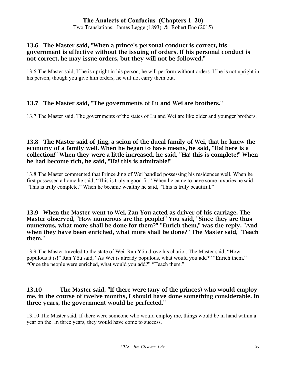Two Translations: James Legge (1893) & Robert Eno (2015)

#### 13.6 The Master said, "When a prince's personal conduct is correct, his government is effective without the issuing of orders. If his personal conduct is not correct, he may issue orders, but they will not be followed."

13.6 The Master said, If he is upright in his person, he will perform without orders. If he is not upright in his person, though you give him orders, he will not carry them out.

# 13.7 The Master said, "The governments of Lu and Wei are brothers."

13.7 The Master said, The governments of the states of Lu and Wei are like older and younger brothers.

#### 13.8 The Master said of Jing, a scion of the ducal family of Wei, that he knew the economy of a family well. When he began to have means, he said, "Ha! here is a collection!" When they were a little increased, he said, "Ha! this is complete!" When he had become rich, he said, "Ha! this is admirable!"

13.8 The Master commented that Prince Jing of Wei handled possessing his residences well. When he first possessed a home he said, "This is truly a good fit." When he came to have some luxuries he said, "This is truly complete." When he became wealthy he said, "This is truly beautiful."

#### 13.9 When the Master went to Wei, Zan You acted as driver of his carriage. The Master observed, "How numerous are the people!" You said, "Since they are thus numerous, what more shall be done for them?" "Enrich them," was the reply. "And when they have been enriched, what more shall be done?" The Master said, "Teach them."

13.9 The Master traveled to the state of Wei. Ran Yǒu drove his chariot. The Master said, "How populous it is!" Ran Yǒu said, "As Wei is already populous, what would you add?" "Enrich them." "Once the people were enriched, what would you add?" "Teach them."

### 13.10 The Master said, "If there were (any of the princes) who would employ me, in the course of twelve months, I should have done something considerable. In three years, the government would be perfected."

13.10 The Master said, If there were someone who would employ me, things would be in hand within a year on the. In three years, they would have come to success.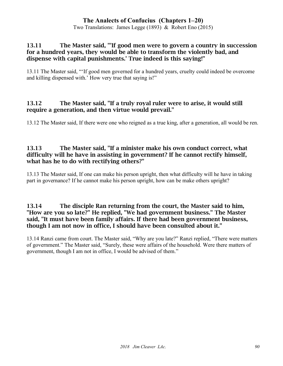Two Translations: James Legge (1893) & Robert Eno (2015)

#### 13.11 The Master said, "'If good men were to govern a country in succession for a hundred years, they would be able to transform the violently bad, and dispense with capital punishments.' True indeed is this saying!"

13.11 The Master said, "'If good men governed for a hundred years, cruelty could indeed be overcome and killing dispensed with.' How very true that saying is!"

### 13.12 The Master said, "If a truly royal ruler were to arise, it would still require a generation, and then virtue would prevail."

13.12 The Master said, If there were one who reigned as a true king, after a generation, all would be ren.

#### 13.13 The Master said, "If a minister make his own conduct correct, what difficulty will he have in assisting in government? If he cannot rectify himself, what has he to do with rectifying others?"

13.13 The Master said, If one can make his person upright, then what difficulty will he have in taking part in governance? If he cannot make his person upright, how can be make others upright?

#### 13.14 The disciple Ran returning from the court, the Master said to him, "How are you so late?" He replied, "We had government business." The Master said, "It must have been family affairs. If there had been government business, though I am not now in office, I should have been consulted about it."

13.14 Ranzi came from court. The Master said, "Why are you late?" Ranzi replied, "There were matters of government." The Master said, "Surely, these were affairs of the household. Were there matters of government, though I am not in office, I would be advised of them."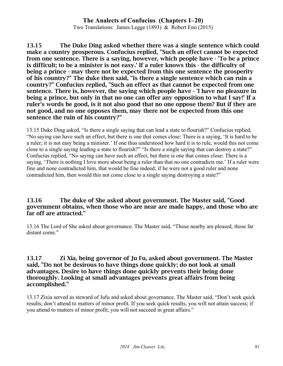Two Translations: James Legge (1893) & Robert Eno (2015)

13.15 The Duke Ding asked whether there was a single sentence which could make a country prosperous. Confucius replied, "Such an effect cannot be expected from one sentence. There is a saying, however, which people have - 'To be a prince is difficult; to be a minister is not easy.' If a ruler knows this - the difficulty of being a prince - may there not be expected from this one sentence the prosperity of his country?" The duke then said, "Is there a single sentence which can ruin a country?" Confucius replied, "Such an effect as that cannot be expected from one sentence. There is, however, the saying which people have - 'I have no pleasure in being a prince, but only in that no one can offer any opposition to what I say!' If a ruler's words be good, is it not also good that no one oppose them? But if they are not good, and no one opposes them, may there not be expected from this one sentence the ruin of his country?"

13.15 Duke Ding asked, "Is there a single saying that can lead a state to flourish?" Confucius replied, "No saying can have such an effect, but there is one that comes close: There is a saying, 'It is hard to be a ruler; it is not easy being a minister.' If one thus understood how hard it is to rule, would this not come close to a single saying leading a state to flourish?" "Is there a single saying that can destroy a state?" Confucius replied, "No saying can have such an effect, but there is one that comes close: There is a saying, 'There is nothing I love more about being a ruler than that no one contradicts me.' If a ruler were fine and none contradicted him, that would be fine indeed; if he were not a good ruler and none contradicted him, then would this not come close to a single saying destroying a state?"

#### 13.16 The duke of She asked about government. The Master said, "Good government obtains, when those who are near are made happy, and those who are far off are attracted."

13.16 The Lord of She asked about governance. The Master said, "Those nearby are pleased, those far distant come."

#### 13.17 Zi Xia, being governor of Ju Fu, asked about government. The Master said, "Do not be desirous to have things done quickly; do not look at small advantages. Desire to have things done quickly prevents their being done thoroughly. Looking at small advantages prevents great affairs from being accomplished."

13.17 Zixia served as steward of Jufu and asked about governance. The Master said, "Don't seek quick results; don't attend to matters of minor profit. If you seek quick results, you will not attain success; if you attend to matters of minor profit, you will not succeed in great affairs."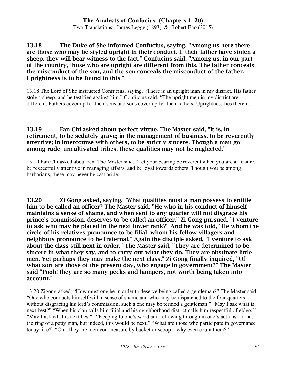Two Translations: James Legge (1893) & Robert Eno (2015)

13.18 The Duke of She informed Confucius, saying, "Among us here there are those who may be styled upright in their conduct. If their father have stolen a sheep, they will bear witness to the fact." Confucius said, "Among us, in our part of the country, those who are upright are different from this. The father conceals the misconduct of the son, and the son conceals the misconduct of the father. Uprightness is to be found in this."

13.18 The Lord of She instructed Confucius, saying, "There is an upright man in my district. His father stole a sheep, and he testified against him." Confucius said, "The upright men in my district are different. Fathers cover up for their sons and sons cover up for their fathers. Uprightness lies therein."

#### 13.19 Fan Chi asked about perfect virtue. The Master said, "It is, in retirement, to be sedately grave; in the management of business, to be reverently attentive; in intercourse with others, to be strictly sincere. Though a man go among rude, uncultivated tribes, these qualities may not be neglected."

13.19 Fan Chi asked about ren. The Master said, "Let your bearing be reverent when you are at leisure, be respectfully attentive in managing affairs, and be loyal towards others. Though you be among barbarians, these may never be cast aside."

13.20 Zi Gong asked, saying, "What qualities must a man possess to entitle him to be called an officer? The Master said, "He who in his conduct of himself maintains a sense of shame, and when sent to any quarter will not disgrace his prince's commission, deserves to be called an officer." Zi Gong pursued, "I venture to ask who may be placed in the next lower rank?" And he was told, "He whom the circle of his relatives pronounce to be filial, whom his fellow villagers and neighbors pronounce to be fraternal." Again the disciple asked, "I venture to ask about the class still next in order." The Master said, "They are determined to be sincere in what they say, and to carry out what they do. They are obstinate little men. Yet perhaps they may make the next class." Zi Gong finally inquired, "Of what sort are those of the present day, who engage in government?" The Master said "Pooh! they are so many pecks and hampers, not worth being taken into account."

13.20 Zigong asked, "How must one be in order to deserve being called a gentleman?" The Master said, "One who conducts himself with a sense of shame and who may be dispatched to the four quarters without disgracing his lord's commission, such a one may be termed a gentleman." "May I ask what is next best?" "When his clan calls him filial and his neighborhood district calls him respectful of elders." "May I ask what is next best?" "Keeping to one's word and following through in one's actions – it has the ring of a petty man, but indeed, this would be next." "What are those who participate in governance today like?" "Oh! They are men you measure by bucket or scoop – why even count them?"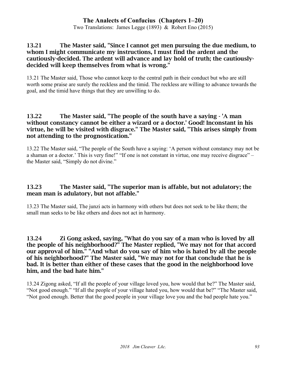Two Translations: James Legge (1893) & Robert Eno (2015)

#### 13.21 The Master said, "Since I cannot get men pursuing the due medium, to whom I might communicate my instructions, I must find the ardent and the cautiously-decided. The ardent will advance and lay hold of truth; the cautiouslydecided will keep themselves from what is wrong."

13.21 The Master said, Those who cannot keep to the central path in their conduct but who are still worth some praise are surely the reckless and the timid. The reckless are willing to advance towards the goal, and the timid have things that they are unwilling to do.

#### 13.22 The Master said, "The people of the south have a saying - 'A man without constancy cannot be either a wizard or a doctor.' Good! Inconstant in his virtue, he will be visited with disgrace." The Master said, "This arises simply from not attending to the prognostication."

13.22 The Master said, "The people of the South have a saying: 'A person without constancy may not be a shaman or a doctor.' This is very fine!" "If one is not constant in virtue, one may receive disgrace" – the Master said, "Simply do not divine."

### 13.23 The Master said, "The superior man is affable, but not adulatory; the mean man is adulatory, but not affable."

13.23 The Master said, The junzi acts in harmony with others but does not seek to be like them; the small man seeks to be like others and does not act in harmony.

13.24 Zi Gong asked, saying, "What do you say of a man who is loved by all the people of his neighborhood?" The Master replied, "We may not for that accord our approval of him." "And what do you say of him who is hated by all the people of his neighborhood?" The Master said, "We may not for that conclude that he is bad. It is better than either of these cases that the good in the neighborhood love him, and the bad hate him."

13.24 Zigong asked, "If all the people of your village loved you, how would that be?" The Master said, "Not good enough." "If all the people of your village hated you, how would that be?" "The Master said, "Not good enough. Better that the good people in your village love you and the bad people hate you."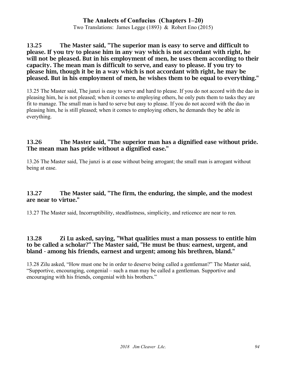Two Translations: James Legge (1893) & Robert Eno (2015)

#### 13.25 The Master said, "The superior man is easy to serve and difficult to please. If you try to please him in any way which is not accordant with right, he will not be pleased. But in his employment of men, he uses them according to their capacity. The mean man is difficult to serve, and easy to please. If you try to please him, though it be in a way which is not accordant with right, he may be pleased. But in his employment of men, he wishes them to be equal to everything."

13.25 The Master said, The junzi is easy to serve and hard to please. If you do not accord with the dao in pleasing him, he is not pleased; when it comes to employing others, he only puts them to tasks they are fit to manage. The small man is hard to serve but easy to please. If you do not accord with the dao in pleasing him, he is still pleased; when it comes to employing others, he demands they be able in everything.

#### 13.26 The Master said, "The superior man has a dignified ease without pride. The mean man has pride without a dignified ease."

13.26 The Master said, The junzi is at ease without being arrogant; the small man is arrogant without being at ease.

### 13.27 The Master said, "The firm, the enduring, the simple, and the modest are near to virtue."

13.27 The Master said, Incorruptibility, steadfastness, simplicity, and reticence are near to ren.

#### 13.28 Zi Lu asked, saying, "What qualities must a man possess to entitle him to be called a scholar?" The Master said, "He must be thus: earnest, urgent, and bland - among his friends, earnest and urgent; among his brethren, bland."

13.28 Zilu asked, "How must one be in order to deserve being called a gentleman?" The Master said, "Supportive, encouraging, congenial – such a man may be called a gentleman. Supportive and encouraging with his friends, congenial with his brothers."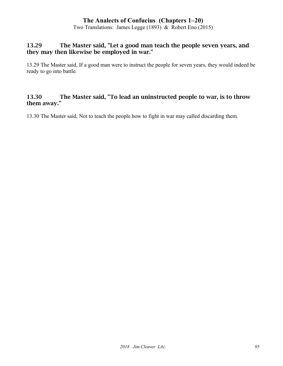Two Translations: James Legge (1893) & Robert Eno (2015)

#### 13.29 The Master said, "Let a good man teach the people seven years, and they may then likewise be employed in war."

13.29 The Master said, If a good man were to instruct the people for seven years, they would indeed be ready to go into battle.

### 13.30 The Master said, "To lead an uninstructed people to war, is to throw them away."

13.30 The Master said, Not to teach the people how to fight in war may called discarding them.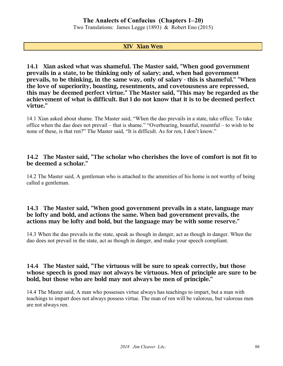Two Translations: James Legge (1893) & Robert Eno (2015)

#### XIV Xian Wen

14.1 Xian asked what was shameful. The Master said, "When good government prevails in a state, to be thinking only of salary; and, when bad government prevails, to be thinking, in the same way, only of salary - this is shameful." "When the love of superiority, boasting, resentments, and covetousness are repressed, this may be deemed perfect virtue." The Master said, "This may be regarded as the achievement of what is difficult. But I do not know that it is to be deemed perfect virtue."

14.1 Xian asked about shame. The Master said, "When the dao prevails in a state, take office. To take office when the dao does not prevail – that is shame." "Overbearing, boastful, resentful – to wish to be none of these, is that ren?" The Master said, "It is difficult. As for ren, I don't know."

#### 14.2 The Master said, "The scholar who cherishes the love of comfort is not fit to be deemed a scholar."

14.2 The Master said, A gentleman who is attached to the amenities of his home is not worthy of being called a gentleman.

#### 14.3 The Master said, "When good government prevails in a state, language may be lofty and bold, and actions the same. When bad government prevails, the actions may be lofty and bold, but the language may be with some reserve."

14.3 When the dao prevails in the state, speak as though in danger, act as though in danger. When the dao does not prevail in the state, act as though in danger, and make your speech compliant.

#### 14.4 The Master said, "The virtuous will be sure to speak correctly, but those whose speech is good may not always be virtuous. Men of principle are sure to be bold, but those who are bold may not always be men of principle."

14.4 The Master said, A man who possesses virtue always has teachings to impart, but a man with teachings to impart does not always possess virtue. The man of ren will be valorous, but valorous men are not always ren.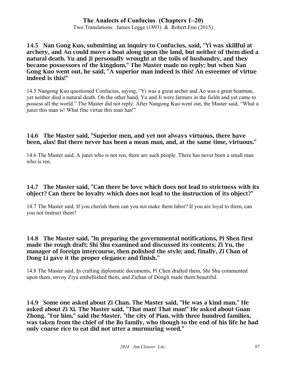Two Translations: James Legge (1893) & Robert Eno (2015)

#### 14.5 Nan Gong Kuo, submitting an inquiry to Confucius, said, "Yi was skillful at archery, and Ao could move a boat along upon the land, but neither of them died a natural death. Yu and Ji personally wrought at the toils of husbandry, and they became possessors of the kingdom." The Master made no reply; but when Nan Gong Kuo went out, he said, "A superior man indeed is this! An esteemer of virtue indeed is this!"

14.5 Nangong Kuo questioned Confucius, saying, "Yi was a great archer and Ao was a great boatman, yet neither died a natural death. On the other hand, Yu and Ji were farmers in the fields and yet came to possess all the world." The Master did not reply. After Nangong Kuo went out, the Master said, "What a junzi this man is! What fine virtue this man has!"

#### 14.6 The Master said, "Superior men, and yet not always virtuous, there have been, alas! But there never has been a mean man, and, at the same time, virtuous."

14.6 The Master said, A junzi who is not ren, there are such people. There has never been a small man who is ren.

#### 14.7 The Master said, "Can there be love which does not lead to strictness with its object? Can there be loyalty which does not lead to the instruction of its object?"

14.7 The Master said, If you cherish them can you not make them labor? If you are loyal to them, can you not instruct them?

#### 14.8 The Master said, "In preparing the governmental notifications, Pi Shen first made the rough draft; Shi Shu examined and discussed its contents; Zi Yu, the manager of foreign intercourse, then polished the style; and, finally, Zi Chan of Dong Li gave it the proper elegance and finish."

14.8 The Master said, In crafting diplomatic documents, Pi Chen drafted them, Shi Shu commented upon them, envoy Ziyu embellished them, and Zichan of Dongli made them beautiful.

14.9 Some one asked about Zi Chan. The Master said, "He was a kind man." He asked about Zi Xi. The Master said, "That man! That man!" He asked about Guan Zhong. "For him," said the Master, "the city of Pian, with three hundred families, was taken from the chief of the Bo family, who though to the end of his life he had only coarse rice to eat did not utter a murmuring word."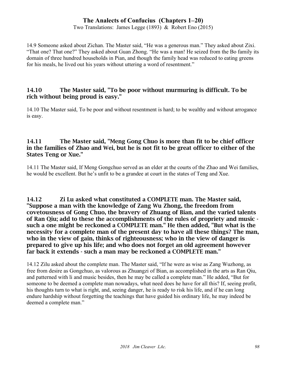Two Translations: James Legge (1893) & Robert Eno (2015)

14.9 Someone asked about Zichan. The Master said, "He was a generous man." They asked about Zixi. "That one? That one?" They asked about Guan Zhong. "He was a man! He seized from the Bo family its domain of three hundred households in Pian, and though the family head was reduced to eating greens for his meals, he lived out his years without uttering a word of resentment."

#### 14.10 The Master said, "To be poor without murmuring is difficult. To be rich without being proud is easy."

14.10 The Master said, To be poor and without resentment is hard; to be wealthy and without arrogance is easy.

#### 14.11 The Master said, "Meng Gong Chuo is more than fit to be chief officer in the families of Zhao and Wei, but he is not fit to be great officer to either of the States Teng or Xue."

14.11 The Master said, If Meng Gongchuo served as an elder at the courts of the Zhao and Wei families, he would be excellent. But he's unfit to be a grandee at court in the states of Teng and Xue.

14.12 Zi Lu asked what constituted a COMPLETE man. The Master said, "Suppose a man with the knowledge of Zang Wu Zhong, the freedom from covetousness of Gong Chuo, the bravery of Zhuang of Bian, and the varied talents of Ran Qiu; add to these the accomplishments of the rules of propriety and music such a one might be reckoned a COMPLETE man." He then added, "But what is the necessity for a complete man of the present day to have all these things? The man, who in the view of gain, thinks of righteousness; who in the view of danger is prepared to give up his life; and who does not forget an old agreement however far back it extends - such a man may be reckoned a COMPLETE man."

14.12 Zilu asked about the complete man. The Master said, "If he were as wise as Zang Wuzhong, as free from desire as Gongchuo, as valorous as Zhuangzi of Bian, as accomplished in the arts as Ran Qiu, and patterned with li and music besides, then he may be called a complete man." He added, "But for someone to be deemed a complete man nowadays, what need does he have for all this? If, seeing profit, his thoughts turn to what is right, and, seeing danger, he is ready to risk his life, and if he can long endure hardship without forgetting the teachings that have guided his ordinary life, he may indeed be deemed a complete man."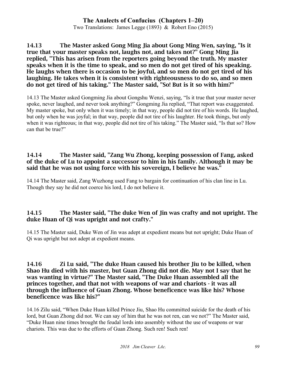Two Translations: James Legge (1893) & Robert Eno (2015)

14.13 The Master asked Gong Ming Jia about Gong Ming Wen, saying, "Is it true that your master speaks not, laughs not, and takes not?" Gong Ming Jia replied, "This has arisen from the reporters going beyond the truth. My master speaks when it is the time to speak, and so men do not get tired of his speaking. He laughs when there is occasion to be joyful, and so men do not get tired of his laughing. He takes when it is consistent with righteousness to do so, and so men do not get tired of his taking." The Master said, "So! But is it so with him?"

14.13 The Master asked Gongming Jia about Gongshu Wenzi, saying, "Is it true that your master never spoke, never laughed, and never took anything?" Gongming Jia replied, "That report was exaggerated. My master spoke, but only when it was timely; in that way, people did not tire of his words. He laughed, but only when he was joyful; in that way, people did not tire of his laughter. He took things, but only when it was righteous; in that way, people did not tire of his taking." The Master said, "Is that so? How can that be true?"

#### 14.14 The Master said, "Zang Wu Zhong, keeping possession of Fang, asked of the duke of Lu to appoint a successor to him in his family. Although it may be said that he was not using force with his sovereign, I believe he was."

14.14 The Master said, Zang Wuzhong used Fang to bargain for continuation of his clan line in Lu. Though they say he did not coerce his lord, I do not believe it.

# 14.15 The Master said, "The duke Wen of Jin was crafty and not upright. The duke Huan of Qi was upright and not crafty."

14.15 The Master said, Duke Wen of Jin was adept at expedient means but not upright; Duke Huan of Qi was upright but not adept at expedient means.

14.16 Zi Lu said, "The duke Huan caused his brother Jiu to be killed, when Shao Hu died with his master, but Guan Zhong did not die. May not I say that he was wanting in virtue?" The Master said, "The Duke Huan assembled all the princes together, and that not with weapons of war and chariots - it was all through the influence of Guan Zhong. Whose beneficence was like his? Whose beneficence was like his?"

14.16 Zilu said, "When Duke Huan killed Prince Jiu, Shao Hu committed suicide for the death of his lord, but Guan Zhong did not. We can say of him that he was not ren, can we not?" The Master said, "Duke Huan nine times brought the feudal lords into assembly without the use of weapons or war chariots. This was due to the efforts of Guan Zhong. Such ren! Such ren!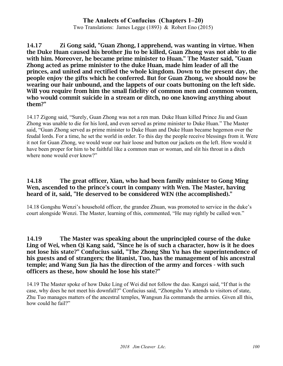Two Translations: James Legge (1893) & Robert Eno (2015)

14.17 Zi Gong said, "Guan Zhong, I apprehend, was wanting in virtue. When the Duke Huan caused his brother Jiu to be killed, Guan Zhong was not able to die with him. Moreover, he became prime minister to Huan." The Master said, "Guan Zhong acted as prime minister to the duke Huan, made him leader of all the princes, and united and rectified the whole kingdom. Down to the present day, the people enjoy the gifts which he conferred. But for Guan Zhong, we should now be wearing our hair unbound, and the lappets of our coats buttoning on the left side. Will you require from him the small fidelity of common men and common women, who would commit suicide in a stream or ditch, no one knowing anything about them?"

14.17 Zigong said, "Surely, Guan Zhong was not a ren man. Duke Huan killed Prince Jiu and Guan Zhong was unable to die for his lord, and even served as prime minister to Duke Huan." The Master said, "Guan Zhong served as prime minister to Duke Huan and Duke Huan became hegemon over the feudal lords. For a time, he set the world in order. To this day the people receive blessings from it. Were it not for Guan Zhong, we would wear our hair loose and button our jackets on the left. How would it have been proper for him to be faithful like a common man or woman, and slit his throat in a ditch where none would ever know?"

#### 14.18 The great officer, Xian, who had been family minister to Gong Ming Wen, ascended to the prince's court in company with Wen. The Master, having heard of it, said, "He deserved to be considered WEN (the accomplished)."

14.18 Gongshu Wenzi's household officer, the grandee Zhuan, was promoted to service in the duke's court alongside Wenzi. The Master, learning of this, commented, "He may rightly be called wen."

14.19 The Master was speaking about the unprincipled course of the duke Ling of Wei, when Qi Kang said, "Since he is of such a character, how is it he does not lose his state?" Confucius said, "The Zhong Shu Yu has the superintendence of his guests and of strangers; the litanist, Tuo, has the management of his ancestral temple; and Wang Sun Jia has the direction of the army and forces - with such officers as these, how should he lose his state?"

14.19 The Master spoke of how Duke Ling of Wei did not follow the dao. Kangzi said, "If that is the case, why does he not meet his downfall?" Confucius said, "Zhongshu Yu attends to visitors of state, Zhu Tuo manages matters of the ancestral temples, Wangsun Jia commands the armies. Given all this, how could he fail?"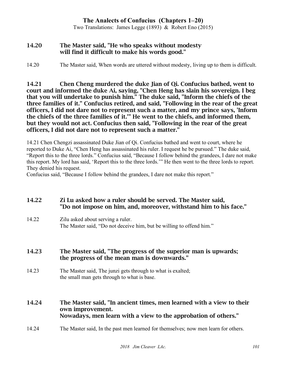Two Translations: James Legge (1893) & Robert Eno (2015)

#### 14.20 The Master said, "He who speaks without modesty will find it difficult to make his words good."

#### 14.20 The Master said, When words are uttered without modesty, living up to them is difficult.

14.21 Chen Cheng murdered the duke Jian of Qi. Confucius bathed, went to court and informed the duke Ai, saying, "Chen Heng has slain his sovereign. I beg that you will undertake to punish him." The duke said, "Inform the chiefs of the three families of it." Confucius retired, and said, "Following in the rear of the great officers, I did not dare not to represent such a matter, and my prince says, 'Inform the chiefs of the three families of it.'" He went to the chiefs, and informed them, but they would not act. Confucius then said, "Following in the rear of the great officers, I did not dare not to represent such a matter."

14.21 Chen Chengzi assassinated Duke Jian of Qi. Confucius bathed and went to court, where he reported to Duke Ai, "Chen Heng has assassinated his ruler. I request he be pursued." The duke said, "Report this to the three lords." Confucius said, "Because I follow behind the grandees, I dare not make this report. My lord has said, 'Report this to the three lords.'" He then went to the three lords to report. They denied his request.

Confucius said, "Because I follow behind the grandees, I dare not make this report."

#### 14.22 Zi Lu asked how a ruler should be served. The Master said, "Do not impose on him, and, moreover, withstand him to his face."

14.22 Zilu asked about serving a ruler. The Master said, "Do not deceive him, but be willing to offend him."

14.23 The Master said, "The progress of the superior man is upwards; the progress of the mean man is downwards."

14.23 The Master said, The junzi gets through to what is exalted; the small man gets through to what is base.

#### 14.24 The Master said, "In ancient times, men learned with a view to their own improvement. Nowadays, men learn with a view to the approbation of others."

14.24 The Master said, In the past men learned for themselves; now men learn for others.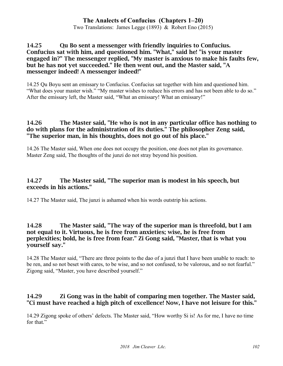Two Translations: James Legge (1893) & Robert Eno (2015)

#### 14.25 Qu Bo sent a messenger with friendly inquiries to Confucius. Confucius sat with him, and questioned him. "What," said he! "is your master engaged in?" The messenger replied, "My master is anxious to make his faults few, but he has not yet succeeded." He then went out, and the Master said, "A messenger indeed! A messenger indeed!"

14.25 Qu Boyu sent an emissary to Confucius. Confucius sat together with him and questioned him. "What does your master wish." "My master wishes to reduce his errors and has not been able to do so." After the emissary left, the Master said, "What an emissary! What an emissary!"

#### 14.26 The Master said, "He who is not in any particular office has nothing to do with plans for the administration of its duties." The philosopher Zeng said, "The superior man, in his thoughts, does not go out of his place."

14.26 The Master said, When one does not occupy the position, one does not plan its governance. Master Zeng said, The thoughts of the junzi do not stray beyond his position.

### 14.27 The Master said, "The superior man is modest in his speech, but exceeds in his actions."

14.27 The Master said, The junzi is ashamed when his words outstrip his actions.

#### 14.28 The Master said, "The way of the superior man is threefold, but I am not equal to it. Virtuous, he is free from anxieties; wise, he is free from perplexities; bold, he is free from fear." Zi Gong said, "Master, that is what you yourself say."

14.28 The Master said, "There are three points to the dao of a junzi that I have been unable to reach: to be ren, and so not beset with cares, to be wise, and so not confused, to be valorous, and so not fearful." Zigong said, "Master, you have described yourself."

### 14.29 Zi Gong was in the habit of comparing men together. The Master said, "Ci must have reached a high pitch of excellence! Now, I have not leisure for this."

14.29 Zigong spoke of others' defects. The Master said, "How worthy Si is! As for me, I have no time for that."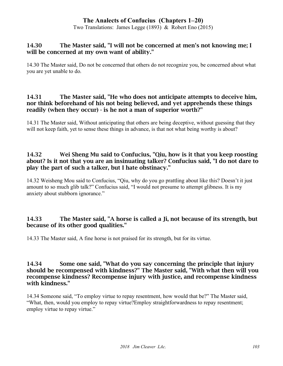Two Translations: James Legge (1893) & Robert Eno (2015)

#### 14.30 The Master said, "I will not be concerned at men's not knowing me; I will be concerned at my own want of ability."

14.30 The Master said, Do not be concerned that others do not recognize you, be concerned about what you are yet unable to do.

#### 14.31 The Master said, "He who does not anticipate attempts to deceive him, nor think beforehand of his not being believed, and yet apprehends these things readily (when they occur) - is he not a man of superior worth?"

14.31 The Master said, Without anticipating that others are being deceptive, without guessing that they will not keep faith, yet to sense these things in advance, is that not what being worthy is about?

### 14.32 Wei Sheng Mu said to Confucius, "Qiu, how is it that you keep roosting about? Is it not that you are an insinuating talker? Confucius said, "I do not dare to play the part of such a talker, but I hate obstinacy."

14.32 Weisheng Mou said to Confucius, "Qiu, why do you go prattling about like this? Doesn't it just amount to so much glib talk?" Confucius said, "I would not presume to attempt glibness. It is my anxiety about stubborn ignorance."

### 14.33 The Master said, "A horse is called a Ji, not because of its strength, but because of its other good qualities."

14.33 The Master said, A fine horse is not praised for its strength, but for its virtue.

#### 14.34 Some one said, "What do you say concerning the principle that injury should be recompensed with kindness?" The Master said, "With what then will you recompense kindness? Recompense injury with justice, and recompense kindness with kindness."

14.34 Someone said, "To employ virtue to repay resentment, how would that be?" The Master said, "What, then, would you employ to repay virtue?Employ straightforwardness to repay resentment; employ virtue to repay virtue."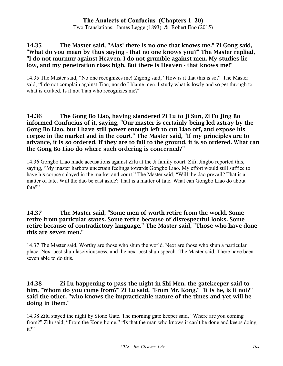Two Translations: James Legge (1893) & Robert Eno (2015)

#### 14.35 The Master said, "Alas! there is no one that knows me." Zi Gong said, "What do you mean by thus saying - that no one knows you?" The Master replied, "I do not murmur against Heaven. I do not grumble against men. My studies lie low, and my penetration rises high. But there is Heaven - that knows me!"

14.35 The Master said, "No one recognizes me! Zigong said, "How is it that this is so?" The Master said, "I do not complain against Tian, nor do I blame men. I study what is lowly and so get through to what is exalted. Is it not Tian who recognizes me?"

#### 14.36 The Gong Bo Liao, having slandered Zi Lu to Ji Sun, Zi Fu Jing Bo informed Confucius of it, saying, "Our master is certainly being led astray by the Gong Bo Liao, but I have still power enough left to cut Liao off, and expose his corpse in the market and in the court." The Master said, "If my principles are to advance, it is so ordered. If they are to fall to the ground, it is so ordered. What can the Gong Bo Liao do where such ordering is concerned?"

14.36 Gongbo Liao made accusations against Zilu at the Ji family court. Zifu Jingbo reported this, saying, "My master harbors uncertain feelings towards Gongbo Liao. My effort would still suffice to have his corpse splayed in the market and court." The Master said, "Will the dao prevail? That is a matter of fate. Will the dao be cast aside? That is a matter of fate. What can Gongbo Liao do about fate?"

#### 14.37 The Master said, "Some men of worth retire from the world. Some retire from particular states. Some retire because of disrespectful looks. Some retire because of contradictory language." The Master said, "Those who have done this are seven men."

14.37 The Master said, Worthy are those who shun the world. Next are those who shun a particular place. Next best shun lasciviousness, and the next best shun speech. The Master said, There have been seven able to do this.

#### 14.38 Zi Lu happening to pass the night in Shi Men, the gatekeeper said to him, "Whom do you come from?" Zi Lu said, "From Mr. Kong." "It is he, is it not?" said the other, "who knows the impracticable nature of the times and yet will be doing in them."

14.38 Zilu stayed the night by Stone Gate. The morning gate keeper said, "Where are you coming from?" Zilu said, "From the Kong home." "Is that the man who knows it can't be done and keeps doing it?"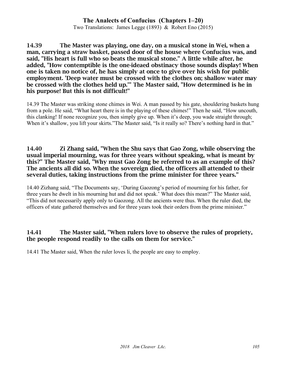Two Translations: James Legge (1893) & Robert Eno (2015)

14.39 The Master was playing, one day, on a musical stone in Wei, when a man, carrying a straw basket, passed door of the house where Confucius was, and said, "His heart is full who so beats the musical stone." A little while after, he added, "How contemptible is the one-ideaed obstinacy those sounds display! When one is taken no notice of, he has simply at once to give over his wish for public employment. 'Deep water must be crossed with the clothes on; shallow water may be crossed with the clothes held up.'" The Master said, "How determined is he in his purpose! But this is not difficult!"

14.39 The Master was striking stone chimes in Wei. A man passed by his gate, shouldering baskets hung from a pole. He said, "What heart there is in the playing of these chimes!" Then he said, "How uncouth, this clanking! If none recognize you, then simply give up. When it's deep, you wade straight through; When it's shallow, you lift your skirts."The Master said, "Is it really so? There's nothing hard in that."

#### 14.40 Zi Zhang said, "When the Shu says that Gao Zong, while observing the usual imperial mourning, was for three years without speaking, what is meant by this?" The Master said, "Why must Gao Zong be referred to as an example of this? The ancients all did so. When the sovereign died, the officers all attended to their several duties, taking instructions from the prime minister for three years."

14.40 Zizhang said, "The Documents say, 'During Gaozong's period of mourning for his father, for three years he dwelt in his mourning hut and did not speak.' What does this mean?" The Master said, "This did not necessarily apply only to Gaozong. All the ancients were thus. When the ruler died, the officers of state gathered themselves and for three years took their orders from the prime minister."

# 14.41 The Master said, "When rulers love to observe the rules of propriety, the people respond readily to the calls on them for service."

14.41 The Master said, When the ruler loves li, the people are easy to employ.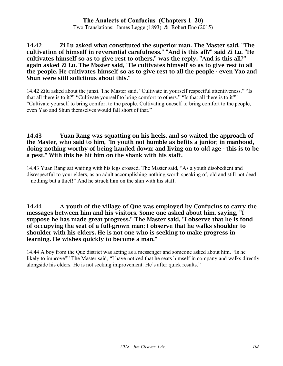Two Translations: James Legge (1893) & Robert Eno (2015)

14.42 Zi Lu asked what constituted the superior man. The Master said, "The cultivation of himself in reverential carefulness." "And is this all?" said Zi Lu. "He cultivates himself so as to give rest to others," was the reply. "And is this all?" again asked Zi Lu. The Master said, "He cultivates himself so as to give rest to all the people. He cultivates himself so as to give rest to all the people - even Yao and Shun were still solicitous about this."

14.42 Zilu asked about the junzi. The Master said, "Cultivate in yourself respectful attentiveness." "Is that all there is to it?" "Cultivate yourself to bring comfort to others." "Is that all there is to it?" "Cultivate yourself to bring comfort to the people. Cultivating oneself to bring comfort to the people, even Yao and Shun themselves would fall short of that."

#### 14.43 Yuan Rang was squatting on his heels, and so waited the approach of the Master, who said to him, "In youth not humble as befits a junior; in manhood, doing nothing worthy of being handed down; and living on to old age - this is to be a pest." With this he hit him on the shank with his staff.

14.43 Yuan Rang sat waiting with his legs crossed. The Master said, "As a youth disobedient and disrespectful to your elders, as an adult accomplishing nothing worth speaking of, old and still not dead – nothing but a thief!" And he struck him on the shin with his staff.

#### 14.44 A youth of the village of Que was employed by Confucius to carry the messages between him and his visitors. Some one asked about him, saying, "I suppose he has made great progress." The Master said, "I observe that he is fond of occupying the seat of a full-grown man; I observe that he walks shoulder to shoulder with his elders. He is not one who is seeking to make progress in learning. He wishes quickly to become a man."

14.44 A boy from the Que district was acting as a messenger and someone asked about him. "Is he likely to improve?" The Master said, "I have noticed that he seats himself in company and walks directly alongside his elders. He is not seeking improvement. He's after quick results."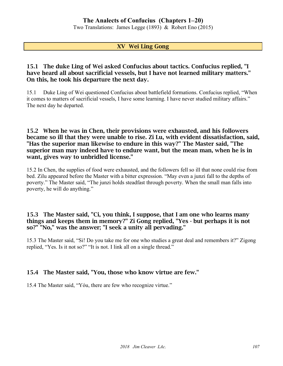Two Translations: James Legge (1893) & Robert Eno (2015)

#### XV Wei Ling Gong

#### 15.1 The duke Ling of Wei asked Confucius about tactics. Confucius replied, "I have heard all about sacrificial vessels, but I have not learned military matters." On this, he took his departure the next day.

15.1 Duke Ling of Wei questioned Confucius about battlefield formations. Confucius replied, "When it comes to matters of sacrificial vessels, I have some learning. I have never studied military affairs." The next day he departed.

#### 15.2 When he was in Chen, their provisions were exhausted, and his followers became so ill that they were unable to rise. Zi Lu, with evident dissatisfaction, said, "Has the superior man likewise to endure in this way?" The Master said, "The superior man may indeed have to endure want, but the mean man, when he is in want, gives way to unbridled license."

15.2 In Chen, the supplies of food were exhausted, and the followers fell so ill that none could rise from bed. Zilu appeared before the Master with a bitter expression. "May even a junzi fall to the depths of poverty." The Master said, "The junzi holds steadfast through poverty. When the small man falls into poverty, he will do anything."

#### 15.3 The Master said, "Ci, you think, I suppose, that I am one who learns many things and keeps them in memory?" Zi Gong replied, "Yes - but perhaps it is not so?" "No," was the answer; "I seek a unity all pervading."

15.3 The Master said, "Si! Do you take me for one who studies a great deal and remembers it?" Zigong replied, "Yes. Is it not so?" "It is not. I link all on a single thread."

### 15.4 The Master said, "You, those who know virtue are few."

15.4 The Master said, "Yóu, there are few who recognize virtue."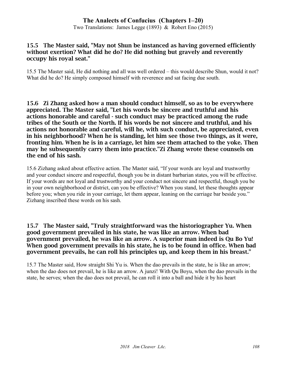Two Translations: James Legge (1893) & Robert Eno (2015)

#### 15.5 The Master said, "May not Shun be instanced as having governed efficiently without exertion? What did he do? He did nothing but gravely and reverently occupy his royal seat."

15.5 The Master said, He did nothing and all was well ordered – this would describe Shun, would it not? What did he do? He simply composed himself with reverence and sat facing due south.

15.6 Zi Zhang asked how a man should conduct himself, so as to be everywhere appreciated. The Master said, "Let his words be sincere and truthful and his actions honorable and careful - such conduct may be practiced among the rude tribes of the South or the North. If his words be not sincere and truthful, and his actions not honorable and careful, will he, with such conduct, be appreciated, even in his neighborhood? When he is standing, let him see those two things, as it were, fronting him. When he is in a carriage, let him see them attached to the yoke. Then may he subsequently carry them into practice."Zi Zhang wrote these counsels on the end of his sash.

15.6 Zizhang asked about effective action. The Master said, "If your words are loyal and trustworthy and your conduct sincere and respectful, though you be in distant barbarian states, you will be effective. If your words are not loyal and trustworthy and your conduct not sincere and respectful, though you be in your own neighborhood or district, can you be effective? When you stand, let these thoughts appear before you; when you ride in your carriage, let them appear, leaning on the carriage bar beside you." Zizhang inscribed these words on his sash.

#### 15.7 The Master said, "Truly straightforward was the historiographer Yu. When good government prevailed in his state, he was like an arrow. When bad government prevailed, he was like an arrow. A superior man indeed is Qu Bo Yu! When good government prevails in his state, he is to be found in office. When bad government prevails, he can roll his principles up, and keep them in his breast."

15.7 The Master said, How straight Shi Yu is. When the dao prevails in the state, he is like an arrow; when the dao does not prevail, he is like an arrow. A junzi! With Qu Boyu, when the dao prevails in the state, he serves; when the dao does not prevail, he can roll it into a ball and hide it by his heart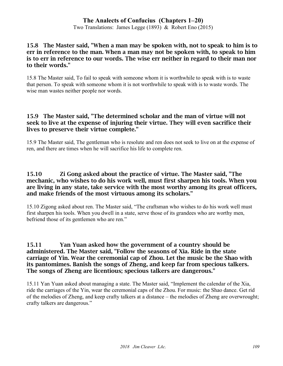Two Translations: James Legge (1893) & Robert Eno (2015)

#### 15.8 The Master said, "When a man may be spoken with, not to speak to him is to err in reference to the man. When a man may not be spoken with, to speak to him is to err in reference to our words. The wise err neither in regard to their man nor to their words."

15.8 The Master said, To fail to speak with someone whom it is worthwhile to speak with is to waste that person. To speak with someone whom it is not worthwhile to speak with is to waste words. The wise man wastes neither people nor words.

#### 15.9 The Master said, "The determined scholar and the man of virtue will not seek to live at the expense of injuring their virtue. They will even sacrifice their lives to preserve their virtue complete."

15.9 The Master said, The gentleman who is resolute and ren does not seek to live on at the expense of ren, and there are times when he will sacrifice his life to complete ren.

#### 15.10 Zi Gong asked about the practice of virtue. The Master said, "The mechanic, who wishes to do his work well, must first sharpen his tools. When you are living in any state, take service with the most worthy among its great officers, and make friends of the most virtuous among its scholars."

15.10 Zigong asked about ren. The Master said, "The craftsman who wishes to do his work well must first sharpen his tools. When you dwell in a state, serve those of its grandees who are worthy men, befriend those of its gentlemen who are ren."

#### 15.11 Yan Yuan asked how the government of a country should be administered. The Master said, "Follow the seasons of Xia. Ride in the state carriage of Yin. Wear the ceremonial cap of Zhou. Let the music be the Shao with its pantomimes. Banish the songs of Zheng, and keep far from specious talkers. The songs of Zheng are licentious; specious talkers are dangerous."

15.11 Yan Yuan asked about managing a state. The Master said, "Implement the calendar of the Xia, ride the carriages of the Yin, wear the ceremonial caps of the Zhou. For music: the Shao dance. Get rid of the melodies of Zheng, and keep crafty talkers at a distance – the melodies of Zheng are overwrought; crafty talkers are dangerous."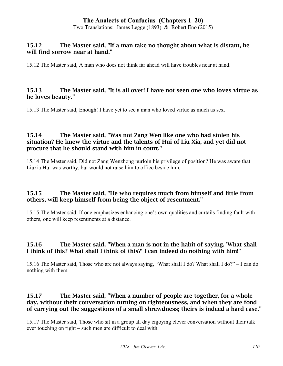Two Translations: James Legge (1893) & Robert Eno (2015)

#### 15.12 The Master said, "If a man take no thought about what is distant, he will find sorrow near at hand."

15.12 The Master said, A man who does not think far ahead will have troubles near at hand.

#### 15.13 The Master said, "It is all over! I have not seen one who loves virtue as he loves beauty."

15.13 The Master said, Enough! I have yet to see a man who loved virtue as much as sex.

#### 15.14 The Master said, "Was not Zang Wen like one who had stolen his situation? He knew the virtue and the talents of Hui of Liu Xia, and yet did not procure that he should stand with him in court."

15.14 The Master said, Did not Zang Wenzhong purloin his privilege of position? He was aware that Liuxia Hui was worthy, but would not raise him to office beside him.

### 15.15 The Master said, "He who requires much from himself and little from others, will keep himself from being the object of resentment."

15.15 The Master said, If one emphasizes enhancing one's own qualities and curtails finding fault with others, one will keep resentments at a distance.

### 15.16 The Master said, "When a man is not in the habit of saying, 'What shall I think of this? What shall I think of this?' I can indeed do nothing with him!"

15.16 The Master said, Those who are not always saying, "What shall I do? What shall I do?" – I can do nothing with them.

### 15.17 The Master said, "When a number of people are together, for a whole day, without their conversation turning on righteousness, and when they are fond of carrying out the suggestions of a small shrewdness; theirs is indeed a hard case."

15.17 The Master said, Those who sit in a group all day enjoying clever conversation without their talk ever touching on right – such men are difficult to deal with.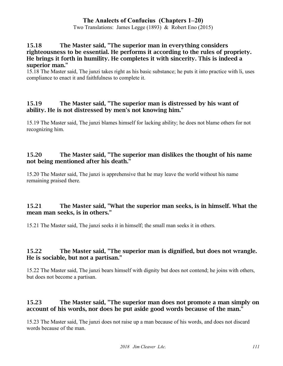Two Translations: James Legge (1893) & Robert Eno (2015)

#### 15.18 The Master said, "The superior man in everything considers righteousness to be essential. He performs it according to the rules of propriety. He brings it forth in humility. He completes it with sincerity. This is indeed a superior man."

15.18 The Master said, The junzi takes right as his basic substance; he puts it into practice with li, uses compliance to enact it and faithfulness to complete it.

### 15.19 The Master said, "The superior man is distressed by his want of ability. He is not distressed by men's not knowing him."

15.19 The Master said, The junzi blames himself for lacking ability; he does not blame others for not recognizing him.

### 15.20 The Master said, "The superior man dislikes the thought of his name not being mentioned after his death."

15.20 The Master said, The junzi is apprehensive that he may leave the world without his name remaining praised there.

### 15.21 The Master said, "What the superior man seeks, is in himself. What the mean man seeks, is in others."

15.21 The Master said, The junzi seeks it in himself; the small man seeks it in others.

### 15.22 The Master said, "The superior man is dignified, but does not wrangle. He is sociable, but not a partisan."

15.22 The Master said, The junzi bears himself with dignity but does not contend; he joins with others, but does not become a partisan.

### 15.23 The Master said, "The superior man does not promote a man simply on account of his words, nor does he put aside good words because of the man."

15.23 The Master said, The junzi does not raise up a man because of his words, and does not discard words because of the man.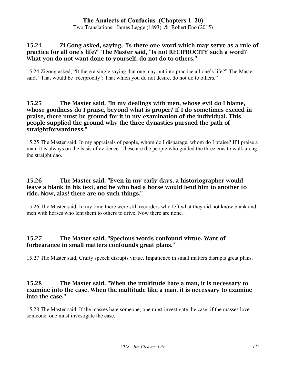Two Translations: James Legge (1893) & Robert Eno (2015)

#### 15.24 Zi Gong asked, saying, "Is there one word which may serve as a rule of practice for all one's life?" The Master said, "Is not RECIPROCITY such a word? What you do not want done to yourself, do not do to others."

15.24 Zigong asked, "It there a single saying that one may put into practice all one's life?" The Master said, "That would be 'reciprocity': That which you do not desire, do not do to others."

#### 15.25 The Master said, "In my dealings with men, whose evil do I blame, whose goodness do I praise, beyond what is proper? If I do sometimes exceed in praise, there must be ground for it in my examination of the individual. This people supplied the ground why the three dynasties pursued the path of straightforwardness."

15.25 The Master said, In my appraisals of people, whom do I disparage, whom do I praise? If I praise a man, it is always on the basis of evidence. These are the people who guided the three eras to walk along the straight dao.

#### 15.26 The Master said, "Even in my early days, a historiographer would leave a blank in his text, and he who had a horse would lend him to another to ride. Now, alas! there are no such things."

15.26 The Master said, In my time there were still recorders who left what they did not know blank and men with horses who lent them to others to drive. Now there are none.

### 15.27 The Master said, "Specious words confound virtue. Want of forbearance in small matters confounds great plans."

15.27 The Master said, Crafty speech disrupts virtue. Impatience in small matters disrupts great plans.

#### 15.28 The Master said, "When the multitude hate a man, it is necessary to examine into the case. When the multitude like a man, it is necessary to examine into the case."

15.28 The Master said, If the masses hate someone, one must investigate the case; if the masses love someone, one must investigate the case.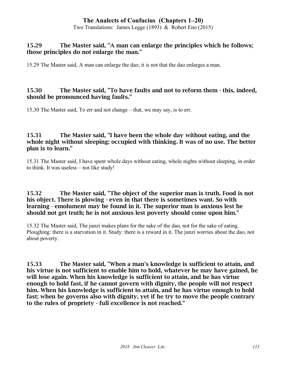Two Translations: James Legge (1893) & Robert Eno (2015)

#### 15.29 The Master said, "A man can enlarge the principles which he follows; those principles do not enlarge the man."

15.29 The Master said, A man can enlarge the dao; it is not that the dao enlarges a man.

#### 15.30 The Master said, "To have faults and not to reform them - this, indeed, should be pronounced having faults."

15.30 The Master said, To err and not change – that, we may say, is to err.

#### 15.31 The Master said, "I have been the whole day without eating, and the whole night without sleeping; occupied with thinking. It was of no use. The better plan is to learn."

15.31 The Master said, I have spent whole days without eating, whole nights without sleeping, in order to think. It was useless – not like study!

#### 15.32 The Master said, "The object of the superior man is truth. Food is not his object. There is plowing - even in that there is sometimes want. So with learning - emolument may be found in it. The superior man is anxious lest he should not get truth; he is not anxious lest poverty should come upon him."

15.32 The Master said, The junzi makes plans for the sake of the dao, not for the sake of eating. Ploughing: there is a starvation in it. Study: there is a reward in it. The junzi worries about the dao, not about poverty.

15.33 The Master said, "When a man's knowledge is sufficient to attain, and his virtue is not sufficient to enable him to hold, whatever he may have gained, he will lose again. When his knowledge is sufficient to attain, and he has virtue enough to hold fast, if he cannot govern with dignity, the people will not respect him. When his knowledge is sufficient to attain, and he has virtue enough to hold fast; when he governs also with dignity, yet if he try to move the people contrary to the rules of propriety - full excellence is not reached."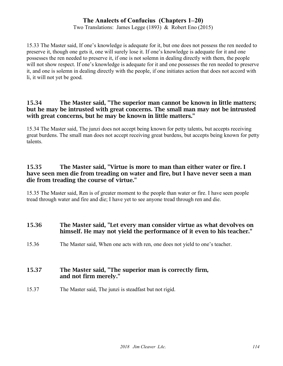Two Translations: James Legge (1893) & Robert Eno (2015)

15.33 The Master said, If one's knowledge is adequate for it, but one does not possess the ren needed to preserve it, though one gets it, one will surely lose it. If one's knowledge is adequate for it and one possesses the ren needed to preserve it, if one is not solemn in dealing directly with them, the people will not show respect. If one's knowledge is adequate for it and one possesses the ren needed to preserve it, and one is solemn in dealing directly with the people, if one initiates action that does not accord with li, it will not yet be good.

### 15.34 The Master said, "The superior man cannot be known in little matters; but he may be intrusted with great concerns. The small man may not be intrusted with great concerns, but he may be known in little matters."

15.34 The Master said, The junzi does not accept being known for petty talents, but accepts receiving great burdens. The small man does not accept receiving great burdens, but accepts being known for petty talents.

#### 15.35 The Master said, "Virtue is more to man than either water or fire. I have seen men die from treading on water and fire, but I have never seen a man die from treading the course of virtue."

15.35 The Master said, Ren is of greater moment to the people than water or fire. I have seen people tread through water and fire and die; I have yet to see anyone tread through ren and die.

### 15.36 The Master said, "Let every man consider virtue as what devolves on himself. He may not yield the performance of it even to his teacher."

15.36 The Master said, When one acts with ren, one does not yield to one's teacher.

#### 15.37 The Master said, "The superior man is correctly firm, and not firm merely."

15.37 The Master said, The junzi is steadfast but not rigid.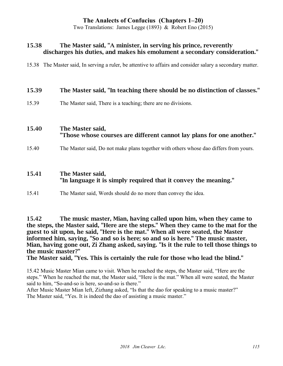Two Translations: James Legge (1893) & Robert Eno (2015)

#### 15.38 The Master said, "A minister, in serving his prince, reverently discharges his duties, and makes his emolument a secondary consideration."

15.38 The Master said, In serving a ruler, be attentive to affairs and consider salary a secondary matter.

#### 15.39 The Master said, "In teaching there should be no distinction of classes."

15.39 The Master said, There is a teaching; there are no divisions.

#### 15.40 The Master said, "Those whose courses are different cannot lay plans for one another."

15.40 The Master said, Do not make plans together with others whose dao differs from yours.

#### 15.41 The Master said, "In language it is simply required that it convey the meaning."

15.41 The Master said, Words should do no more than convey the idea.

15.42 The music master, Mian, having called upon him, when they came to the steps, the Master said, "Here are the steps." When they came to the mat for the guest to sit upon, he said, "Here is the mat." When all were seated, the Master informed him, saying, "So and so is here; so and so is here." The music master, Mian, having gone out, Zi Zhang asked, saying. "Is it the rule to tell those things to the music master?"

#### The Master said, "Yes. This is certainly the rule for those who lead the blind."

15.42 Music Master Mian came to visit. When he reached the steps, the Master said, "Here are the steps." When he reached the mat, the Master said, "Here is the mat." When all were seated, the Master said to him, "So-and-so is here, so-and-so is there."

After Music Master Mian left, Zizhang asked, "Is that the dao for speaking to a music master?" The Master said, "Yes. It is indeed the dao of assisting a music master."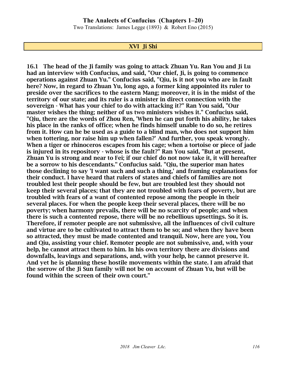Two Translations: James Legge (1893) & Robert Eno (2015)

#### XVI Ji Shi

16.1 The head of the Ji family was going to attack Zhuan Yu. Ran You and Ji Lu had an interview with Confucius, and said, "Our chief, Ji, is going to commence operations against Zhuan Yu." Confucius said, "Qiu, is it not you who are in fault here? Now, in regard to Zhuan Yu, long ago, a former king appointed its ruler to preside over the sacrifices to the eastern Mang; moreover, it is in the midst of the territory of our state; and its ruler is a minister in direct connection with the sovereign - What has your chief to do with attacking it?" Ran You said, "Our master wishes the thing; neither of us two ministers wishes it." Confucius said, "Qiu, there are the words of Zhou Ren, 'When he can put forth his ability, he takes his place in the ranks of office; when he finds himself unable to do so, he retires from it. How can he be used as a guide to a blind man, who does not support him when tottering, nor raise him up when fallen?' And further, you speak wrongly. When a tiger or rhinoceros escapes from his cage; when a tortoise or piece of jade is injured in its repository - whose is the fault?" Ran You said, "But at present, Zhuan Yu is strong and near to Fei; if our chief do not now take it, it will hereafter be a sorrow to his descendants." Confucius said. "Qiu, the superior man hates those declining to say 'I want such and such a thing,' and framing explanations for their conduct. I have heard that rulers of states and chiefs of families are not troubled lest their people should be few, but are troubled lest they should not keep their several places; that they are not troubled with fears of poverty, but are troubled with fears of a want of contented repose among the people in their several places. For when the people keep their several places, there will be no poverty; when harmony prevails, there will be no scarcity of people; and when there is such a contented repose, there will be no rebellious upsettings. So it is. Therefore, if remoter people are not submissive, all the influences of civil culture and virtue are to be cultivated to attract them to be so; and when they have been so attracted, they must be made contented and tranquil. Now, here are you, You and Qiu, assisting your chief. Remoter people are not submissive, and, with your help, he cannot attract them to him. In his own territory there are divisions and downfalls, leavings and separations, and, with your help, he cannot preserve it. And yet he is planning these hostile movements within the state. I am afraid that the sorrow of the Ji Sun family will not be on account of Zhuan Yu, but will be found within the screen of their own court."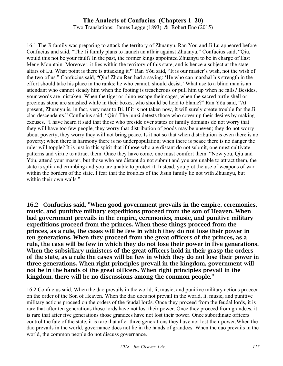Two Translations: James Legge (1893) & Robert Eno (2015)

16.1 The Ji family was preparing to attack the territory of Zhuanyu. Ran Yǒu and Ji Lu appeared before Confucius and said, "The Ji family plans to launch an affair against Zhuanyu." Confucius said, "Qiu, would this not be your fault? In the past, the former kings appointed Zhuanyu to be in charge of East Meng Mountain. Moreover, it lies within the territory of this state, and is hence a subject at the state altars of Lu. What point is there is attacking it?" Ran Yǒu said, "It is our master's wish, not the wish of the two of us." Confucius said, "Qiu! Zhou Ren had a saying: 'He who can marshal his strength in the effort should take his place in the ranks; he who cannot, should desist.' What use to a blind man is an attendant who cannot steady him when the footing is treacherous or pull him up when he falls? Besides, your words are mistaken. When the tiger or rhino escape their cages, when the sacred turtle shell or precious stone are smashed while in their boxes, who should be held to blame?" Ran Yŏu said, "At present, Zhuanyu is, in fact, very near to Bi. If it is not taken now, it will surely create trouble for the Ji clan descendants." Confucius said, "Qiu! The junzi detests those who cover up their desires by making excuses. "I have heard it said that those who preside over states or family domains do not worry that they will have too few people, they worry that distribution of goods may be uneven; they do not worry about poverty, they worry they will not bring peace. Is it not so that when distribution is even there is no poverty; when there is harmony there is no underpopulation; when there is peace there is no danger the ruler will topple? It is just in this spirit that if those who are distant do not submit, one must cultivate patterns and virtue to attract them. Once they have come, one must comfort them. "Now you, Qiu and Yóu, attend your master, but those who are distant do not submit and you are unable to attract them, the state is split and crumbing and you are unable to protect it. Instead, you plot the use of weapons of war within the borders of the state. I fear that the troubles of the Jisun family lie not with Zhuanyu, but within their own walls."

16.2 Confucius said, "When good government prevails in the empire, ceremonies, music, and punitive military expeditions proceed from the son of Heaven. When bad government prevails in the empire, ceremonies, music, and punitive military expeditions proceed from the princes. When these things proceed from the princes, as a rule, the cases will be few in which they do not lose their power in ten generations. When they proceed from the great officers of the princes, as a rule, the case will be few in which they do not lose their power in five generations. When the subsidiary ministers of the great officers hold in their grasp the orders of the state, as a rule the cases will be few in which they do not lose their power in three generations. When right principles prevail in the kingdom, government will not be in the hands of the great officers. When right principles prevail in the kingdom, there will be no discussions among the common people."

16.2 Confucius said, When the dao prevails in the world, li, music, and punitive military actions proceed on the order of the Son of Heaven. When the dao does not prevail in the world, li, music, and punitive military actions proceed on the orders of the feudal lords. Once they proceed from the feudal lords, it is rare that after ten generations those lords have not lost their power. Once they proceed from grandees, it is rare that after five generations those grandees have not lost their power. Once subordinate officers control the fate of the state, it is rare that after three generations they have not lost their power.When the dao prevails in the world, governance does not lie in the hands of grandees. When the dao prevails in the world, the common people do not discuss governance.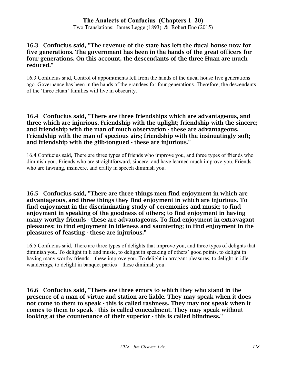Two Translations: James Legge (1893) & Robert Eno (2015)

#### 16.3 Confucius said, "The revenue of the state has left the ducal house now for five generations. The government has been in the hands of the great officers for four generations. On this account, the descendants of the three Huan are much reduced."

16.3 Confucius said, Control of appointments fell from the hands of the ducal house five generations ago. Governance has been in the hands of the grandees for four generations. Therefore, the descendants of the 'three Huan' families will live in obscurity.

#### 16.4 Confucius said, "There are three friendships which are advantageous, and three which are injurious. Friendship with the uplight; friendship with the sincere; and friendship with the man of much observation - these are advantageous. Friendship with the man of specious airs; friendship with the insinuatingly soft; and friendship with the glib-tongued - these are injurious."

16.4 Confucius said, There are three types of friends who improve you, and three types of friends who diminish you. Friends who are straightforward, sincere, and have learned much improve you. Friends who are fawning, insincere, and crafty in speech diminish you.

16.5 Confucius said, "There are three things men find enjoyment in which are advantageous, and three things they find enjoyment in which are injurious. To find enjoyment in the discriminating study of ceremonies and music; to find enjoyment in speaking of the goodness of others; to find enjoyment in having many worthy friends - these are advantageous. To find enjoyment in extravagant pleasures; to find enjoyment in idleness and sauntering; to find enjoyment in the pleasures of feasting - these are injurious."

16.5 Confucius said, There are three types of delights that improve you, and three types of delights that diminish you. To delight in li and music, to delight in speaking of others' good points, to delight in having many worthy friends – these improve you. To delight in arrogant pleasures, to delight in idle wanderings, to delight in banquet parties – these diminish you.

16.6 Confucius said, "There are three errors to which they who stand in the presence of a man of virtue and station are liable. They may speak when it does not come to them to speak - this is called rashness. They may not speak when it comes to them to speak - this is called concealment. They may speak without looking at the countenance of their superior - this is called blindness."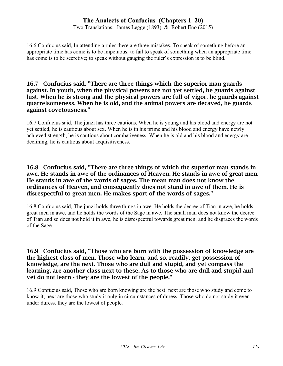Two Translations: James Legge (1893) & Robert Eno (2015)

16.6 Confucius said, In attending a ruler there are three mistakes. To speak of something before an appropriate time has come is to be impetuous; to fail to speak of something when an appropriate time has come is to be secretive; to speak without gauging the ruler's expression is to be blind.

#### 16.7 Confucius said, "There are three things which the superior man guards against. In youth, when the physical powers are not yet settled, he guards against lust. When he is strong and the physical powers are full of vigor, he guards against quarrelsomeness. When he is old, and the animal powers are decayed, he guards against covetousness."

16.7 Confucius said, The junzi has three cautions. When he is young and his blood and energy are not yet settled, he is cautious about sex. When he is in his prime and his blood and energy have newly achieved strength, he is cautious about combativeness. When he is old and his blood and energy are declining, he is cautious about acquisitiveness.

#### 16.8 Confucius said, "There are three things of which the superior man stands in awe. He stands in awe of the ordinances of Heaven. He stands in awe of great men. He stands in awe of the words of sages. The mean man does not know the ordinances of Heaven, and consequently does not stand in awe of them. He is disrespectful to great men. He makes sport of the words of sages."

16.8 Confucius said, The junzi holds three things in awe. He holds the decree of Tian in awe, he holds great men in awe, and he holds the words of the Sage in awe. The small man does not know the decree of Tian and so does not hold it in awe, he is disrespectful towards great men, and he disgraces the words of the Sage.

#### 16.9 Confucius said, "Those who are born with the possession of knowledge are the highest class of men. Those who learn, and so, readily, get possession of knowledge, are the next. Those who are dull and stupid, and yet compass the learning, are another class next to these. As to those who are dull and stupid and yet do not learn - they are the lowest of the people."

16.9 Confucius said, Those who are born knowing are the best; next are those who study and come to know it; next are those who study it only in circumstances of duress. Those who do not study it even under duress, they are the lowest of people.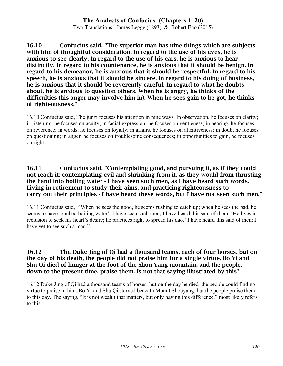Two Translations: James Legge (1893) & Robert Eno (2015)

16.10 Confucius said, "The superior man has nine things which are subjects with him of thoughtful consideration. In regard to the use of his eyes, he is anxious to see clearly. In regard to the use of his ears, he is anxious to hear distinctly. In regard to his countenance, he is anxious that it should be benign. In regard to his demeanor, he is anxious that it should be respectful. In regard to his speech, he is anxious that it should be sincere. In regard to his doing of business, he is anxious that it should be reverently careful. In regard to what he doubts about, he is anxious to question others. When he is angry, he thinks of the difficulties (his anger may involve him in). When he sees gain to be got, he thinks of righteousness."

16.10 Confucius said, The junzi focuses his attention in nine ways. In observation, he focuses on clarity; in listening, he focuses on acuity; in facial expression, he focuses on gentleness; in bearing, he focuses on reverence; in words, he focuses on loyalty; in affairs, he focuses on attentiveness; in doubt he focuses on questioning; in anger, he focuses on troublesome consequences; in opportunities to gain, he focuses on right.

#### 16.11 Confucius said, "Contemplating good, and pursuing it, as if they could not reach it; contemplating evil and shrinking from it, as they would from thrusting the hand into boiling water - I have seen such men, as I have heard such words. Living in retirement to study their aims, and practicing righteousness to carry out their principles - I have heard these words, but I have not seen such men."

16.11 Confucius said, "'When he sees the good, he seems rushing to catch up; when he sees the bad, he seems to have touched boiling water': I have seen such men; I have heard this said of them. 'He lives in reclusion to seek his heart's desire; he practices right to spread his dao.' I have heard this said of men; I have yet to see such a man."

#### 16.12 The Duke Jing of Qi had a thousand teams, each of four horses, but on the day of his death, the people did not praise him for a single virtue. Bo Yi and Shu Qi died of hunger at the foot of the Shou Yang mountain, and the people, down to the present time, praise them. Is not that saying illustrated by this?

16.12 Duke Jing of Qi had a thousand teams of horses, but on the day he died, the people could find no virtue to praise in him. Bo Yi and Shu Qi starved beneath Mount Shouyang, but the people praise them to this day. The saying, "It is not wealth that matters, but only having this difference," most likely refers to this.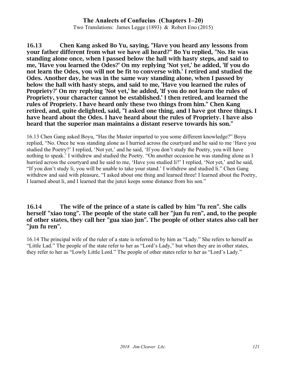Two Translations: James Legge (1893) & Robert Eno (2015)

16.13 Chen Kang asked Bo Yu, saying, "Have you heard any lessons from your father different from what we have all heard?" Bo Yu replied, "No. He was standing alone once, when I passed below the hall with hasty steps, and said to me, 'Have you learned the Odes?' On my replying 'Not yet,' he added, 'If you do not learn the Odes, you will not be fit to converse with.' I retired and studied the Odes. Another day, he was in the same way standing alone, when I passed by below the hall with hasty steps, and said to me, 'Have you learned the rules of Propriety?' On my replying 'Not yet,' he added, 'If you do not learn the rules of Propriety, your character cannot be established.' I then retired, and learned the rules of Propriety. I have heard only these two things from him." Chen Kang retired, and, quite delighted, said, "I asked one thing, and I have got three things. I have heard about the Odes. I have heard about the rules of Propriety. I have also heard that the superior man maintains a distant reserve towards his son."

16.13 Chen Gang asked Boyu, "Has the Master imparted to you some different knowledge?" Boyu replied, "No. Once he was standing alone as I hurried across the courtyard and he said to me 'Have you studied the Poetry?' I replied, 'Not yet,' and he said, 'If you don't study the Poetry, you will have nothing to speak.' I withdrew and studied the Poetry. "On another occasion he was standing alone as I hurried across the courtyard and he said to me, 'Have you studied li?' I replied, 'Not yet,' and he said, "If you don't study li, you will be unable to take your stand.' I withdrew and studied li." Chen Gang withdrew and said with pleasure, "I asked about one thing and learned three! I learned about the Poetry, I learned about li, and I learned that the junzi keeps some distance from his son."

#### 16.14 The wife of the prince of a state is called by him "fu ren". She calls herself "xiao tong". The people of the state call her "jun fu ren", and, to the people of other states, they call her "gua xiao jun". The people of other states also call her "jun fu ren".

16.14 The principal wife of the ruler of a state is referred to by him as "Lady." She refers to herself as "Little Lad." The people of the state refer to her as "Lord's Lady," but when they are in other states, they refer to her as "Lowly Little Lord." The people of other states refer to her as "Lord's Lady."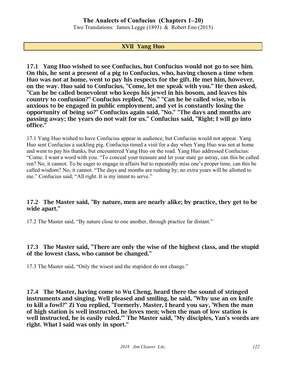Two Translations: James Legge (1893) & Robert Eno (2015)

#### XVII Yang Huo

17.1 Yang Huo wished to see Confucius, but Confucius would not go to see him. On this, he sent a present of a pig to Confucius, who, having chosen a time when Huo was not at home, went to pay his respects for the gift. He met him, however, on the way. Huo said to Confucius, "Come, let me speak with you." He then asked, "Can he be called benevolent who keeps his jewel in his bosom, and leaves his country to confusion?" Confucius replied, "No." "Can he be called wise, who is anxious to be engaged in public employment, and yet is constantly losing the opportunity of being so?" Confucius again said, "No." "The days and months are passing away; the years do not wait for us." Confucius said, "Right; I will go into office."

17.1 Yang Huo wished to have Confucius appear in audience, but Confucius would not appear. Yang Huo sent Confucius a suckling pig. Confucius timed a visit for a day when Yang Huo was not at home and went to pay his thanks, but encountered Yang Huo on the road. Yang Huo addressed Confucius: "Come. I want a word with you. "To conceal your treasure and let your state go astray, can this be called ren? No, it cannot. To be eager to engage in affairs but to repeatedly miss one's proper time, can this be called wisdom? No, it cannot. "The days and months are rushing by; no extra years will be allotted to me." Confucius said, "All right. It is my intent to serve."

#### 17.2 The Master said, "By nature, men are nearly alike; by practice, they get to be wide apart."

17.2 The Master said, "By nature close to one another, through practice far distant."

### 17.3 The Master said, "There are only the wise of the highest class, and the stupid of the lowest class, who cannot be changed."

17.3 The Master said, "Only the wisest and the stupidest do not change."

17.4 The Master, having come to Wu Cheng, heard there the sound of stringed instruments and singing. Well pleased and smiling, he said, "Why use an ox knife to kill a fowl?" Zi You replied, "Formerly, Master, I heard you say, 'When the man of high station is well instructed, he loves men; when the man of low station is well instructed, he is easily ruled.'" The Master said, "My disciples, Yan's words are right. What I said was only in sport."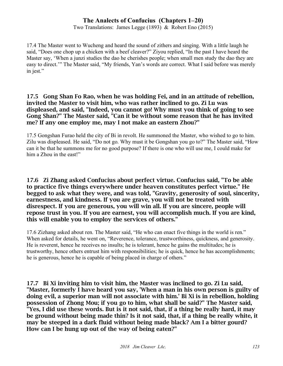Two Translations: James Legge (1893) & Robert Eno (2015)

17.4 The Master went to Wucheng and heard the sound of zithers and singing. With a little laugh he said, "Does one chop up a chicken with a beef cleaver?" Ziyou replied, "In the past I have heard the Master say, 'When a junzi studies the dao he cherishes people; when small men study the dao they are easy to direct.'" The Master said, "My friends, Yan's words are correct. What I said before was merely in jest."

#### 17.5 Gong Shan Fo Rao, when he was holding Fei, and in an attitude of rebellion, invited the Master to visit him, who was rather inclined to go. Zi Lu was displeased, and said, "Indeed, you cannot go! Why must you think of going to see Gong Shan?" The Master said, "Can it be without some reason that he has invited me? If any one employ me, may I not make an eastern Zhou?"

17.5 Gongshan Furao held the city of Bi in revolt. He summoned the Master, who wished to go to him. Zilu was displeased. He said, "Do not go. Why must it be Gongshan you go to?" The Master said, "How can it be that he summons me for no good purpose? If there is one who will use me, I could make for him a Zhou in the east!"

#### 17.6 Zi Zhang asked Confucius about perfect virtue. Confucius said, "To be able to practice five things everywhere under heaven constitutes perfect virtue." He begged to ask what they were, and was told, "Gravity, generosity of soul, sincerity, earnestness, and kindness. If you are grave, you will not be treated with disrespect. If you are generous, you will win all. If you are sincere, people will repose trust in you. If you are earnest, you will accomplish much. If you are kind, this will enable you to employ the services of others."

17.6 Zizhang asked about ren. The Master said, "He who can enact five things in the world is ren." When asked for details, he went on, "Reverence, tolerance, trustworthiness, quickness, and generosity. He is reverent, hence he receives no insults; he is tolerant, hence he gains the multitudes; he is trustworthy, hence others entrust him with responsibilities; he is quick, hence he has accomplishments; he is generous, hence he is capable of being placed in charge of others."

17.7 Bi Xi inviting him to visit him, the Master was inclined to go. Zi Lu said, "Master, formerly I have heard you say, 'When a man in his own person is guilty of doing evil, a superior man will not associate with him.' Bi Xi is in rebellion, holding possession of Zhong Mou; if you go to him, what shall be said?" The Master said, "Yes, I did use these words. But is it not said, that, if a thing be really hard, it may be ground without being made thin? Is it not said, that, if a thing be really white, it may be steeped in a dark fluid without being made black? Am I a bitter gourd? How can I be hung up out of the way of being eaten?"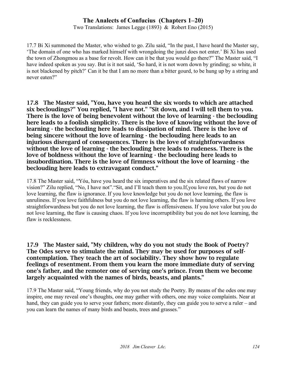Two Translations: James Legge (1893) & Robert Eno (2015)

17.7 Bi Xi summoned the Master, who wished to go. Zilu said, "In the past, I have heard the Master say, 'The domain of one who has marked himself with wrongdoing the junzi does not enter.' Bi Xi has used the town of Zhongmou as a base for revolt. How can it be that you would go there?" The Master said, "I have indeed spoken as you say. But is it not said, 'So hard, it is not worn down by grinding; so white, it is not blackened by pitch?' Can it be that I am no more than a bitter gourd, to be hung up by a string and never eaten?"

17.8 The Master said, "You, have you heard the six words to which are attached six becloudings?" You replied, "I have not." "Sit down, and I will tell them to you. There is the love of being benevolent without the love of learning - the beclouding here leads to a foolish simplicity. There is the love of knowing without the love of learning - the beclouding here leads to dissipation of mind. There is the love of being sincere without the love of learning - the beclouding here leads to an injurious disregard of consequences. There is the love of straightforwardness without the love of learning - the beclouding here leads to rudeness. There is the love of boldness without the love of learning - the beclouding here leads to insubordination. There is the love of firmness without the love of learning - the beclouding here leads to extravagant conduct."

17.8 The Master said, "Yóu, have you heard the six imperatives and the six related flaws of narrow vision?" Zilu replied, "No, I have not"."Sit, and I'll teach them to you.If,you love ren, but you do not love learning, the flaw is ignorance. If you love knowledge but you do not love learning, the flaw is unruliness. If you love faithfulness but you do not love learning, the flaw is harming others. If you love straightforwardness but you do not love learning, the flaw is offensiveness. If you love valor but you do not love learning, the flaw is causing chaos. If you love incorruptibility but you do not love learning, the flaw is recklessness.

17.9 The Master said, "My children, why do you not study the Book of Poetry? The Odes serve to stimulate the mind. They may be used for purposes of selfcontemplation. They teach the art of sociability. They show how to regulate feelings of resentment. From them you learn the more immediate duty of serving one's father, and the remoter one of serving one's prince. From them we become largely acquainted with the names of birds, beasts, and plants."

17.9 The Master said, "Young friends, why do you not study the Poetry. By means of the odes one may inspire, one may reveal one's thoughts, one may gather with others, one may voice complaints. Near at hand, they can guide you to serve your fathers; more distantly, they can guide you to serve a ruler – and you can learn the names of many birds and beasts, trees and grasses."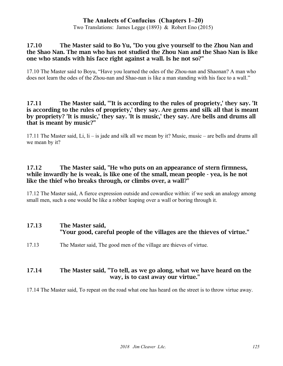Two Translations: James Legge (1893) & Robert Eno (2015)

#### 17.10 The Master said to Bo Yu, "Do you give yourself to the Zhou Nan and the Shao Nan. The man who has not studied the Zhou Nan and the Shao Nan is like one who stands with his face right against a wall. Is he not so?"

17.10 The Master said to Boyu, "Have you learned the odes of the Zhou-nan and Shaonan? A man who does not learn the odes of the Zhou-nan and Shao-nan is like a man standing with his face to a wall."

#### 17.11 The Master said, "'It is according to the rules of propriety,' they say. 'It is according to the rules of propriety,' they say. Are gems and silk all that is meant by propriety? 'It is music,' they say. 'It is music,' they say. Are bells and drums all that is meant by music?"

17.11 The Master said, Li, li – is jade and silk all we mean by it? Music, music – are bells and drums all we mean by it?

#### 17.12 The Master said, "He who puts on an appearance of stern firmness, while inwardly he is weak, is like one of the small, mean people - yea, is he not like the thief who breaks through, or climbs over, a wall?"

17.12 The Master said, A fierce expression outside and cowardice within: if we seek an analogy among small men, such a one would be like a robber leaping over a wall or boring through it.

#### 17.13 The Master said, "Your good, careful people of the villages are the thieves of virtue."

17.13 The Master said, The good men of the village are thieves of virtue.

#### 17.14 The Master said, "To tell, as we go along, what we have heard on the way, is to cast away our virtue."

17.14 The Master said, To repeat on the road what one has heard on the street is to throw virtue away.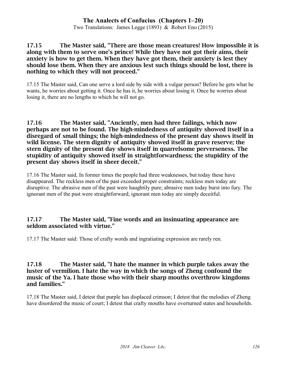Two Translations: James Legge (1893) & Robert Eno (2015)

17.15 The Master said, "There are those mean creatures! How impossible it is along with them to serve one's prince! While they have not got their aims, their anxiety is how to get them. When they have got them, their anxiety is lest they should lose them. When they are anxious lest such things should be lost, there is nothing to which they will not proceed."

17.15 The Master said, Can one serve a lord side by side with a vulgar person? Before he gets what he wants, he worries about getting it. Once he has it, he worries about losing it. Once he worries about losing it, there are no lengths to which he will not go.

17.16 The Master said, "Anciently, men had three failings, which now perhaps are not to be found. The high-mindedness of antiquity showed itself in a disregard of small things; the high-mindedness of the present day shows itself in wild license. The stern dignity of antiquity showed itself in grave reserve; the stern dignity of the present day shows itself in quarrelsome perverseness. The stupidity of antiquity showed itself in straightforwardness; the stupidity of the present day shows itself in sheer deceit."

17.16 The Master said, In former times the people had three weaknesses, but today these have disappeared. The reckless men of the past exceeded proper constraints; reckless men today are disruptive. The abrasive men of the past were haughtily pure; abrasive men today burst into fury. The ignorant men of the past were straightforward; ignorant men today are simply deceitful.

### 17.17 The Master said, "Fine words and an insinuating appearance are seldom associated with virtue."

17.17 The Master said: Those of crafty words and ingratiating expression are rarely ren.

#### 17.18 The Master said, "I hate the manner in which purple takes away the luster of vermilion. I hate the way in which the songs of Zheng confound the music of the Ya. I hate those who with their sharp mouths overthrow kingdoms and families."

17.18 The Master said, I detest that purple has displaced crimson; I detest that the melodies of Zheng have disordered the music of court; I detest that crafty mouths have overturned states and households.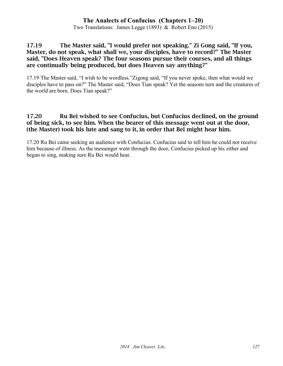Two Translations: James Legge (1893) & Robert Eno (2015)

#### 17.19 The Master said, "I would prefer not speaking." Zi Gong said, "If you, Master, do not speak, what shall we, your disciples, have to record?" The Master said, "Does Heaven speak? The four seasons pursue their courses, and all things are continually being produced, but does Heaven say anything?"

17.19 The Master said, "I wish to be wordless."Zigong said, "If you never spoke, then what would we disciples have to pass on?" The Master said, "Does Tian speak? Yet the seasons turn and the creatures of the world are born. Does Tian speak?"

#### 17.20 Ru Bei wished to see Confucius, but Confucius declined, on the ground of being sick, to see him. When the bearer of this message went out at the door, (the Master) took his lute and sang to it, in order that Bei might hear him.

17.20 Ru Bei came seeking an audience with Confucius. Confucius said to tell him he could not receive him because of illness. As the messenger went through the door, Confucius picked up his zither and began to sing, making sure Ru Bei would hear.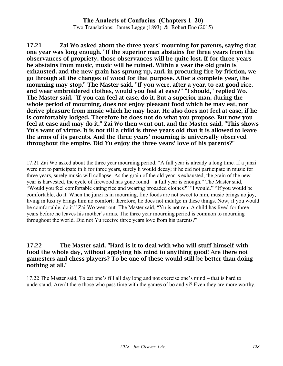Two Translations: James Legge (1893) & Robert Eno (2015)

17.21 Zai Wo asked about the three years' mourning for parents, saying that one year was long enough. "If the superior man abstains for three years from the observances of propriety, those observances will be quite lost. If for three years he abstains from music, music will be ruined. Within a year the old grain is exhausted, and the new grain has sprung up, and, in procuring fire by friction, we go through all the changes of wood for that purpose. After a complete year, the mourning may stop." The Master said, "If you were, after a year, to eat good rice, and wear embroidered clothes, would you feel at ease?" "I should," replied Wo. The Master said, "If you can feel at ease, do it. But a superior man, during the whole period of mourning, does not enjoy pleasant food which he may eat, nor derive pleasure from music which he may hear. He also does not feel at ease, if he is comfortably lodged. Therefore he does not do what you propose. But now you feel at ease and may do it." Zai Wo then went out, and the Master said, "This shows Yu's want of virtue. It is not till a child is three years old that it is allowed to leave the arms of its parents. And the three years' mourning is universally observed throughout the empire. Did Yu enjoy the three years' love of his parents?"

17.21 Zai Wo asked about the three year mourning period. "A full year is already a long time. If a junzi were not to participate in li for three years, surely li would decay; if he did not participate in music for three years, surely music will collapse. As the grain of the old year is exhausted, the grain of the new year is harvested, the cycle of firewood has gone round  $-$  a full year is enough." The Master said, "Would you feel comfortable eating rice and wearing brocaded clothes?" "I would." "If you would be comfortable, do it. When the junzi is in mourning, fine foods are not sweet to him, music brings no joy, living in luxury brings him no comfort; therefore, he does not indulge in these things. Now, if you would be comfortable, do it." Zai Wo went out. The Master said, "Yu is not ren. A child has lived for three years before he leaves his mother's arms. The three year mourning period is common to mourning throughout the world. Did not Yu receive three years love from his parents?"

#### 17.22 The Master said, "Hard is it to deal with who will stuff himself with food the whole day, without applying his mind to anything good! Are there not gamesters and chess players? To be one of these would still be better than doing nothing at all."

17.22 The Master said, To eat one's fill all day long and not exercise one's mind – that is hard to understand. Aren't there those who pass time with the games of bo and yi? Even they are more worthy.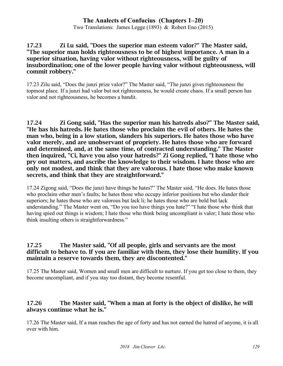Two Translations: James Legge (1893) & Robert Eno (2015)

#### 17.23 Zi Lu said, "Does the superior man esteem valor?" The Master said, "The superior man holds righteousness to be of highest importance. A man in a superior situation, having valor without righteousness, will be guilty of insubordination; one of the lower people having valor without righteousness, will commit robbery."

17.23 Zilu said, "Does the junzi prize valor?" The Master said, "The junzi gives righteousness the topmost place. If a junzi had valor but not righteousness, he would create chaos. If a small person has valor and not righteousness, he becomes a bandit.

17.24 Zi Gong said, "Has the superior man his hatreds also?" The Master said, "He has his hatreds. He hates those who proclaim the evil of others. He hates the man who, being in a low station, slanders his superiors. He hates those who have valor merely, and are unobservant of propriety. He hates those who are forward and determined, and, at the same time, of contracted understanding." The Master then inquired, "Ci, have you also your hatreds?" Zi Gong replied, "I hate those who pry out matters, and ascribe the knowledge to their wisdom. I hate those who are only not modest, and think that they are valorous. I hate those who make known secrets, and think that they are straightforward."

17.24 Zigong said, "Does the junzi have things he hates?" The Master said, "He does. He hates those who proclaim other men's faults; he hates those who occupy inferior positions but who slander their superiors; he hates those who are valorous but lack li; he hates those who are bold but lack understanding." The Master went on, "Do you too have things you hate?" "I hate those who think that having spied out things is wisdom; I hate those who think being uncompliant is valor; I hate those who think insulting others is straightforwardness."

#### 17.25 The Master said, "Of all people, girls and servants are the most difficult to behave to. If you are familiar with them, they lose their humility. If you maintain a reserve towards them, they are discontented."

17.25 The Master said, Women and small men are difficult to nurture. If you get too close to them, they become uncompliant, and if you stay too distant, they become resentful.

### 17.26 The Master said, "When a man at forty is the object of dislike, he will always continue what he is."

17.26 The Master said, If a man reaches the age of forty and has not earned the hatred of anyone, it is all over with him.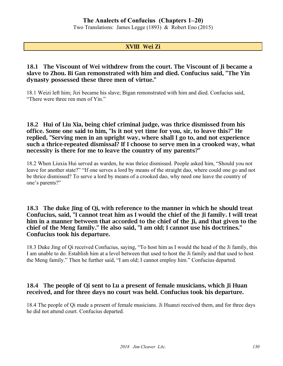Two Translations: James Legge (1893) & Robert Eno (2015)

### XVIII Wei Zi

#### 18.1 The Viscount of Wei withdrew from the court. The Viscount of Ii became a slave to Zhou. Bi Gan remonstrated with him and died. Confucius said, "The Yin dynasty possessed these three men of virtue."

18.1 Weizi left him; Jizi became his slave; Bigan remonstrated with him and died. Confucius said, "There were three ren men of Yin."

#### 18.2 Hui of Liu Xia, being chief criminal judge, was thrice dismissed from his office. Some one said to him, "Is it not yet time for you, sir, to leave this?" He replied, "Serving men in an upright way, where shall I go to, and not experience such a thrice-repeated dismissal? If I choose to serve men in a crooked way, what necessity is there for me to leave the country of my parents?"

18.2 When Liuxia Hui served as warden, he was thrice dismissed. People asked him, "Should you not leave for another state?" "If one serves a lord by means of the straight dao, where could one go and not be thrice dismissed? To serve a lord by means of a crooked dao, why need one leave the country of one's parents?"

#### 18.3 The duke Jing of Qi, with reference to the manner in which he should treat Confucius, said, "I cannot treat him as I would the chief of the Ji family. I will treat him in a manner between that accorded to the chief of the Ji, and that given to the chief of the Meng family." He also said, "I am old; I cannot use his doctrines." Confucius took his departure.

18.3 Duke Jing of Qi received Confucius, saying, "To host him as I would the head of the Ji family, this I am unable to do. Establish him at a level between that used to host the Ji family and that used to host the Meng family." Then he further said, "I am old; I cannot employ him." Confucius departed.

### 18.4 The people of Qi sent to Lu a present of female musicians, which Ji Huan received, and for three days no court was held. Confucius took his departure.

18.4 The people of Qi made a present of female musicians. Ji Huanzi received them, and for three days he did not attend court. Confucius departed.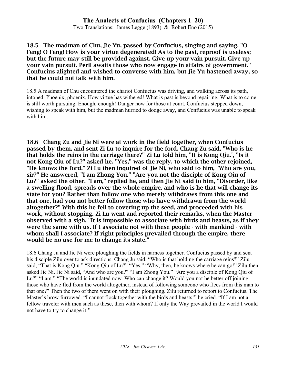Two Translations: James Legge (1893) & Robert Eno (2015)

#### 18.5 The madman of Chu, Jie Yu, passed by Confucius, singing and saying, "O Feng! O Feng! How is your virtue degenerated! As to the past, reproof is useless; but the future may still be provided against. Give up your vain pursuit. Give up your vain pursuit. Peril awaits those who now engage in affairs of government." Confucius alighted and wished to converse with him, but Jie Yu hastened away, so that he could not talk with him.

18.5 A madman of Chu encountered the chariot Confucius was driving, and walking across its path, intoned: Phoenix, phoenix, How virtue has withered! What is past is beyond repairing, What is to come is still worth pursuing. Enough, enough! Danger now for those at court. Confucius stepped down, wishing to speak with him, but the madman hurried to dodge away, and Confucius was unable to speak with him.

18.6 Chang Zu and Jie Ni were at work in the field together, when Confucius passed by them, and sent Zi Lu to inquire for the ford. Chang Zu said, "Who is he that holds the reins in the carriage there?" Zi Lu told him, "It is Kong Qiu.', "Is it not Kong Qiu of Lu?" asked he. "Yes," was the reply, to which the other rejoined, "He knows the ford." Zi Lu then inquired of Jie Ni, who said to him, "Who are you, sir?" He answered, "I am Zhong You." "Are you not the disciple of Kong Qiu of Lu?" asked the other. "I am," replied he, and then Jie Ni said to him, "Disorder, like a swelling flood, spreads over the whole empire, and who is he that will change its state for you? Rather than follow one who merely withdraws from this one and that one, had you not better follow those who have withdrawn from the world altogether?" With this he fell to covering up the seed, and proceeded with his work, without stopping. Zi Lu went and reported their remarks, when the Master observed with a sigh, "It is impossible to associate with birds and beasts, as if they were the same with us. If I associate not with these people - with mankind - with whom shall I associate? If right principles prevailed through the empire, there would be no use for me to change its state."

18.6 Chang Ju and Jie Ni were ploughing the fields in harness together. Confucius passed by and sent his disciple Zilu over to ask directions. Chang Ju said, "Who is that holding the carriage reins?" Zilu said, "That is Kong Qiu." "Kong Qiu of Lu?" "Yes." "Why, then, he knows where he can go!" Zilu then asked Jie Ni. Jie Ni said, "And who are you?" "I am Zhong Yóu." "Are you a disciple of Kong Qiu of Lu?" "I am." "The world is inundated now. Who can change it? Would you not be better off joining those who have fled from the world altogether, instead of following someone who flees from this man to that one?" Then the two of them went on with their ploughing. Zilu returned to report to Confucius. The Master's brow furrowed. "I cannot flock together with the birds and beasts!" he cried. "If I am not a fellow traveler with men such as these, then with whom? If only the Way prevailed in the world I would not have to try to change it!"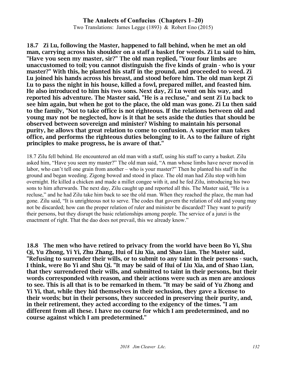Two Translations: James Legge (1893) & Robert Eno (2015)

18.7 Zi Lu, following the Master, happened to fall behind, when he met an old man, carrying across his shoulder on a staff a basket for weeds. Zi Lu said to him, "Have you seen my master, sir?" The old man replied, "Your four limbs are unaccustomed to toil; you cannot distinguish the five kinds of grain - who is your master?" With this, he planted his staff in the ground, and proceeded to weed. Zi Lu joined his hands across his breast, and stood before him. The old man kept Zi Lu to pass the night in his house, killed a fowl, prepared millet, and feasted him. He also introduced to him his two sons. Next day, Zi Lu went on his way, and reported his adventure. The Master said, "He is a recluse," and sent Zi Lu back to see him again, but when he got to the place, the old man was gone. Zi Lu then said to the family, "Not to take office is not righteous. If the relations between old and young may not be neglected, how is it that he sets aside the duties that should be observed between sovereign and minister? Wishing to maintain his personal purity, he allows that great relation to come to confusion. A superior man takes office, and performs the righteous duties belonging to it. As to the failure of right principles to make progress, he is aware of that."

18.7 Zilu fell behind. He encountered an old man with a staff, using his staff to carry a basket. Zilu asked him, "Have you seen my master?" The old man said, "A man whose limbs have never moved in labor, who can't tell one grain from another – who is your master?" Then he planted his staff in the ground and began weeding. Zigong bowed and stood in place. The old man had Zilu stop with him overnight. He killed a chicken and made a millet congee with it, and he fed Zilu, introducing his two sons to him afterwards. The next day, Zilu caught up and reported all this. The Master said, "He is a recluse," and he had Zilu take him back to see the old man. When they reached the place, the man had gone. Zilu said, "It is unrighteous not to serve. The codes that govern the relation of old and young may not be discarded; how can the proper relation of ruler and minister be discarded? They want to purify their persons, but they disrupt the basic relationships among people. The service of a junzi is the enactment of right. That the dao does not prevail, this we already know."

18.8 The men who have retired to privacy from the world have been Bo Yi, Shu Qi, Yu Zhong, Yi Yi, Zhu Zhang, Hui of Liu Xia, and Shao Lian. The Master said, "Refusing to surrender their wills, or to submit to any taint in their persons - such, I think, were Bo Yi and Shu Qi. "It may be said of Hui of Liu Xia, and of Shao Lian, that they surrendered their wills, and submitted to taint in their persons, but their words corresponded with reason, and their actions were such as men are anxious to see. This is all that is to be remarked in them. "It may be said of Yu Zhong and Yi Yi, that, while they hid themselves in their seclusion, they gave a license to their words; but in their persons, they succeeded in preserving their purity, and, in their retirement, they acted according to the exigency of the times. "I am different from all these. I have no course for which I am predetermined, and no course against which I am predetermined."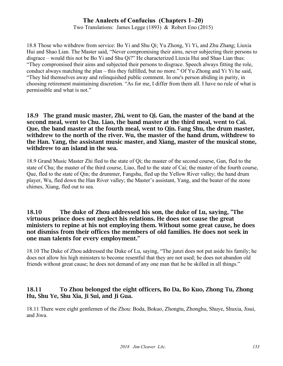Two Translations: James Legge (1893) & Robert Eno (2015)

18.8 Those who withdrew from service: Bo Yi and Shu Qi; Yu Zhong, Yi Yi, and Zhu Zhang; Liuxia Hui and Shao Lian. The Master said, "Never compromising their aims, never subjecting their persons to disgrace – would this not be Bo Yi and Shu Qi?" He characterized Liuxia Hui and Shao Lian thus: "They compromised their aims and subjected their persons to disgrace. Speech always fitting the role, conduct always matching the plan – this they fulfilled, but no more." Of Yu Zhong and Yi Yi he said, "They hid themselves away and relinquished public comment. In one's person abiding in purity, in choosing retirement maintaining discretion. "As for me, I differ from them all. I have no rule of what is permissible and what is not."

18.9 The grand music master, Zhi, went to Qi. Gan, the master of the band at the second meal, went to Chu. Liao, the band master at the third meal, went to Cai. Que, the band master at the fourth meal, went to Qin. Fang Shu, the drum master, withdrew to the north of the river. Wu, the master of the hand drum, withdrew to the Han. Yang, the assistant music master, and Xiang, master of the musical stone, withdrew to an island in the sea.

18.9 Grand Music Master Zhi fled to the state of Qi; the master of the second course, Gan, fled to the state of Chu; the master of the third course, Liao, fled to the state of Cai; the master of the fourth course, Que, fled to the state of Qin; the drummer, Fangshu, fled up the Yellow River valley; the hand drum player, Wu, fled down the Han River valley; the Master's assistant, Yang, and the beater of the stone chimes, Xiang, fled out to sea.

#### 18.10 The duke of Zhou addressed his son, the duke of Lu, saying, "The virtuous prince does not neglect his relations. He does not cause the great ministers to repine at his not employing them. Without some great cause, he does not dismiss from their offices the members of old families. He does not seek in one man talents for every employment."

18.10 The Duke of Zhou addressed the Duke of Lu, saying, "The junzi does not put aside his family; he does not allow his high ministers to become resentful that they are not used; he does not abandon old friends without great cause; he does not demand of any one man that he be skilled in all things."

### 18.11 To Zhou belonged the eight officers, Bo Da, Bo Kuo, Zhong Tu, Zhong Hu, Shu Ye, Shu Xia, Ji Sui, and Ji Gua.

18.11 There were eight gentlemen of the Zhou: Boda, Bokuo, Zhongtu, Zhonghu, Shuye, Shuxia, Jisui, and Jiwa.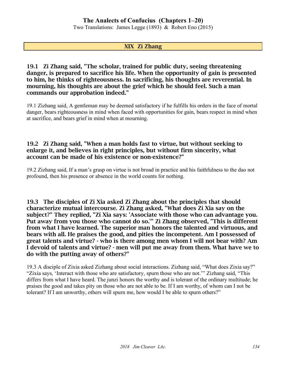Two Translations: James Legge (1893) & Robert Eno (2015)

#### XIX Zi Zhang

19.1 Zi Zhang said, "The scholar, trained for public duty, seeing threatening danger, is prepared to sacrifice his life. When the opportunity of gain is presented to him, he thinks of righteousness. In sacrificing, his thoughts are reverential. In mourning, his thoughts are about the grief which he should feel. Such a man commands our approbation indeed."

19.1 Zizhang said, A gentleman may be deemed satisfactory if he fulfills his orders in the face of mortal danger, bears righteousness in mind when faced with opportunities for gain, bears respect in mind when at sacrifice, and bears grief in mind when at mourning.

#### 19.2 Zi Zhang said, "When a man holds fast to virtue, but without seeking to enlarge it, and believes in right principles, but without firm sincerity, what account can be made of his existence or non-existence?"

19.2 Zizhang said, If a man's grasp on virtue is not broad in practice and his faithfulness to the dao not profound, then his presence or absence in the world counts for nothing.

19.3 The disciples of Zi Xia asked Zi Zhang about the principles that should characterize mutual intercourse. Zi Zhang asked, "What does Zi Xia say on the subject?" They replied, "Zi Xia says: 'Associate with those who can advantage you. Put away from you those who cannot do so.'" Zi Zhang observed, "This is different from what I have learned. The superior man honors the talented and virtuous, and bears with all. He praises the good, and pities the incompetent. Am I possessed of great talents and virtue? - who is there among men whom I will not bear with? Am I devoid of talents and virtue? - men will put me away from them. What have we to do with the putting away of others?"

19.3 A disciple of Zixia asked Zizhang about social interactions. Zizhang said, "What does Zixia say?" "Zixia says, 'Interact with those who are satisfactory, spurn those who are not.'" Zizhang said, "This differs from what I have heard. The junzi honors the worthy and is tolerant of the ordinary multitude; he praises the good and takes pity on those who are not able to be. If I am worthy, of whom can I not be tolerant? If I am unworthy, others will spurn me, how would I be able to spurn others?"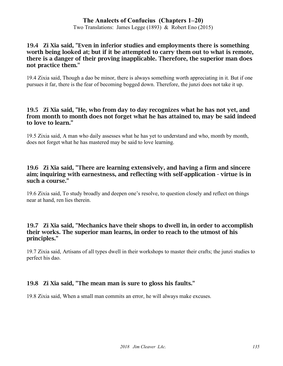Two Translations: James Legge (1893) & Robert Eno (2015)

#### 19.4 Zi Xia said, "Even in inferior studies and employments there is something worth being looked at; but if it be attempted to carry them out to what is remote, there is a danger of their proving inapplicable. Therefore, the superior man does not practice them."

19.4 Zixia said, Though a dao be minor, there is always something worth appreciating in it. But if one pursues it far, there is the fear of becoming bogged down. Therefore, the junzi does not take it up.

#### 19.5 Zi Xia said, "He, who from day to day recognizes what he has not yet, and from month to month does not forget what he has attained to, may be said indeed to love to learn."

19.5 Zixia said, A man who daily assesses what he has yet to understand and who, month by month, does not forget what he has mastered may be said to love learning.

#### 19.6 Zi Xia said, "There are learning extensively, and having a firm and sincere aim; inquiring with earnestness, and reflecting with self-application - virtue is in such a course."

19.6 Zixia said, To study broadly and deepen one's resolve, to question closely and reflect on things near at hand, ren lies therein.

#### 19.7 Zi Xia said, "Mechanics have their shops to dwell in, in order to accomplish their works. The superior man learns, in order to reach to the utmost of his principles."

19.7 Zixia said, Artisans of all types dwell in their workshops to master their crafts; the junzi studies to perfect his dao.

# 19.8 Zi Xia said, "The mean man is sure to gloss his faults."

19.8 Zixia said, When a small man commits an error, he will always make excuses.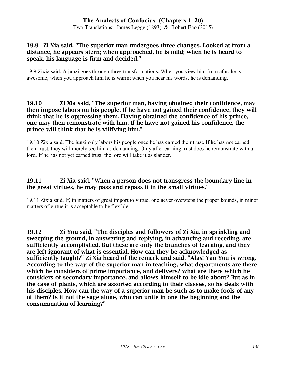Two Translations: James Legge (1893) & Robert Eno (2015)

#### 19.9 Zi Xia said, "The superior man undergoes three changes. Looked at from a distance, he appears stern; when approached, he is mild; when he is heard to speak, his language is firm and decided."

19.9 Zixia said, A junzi goes through three transformations. When you view him from afar, he is awesome; when you approach him he is warm; when you hear his words, he is demanding.

#### 19.10 Zi Xia said, "The superior man, having obtained their confidence, may then impose labors on his people. If he have not gained their confidence, they will think that he is oppressing them. Having obtained the confidence of his prince, one may then remonstrate with him. If he have not gained his confidence, the prince will think that he is vilifying him."

19.10 Zixia said, The junzi only labors his people once he has earned their trust. If he has not earned their trust, they will merely see him as demanding. Only after earning trust does he remonstrate with a lord. If he has not yet earned trust, the lord will take it as slander.

### 19.11 Zi Xia said, "When a person does not transgress the boundary line in the great virtues, he may pass and repass it in the small virtues."

19.11 Zixia said, If, in matters of great import to virtue, one never oversteps the proper bounds, in minor matters of virtue it is acceptable to be flexible.

19.12 Zi You said, "The disciples and followers of Zi Xia, in sprinkling and sweeping the ground, in answering and replying, in advancing and receding, are sufficiently accomplished. But these are only the branches of learning, and they are left ignorant of what is essential. How can they be acknowledged as sufficiently taught?" Zi Xia heard of the remark and said, "Alas! Yan You is wrong. According to the way of the superior man in teaching, what departments are there which he considers of prime importance, and delivers? what are there which he considers of secondary importance, and allows himself to be idle about? But as in the case of plants, which are assorted according to their classes, so he deals with his disciples. How can the way of a superior man be such as to make fools of any of them? Is it not the sage alone, who can unite in one the beginning and the consummation of learning?"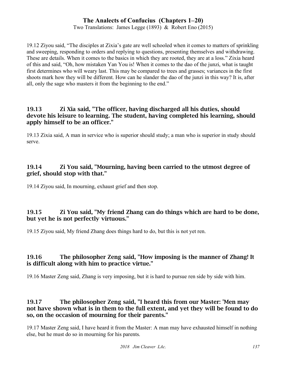Two Translations: James Legge (1893) & Robert Eno (2015)

19.12 Ziyou said, "The disciples at Zixia's gate are well schooled when it comes to matters of sprinkling and sweeping, responding to orders and replying to questions, presenting themselves and withdrawing. These are details. When it comes to the basics in which they are rooted, they are at a loss." Zixia heard of this and said, "Oh, how mistaken Yan You is! When it comes to the dao of the junzi, what is taught first determines who will weary last. This may be compared to trees and grasses; variances in the first shoots mark how they will be different. How can he slander the dao of the junzi in this way? It is, after all, only the sage who masters it from the beginning to the end."

### 19.13 Zi Xia said, "The officer, having discharged all his duties, should devote his leisure to learning. The student, having completed his learning, should apply himself to be an officer."

19.13 Zixia said, A man in service who is superior should study; a man who is superior in study should serve.

### 19.14 Zi You said, "Mourning, having been carried to the utmost degree of grief, should stop with that."

19.14 Ziyou said, In mourning, exhaust grief and then stop.

### 19.15 Zi You said, "My friend Zhang can do things which are hard to be done, but yet he is not perfectly virtuous."

19.15 Ziyou said, My friend Zhang does things hard to do, but this is not yet ren.

### 19.16 The philosopher Zeng said, "How imposing is the manner of Zhang! It is difficult along with him to practice virtue."

19.16 Master Zeng said, Zhang is very imposing, but it is hard to pursue ren side by side with him.

### 19.17 The philosopher Zeng said, "I heard this from our Master: 'Men may not have shown what is in them to the full extent, and yet they will be found to do so, on the occasion of mourning for their parents."

19.17 Master Zeng said, I have heard it from the Master: A man may have exhausted himself in nothing else, but he must do so in mourning for his parents.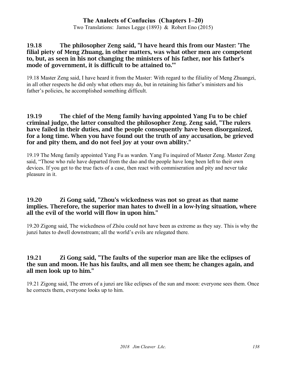Two Translations: James Legge (1893) & Robert Eno (2015)

#### 19.18 The philosopher Zeng said, "I have heard this from our Master: 'The filial piety of Meng Zhuang, in other matters, was what other men are competent to, but, as seen in his not changing the ministers of his father, nor his father's mode of government, it is difficult to be attained to.'"

19.18 Master Zeng said, I have heard it from the Master: With regard to the filiality of Meng Zhuangzi, in all other respects he did only what others may do, but in retaining his father's ministers and his father's policies, he accomplished something difficult.

#### 19.19 The chief of the Meng family having appointed Yang Fu to be chief criminal judge, the latter consulted the philosopher Zeng. Zeng said, "The rulers have failed in their duties, and the people consequently have been disorganized, for a long time. When you have found out the truth of any accusation, be grieved for and pity them, and do not feel joy at your own ability."

19.19 The Meng family appointed Yang Fu as warden. Yang Fu inquired of Master Zeng. Master Zeng said, "Those who rule have departed from the dao and the people have long been left to their own devices. If you get to the true facts of a case, then react with commiseration and pity and never take pleasure in it.

#### 19.20 Zi Gong said, "Zhou's wickedness was not so great as that name implies. Therefore, the superior man hates to dwell in a low-lying situation, where all the evil of the world will flow in upon him."

19.20 Zigong said, The wickedness of Zhòu could not have been as extreme as they say. This is why the junzi hates to dwell downstream; all the world's evils are relegated there.

### 19.21 Zi Gong said, "The faults of the superior man are like the eclipses of the sun and moon. He has his faults, and all men see them; he changes again, and all men look up to him."

19.21 Zigong said, The errors of a junzi are like eclipses of the sun and moon: everyone sees them. Once he corrects them, everyone looks up to him.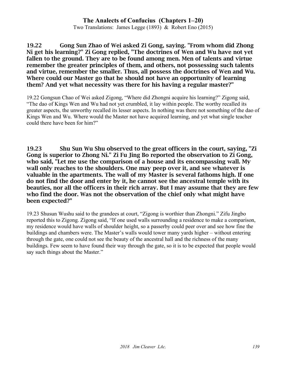Two Translations: James Legge (1893) & Robert Eno (2015)

19.22 Gong Sun Zhao of Wei asked Zi Gong, saying. "From whom did Zhong Ni get his learning?" Zi Gong replied, "The doctrines of Wen and Wu have not yet fallen to the ground. They are to be found among men. Men of talents and virtue remember the greater principles of them, and others, not possessing such talents and virtue, remember the smaller. Thus, all possess the doctrines of Wen and Wu. Where could our Master go that he should not have an opportunity of learning them? And yet what necessity was there for his having a regular master?"

19.22 Gongsun Chao of Wei asked Zigong, "Where did Zhongni acquire his learning?" Zigong said, "The dao of Kings Wen and Wu had not yet crumbled, it lay within people. The worthy recalled its greater aspects, the unworthy recalled its lesser aspects. In nothing was there not something of the dao of Kings Wen and Wu. Where would the Master not have acquired learning, and yet what single teacher could there have been for him?"

19.23 Shu Sun Wu Shu observed to the great officers in the court, saying, "Zi Gong is superior to Zhong Ni." Zi Fu Jing Bo reported the observation to Zi Gong, who said, "Let me use the comparison of a house and its encompassing wall. My wall only reaches to the shoulders. One may peep over it, and see whatever is valuable in the apartments. The wall of my Master is several fathoms high. If one do not find the door and enter by it, he cannot see the ancestral temple with its beauties, nor all the officers in their rich array. But I may assume that they are few who find the door. Was not the observation of the chief only what might have been expected?"

19.23 Shusun Wushu said to the grandees at court, "Zigong is worthier than Zhongni." Zifu Jingbo reported this to Zigong. Zigong said, "If one used walls surrounding a residence to make a comparison, my residence would have walls of shoulder height, so a passerby could peer over and see how fine the buildings and chambers were. The Master's walls would tower many yards higher – without entering through the gate, one could not see the beauty of the ancestral hall and the richness of the many buildings. Few seem to have found their way through the gate, so it is to be expected that people would say such things about the Master."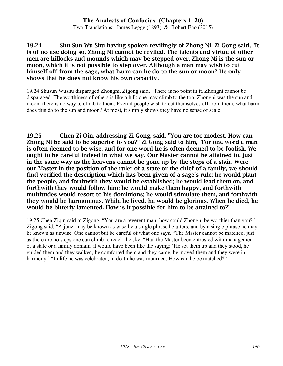Two Translations: James Legge (1893) & Robert Eno (2015)

#### 19.24 Shu Sun Wu Shu having spoken revilingly of Zhong Ni, Zi Gong said, "It is of no use doing so. Zhong Ni cannot be reviled. The talents and virtue of other men are hillocks and mounds which may be stepped over. Zhong Ni is the sun or moon, which it is not possible to step over. Although a man may wish to cut himself off from the sage, what harm can he do to the sun or moon? He only shows that he does not know his own capacity.

19.24 Shusun Wushu disparaged Zhongni. Zigong said, "There is no point in it. Zhongni cannot be disparaged. The worthiness of others is like a hill; one may climb to the top. Zhongni was the sun and moon; there is no way to climb to them. Even if people wish to cut themselves off from them, what harm does this do to the sun and moon? At most, it simply shows they have no sense of scale.

19.25 Chen Zi Qin, addressing Zi Gong, said, "You are too modest. How can Zhong Ni be said to be superior to you?" Zi Gong said to him, "For one word a man is often deemed to be wise, and for one word he is often deemed to be foolish. We ought to be careful indeed in what we say. Our Master cannot be attained to, just in the same way as the heavens cannot be gone up by the steps of a stair. Were our Master in the position of the ruler of a state or the chief of a family, we should find verified the description which has been given of a sage's rule: he would plant the people, and forthwith they would be established; he would lead them on, and forthwith they would follow him; he would make them happy, and forthwith multitudes would resort to his dominions; he would stimulate them, and forthwith they would be harmonious. While he lived, he would be glorious. When he died, he would be bitterly lamented. How is it possible for him to be attained to?"

19.25 Chen Ziqin said to Zigong, "You are a reverent man; how could Zhongni be worthier than you?" Zigong said, "A junzi may be known as wise by a single phrase he utters, and by a single phrase he may be known as unwise. One cannot but be careful of what one says. "The Master cannot be matched, just as there are no steps one can climb to reach the sky. "Had the Master been entrusted with management of a state or a family domain, it would have been like the saying: 'He set them up and they stood, he guided them and they walked, he comforted them and they came, he moved them and they were in harmony.' "In life he was celebrated, in death he was mourned. How can he be matched?"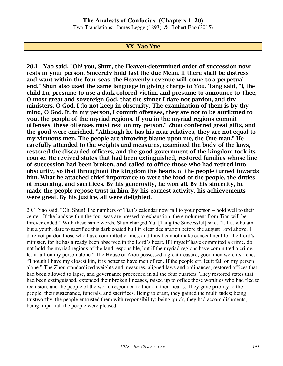Two Translations: James Legge (1893) & Robert Eno (2015)

#### XX Yao Yue

20.1 Yao said, "Oh! you, Shun, the Heaven-determined order of succession now rests in your person. Sincerely hold fast the due Mean. If there shall be distress and want within the four seas, the Heavenly revenue will come to a perpetual end." Shun also used the same language in giving charge to You. Tang said, "I, the child Lu, presume to use a dark-colored victim, and presume to announce to Thee, O most great and sovereign God, that the sinner I dare not pardon, and thy ministers, O God, I do not keep in obscurity. The examination of them is by thy mind, O God. If, in my person, I commit offenses, they are not to be attributed to you, the people of the myriad regions. If you in the myriad regions commit offenses, these offenses must rest on my person." Zhou conferred great gifts, and the good were enriched. "Although he has his near relatives, they are not equal to my virtuous men. The people are throwing blame upon me, the One man." He carefully attended to the weights and measures, examined the body of the laws, restored the discarded officers, and the good government of the kingdom took its course. He revived states that had been extinguished, restored families whose line of succession had been broken, and called to office those who had retired into obscurity, so that throughout the kingdom the hearts of the people turned towards him. What he attached chief importance to were the food of the people, the duties of mourning, and sacrifices. By his generosity, he won all. By his sincerity, he made the people repose trust in him. By his earnest activity, his achievements were great. By his justice, all were delighted.

20.1 Yao said, "Oh, Shun! The numbers of Tian's calendar now fall to your person – hold well to their center. If the lands within the four seas are pressed to exhaustion, the emolument from Tian will be forever ended." With these same words, Shun charged Yu. [Tang the Successful] said, "I, Lü, who am but a youth, dare to sacrifice this dark coated bull in clear declaration before the august Lord above. I dare not pardon those who have committed crimes, and thus I cannot make concealment for the Lord's minister, for he has already been observed in the Lord's heart. If I myself have committed a crime, do not hold the myriad regions of the land responsible, but if the myriad regions have committed a crime, let it fall on my person alone." The House of Zhou possessed a great treasure; good men were its riches. "Though I have my closest kin, it is better to have men of ren. If the people err, let it fall on my person alone." The Zhou standardized weights and measures, aligned laws and ordinances, restored offices that had been allowed to lapse, and governance proceeded in all the four quarters. They restored states that had been extinguished, extended their broken lineages, raised up to office those worthies who had fled to reclusion, and the people of the world responded to them in their hearts. They gave priority to the people: their sustenance, funerals, and sacrifices. Being tolerant, they gained the multi tudes; being trustworthy, the people entrusted them with responsibility; being quick, they had accomplishments; being impartial, the people were pleased.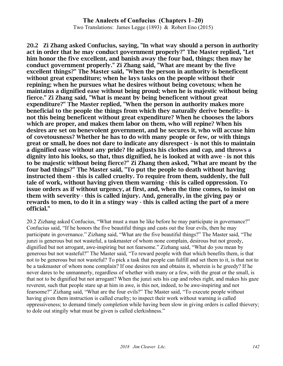#### **The Analects of Confucius (Chapters 1–20)** Two Translations: James Legge (1893) & Robert Eno (2015)

20.2 Zi Zhang asked Confucius, saying, "In what way should a person in authority act in order that he may conduct government properly?" The Master replied, "Let him honor the five excellent, and banish away the four bad, things; then may he conduct government properly." Zi Zhang said, "What are meant by the five excellent things?" The Master said, "When the person in authority is beneficent without great expenditure; when he lays tasks on the people without their repining; when he pursues what he desires without being covetous; when he maintains a dignified ease without being proud; when he is majestic without being fierce." Zi Zhang said, "What is meant by being beneficent without great expenditure?" The Master replied, "When the person in authority makes more beneficial to the people the things from which they naturally derive benefit;-- is not this being beneficent without great expenditure? When he chooses the labors which are proper, and makes them labor on them, who will repine? When his desires are set on benevolent government, and he secures it, who will accuse him of covetousness? Whether he has to do with many people or few, or with things great or small, he does not dare to indicate any disrespect - is not this to maintain a dignified ease without any pride? He adjusts his clothes and cap, and throws a dignity into his looks, so that, thus dignified, he is looked at with awe - is not this to be majestic without being fierce?" Zi Zhang then asked, "What are meant by the four bad things?" The Master said, "To put the people to death without having instructed them - this is called cruelty. To require from them, suddenly, the full tale of work, without having given them warning - this is called oppression. To issue orders as if without urgency, at first, and, when the time comes, to insist on them with severity - this is called injury. And, generally, in the giving pay or rewards to men, to do it in a stingy way - this is called acting the part of a mere official."

20.2 Zizhang asked Confucius, "What must a man be like before he may participate in governance?" Confucius said, "If he honors the five beautiful things and casts out the four evils, then he may participate in governance." Zizhang said, "What are the five beautiful things?" The Master said, "The junzi is generous but not wasteful, a taskmaster of whom none complain, desirous but not greedy, dignified but not arrogant, awe-inspiring but not fearsome." Zizhang said, "What do you mean by generous but not wasteful?" The Master said, "To reward people with that which benefits them, is that not to be generous but not wasteful? To pick a task that people can fulfill and set them to it, is that not to be a taskmaster of whom none complain? If one desires ren and obtains it, wherein is he greedy? If he never dares to be unmannerly, regardless of whether with many or a few, with the great or the small, is that not to be dignified but not arrogant? When the junzi sets his cap and robes right, and makes his gaze reverent, such that people stare up at him in awe, is this not, indeed, to be awe-inspiring and not fearsome?" Zizhang said, "What are the four evils?" The Master said, "To execute people without having given them instruction is called cruelty; to inspect their work without warning is called oppressiveness; to demand timely completion while having been slow in giving orders is called thievery; to dole out stingily what must be given is called clerkishness."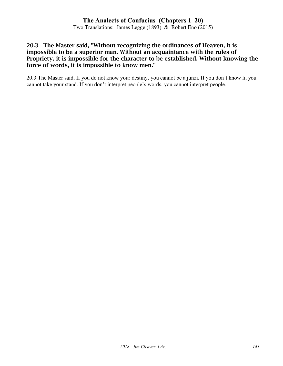Two Translations: James Legge (1893) & Robert Eno (2015)

#### 20.3 The Master said, "Without recognizing the ordinances of Heaven, it is impossible to be a superior man. Without an acquaintance with the rules of Propriety, it is impossible for the character to be established. Without knowing the force of words, it is impossible to know men."

20.3 The Master said, If you do not know your destiny, you cannot be a junzi. If you don't know li, you cannot take your stand. If you don't interpret people's words, you cannot interpret people.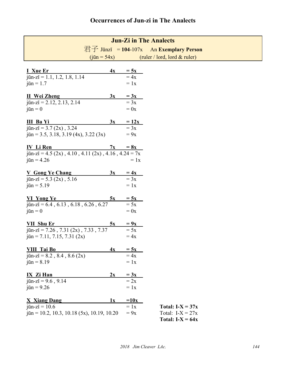| <b>Jun-Zi in The Analects</b>                                                                                                                         |                                                                                              |
|-------------------------------------------------------------------------------------------------------------------------------------------------------|----------------------------------------------------------------------------------------------|
|                                                                                                                                                       | 君子 Jūnzǐ = 104-107x An Exemplary Person                                                      |
| $(i\bar{u}n = 54x)$                                                                                                                                   | (ruler / lord, lord $&$ ruler)                                                               |
| <b>I</b> Xue Er<br>4x<br>$j\bar{u}$ n-zi = 1.1, 1.2, 1.8, 1.14<br>$\overline{\text{j}}\overline{\text{u}}\overline{\text{n}}$ = 1.7                   | $\frac{5x}{x} = 4x$<br>$= 1x$                                                                |
| <b>II</b> Wei Zheng<br>3x<br>$j\bar{u}n-zi = 2.12, 2.13, 2.14$<br>$\overline{\text{j}}\overline{\text{u}}\overline{\text{n}}=0$                       | $\frac{3x}{x} = 3x$<br>$= 0x$                                                                |
| III Ba Yi<br>3x<br>$\bar{u}$ n-zi = 3.7 (2x), 3.24<br>$\overline{u}$ = 3.5, 3.18, 3.19 (4x), 3.22 (3x)                                                | $= 12x$<br>$= 3x$<br>$= 9x$                                                                  |
| <b>IV</b> Li Ren<br>jūn-zi = 4.5 (2x), 4.10, 4.11 (2x), 4.16, $4.\overline{24} = 7x$<br>$jūn = 4.26$                                                  | $7x = 8x$<br>$= 1x$                                                                          |
| <b>V</b> Gong Ye Chang<br>3x<br>$\bar{u}$ n-zi = 5.3 (2x), 5.16<br>$jūn = 5.19$                                                                       | $=4x$<br>$\overline{=3x}$<br>$= 1x$                                                          |
| <b>VI</b> Yong Ye<br><u>5x</u><br>jūn-zǐ = $6.4$ , $6.13$ , $6.18$ , $6.26$ , $6.27$<br>$\overline{\text{j}}\overline{\text{u}}\overline{\text{n}}=0$ | $\frac{5x}{5x} = 5x$<br>$= 0x$                                                               |
| <b>VII</b> Shu Er<br>5x<br>$j\bar{u}$ n-zi = 7.26, 7.31 (2x), 7.33, 7.37<br>$\overline{\text{j}}\overline{\text{u}}\text{n} = 7.11, 7.15, 7.31 (2x)$  | $\frac{9x}{5x}$<br>$=4x$                                                                     |
| VIII Tai Bo<br>4x<br>$j\bar{u}$ n-zi = 8.2, 8.4, 8.6 (2x)<br>$jūn = 8.19$                                                                             | $= 5x$<br>$=4x$<br>$= 1x$                                                                    |
| <b>IX Zi Han</b><br>2x<br>$j\bar{u}n-zi = 9.6, 9.14$<br>$j\bar{u}n = 9.26$                                                                            | $= 3x$<br>$= 2x$<br>$= 1x$                                                                   |
| <b>X</b> Xiang Dang<br>1x<br>$\bar{u}$ n-zi = 10.6<br>$jn = 10.2, 10.3, 10.18 (5x), 10.19, 10.20$                                                     | $=10x$<br>$= 1x$<br>Total: $I-X = 37x$<br>$= 9x$<br>Total: $I-X = 27x$<br>Total: $I-X = 64x$ |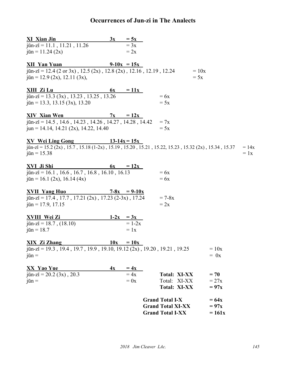# **Occurrences of Jun-zi in The Analects**

| <b>XI Xian Jin</b><br>3x                                                                                     | $= 5x$             |                          |          |         |
|--------------------------------------------------------------------------------------------------------------|--------------------|--------------------------|----------|---------|
| $j\bar{u}n-zi = 11.1$ , 11.21, 11.26                                                                         | $= 3x$             |                          |          |         |
| $\bar{u}$ = 11.24 (2x)                                                                                       | $= 2x$             |                          |          |         |
|                                                                                                              |                    |                          |          |         |
| <b>XII Yan Yuan</b><br>$j\bar{u}$ n-zi = 12.4 (2 or 3x), 12.5 (2x), 12.8 (2x), 12.16, 12.19, 12.24           | $9-10x = 15x$      | $= 10x$                  |          |         |
| $\bar{u}$ = 12.9 (2x), 12.11 (3x),                                                                           |                    | $= 5x$                   |          |         |
|                                                                                                              |                    |                          |          |         |
| XIII Zi Lu                                                                                                   | $6x = 11x$         |                          |          |         |
| $\overline{u}$ a -zi = 13.3 (3x), 13.23, 13.25, 13.26                                                        |                    | $= 6x$                   |          |         |
| $\overline{u}$ = 13.3, 13.15 (3x), 13.20                                                                     |                    | $= 5x$                   |          |         |
|                                                                                                              |                    |                          |          |         |
| <b>XIV Xian Wen</b>                                                                                          | $7x = 12x$         |                          |          |         |
| $j\bar{u}n-zi = 14.5$ , 14.6, 14.23, 14.26, 14.27, 14.28, 14.42                                              |                    | $= 7x$                   |          |         |
| $jun = 14.14, 14.21 (2x), 14.22, 14.40$                                                                      |                    | $= 5x$                   |          |         |
| <b>XV</b> Wei Ling Gong                                                                                      | $13-14x = 15x$     |                          |          |         |
| $j\bar{u}$ n-zi = 15.2 (2x), 15.7, 15.18 (1-2x), 15.19, 15.20, 15.21, 15.22, 15.23, 15.32 (2x), 15.34, 15.37 |                    |                          |          | $= 14x$ |
| $jūn = 15.38$                                                                                                |                    |                          |          | $= 1x$  |
|                                                                                                              |                    |                          |          |         |
| XVI Ji Shi                                                                                                   | $6x = 12x$         |                          |          |         |
| $\overline{u}$ an-zi = 16.1, 16.6, 16.7, 16.8, 16.10, 16.13                                                  |                    | $=6x$                    |          |         |
| $\bar{u}$ = 16.1 (2x), 16.14 (4x)                                                                            |                    | $= 6x$                   |          |         |
| <b>XVII Yang Huo</b>                                                                                         | $7 - 8x = 9 - 10x$ |                          |          |         |
| $j\bar{u}$ n-zi = 17.4, 17.7, 17.21 (2x), 17.23 (2-3x), 17.24                                                |                    | $= 7 - 8x$               |          |         |
| $jn = 17.9, 17.15$                                                                                           |                    | $= 2x$                   |          |         |
|                                                                                                              |                    |                          |          |         |
| <b>XVIII Wei Zi</b>                                                                                          | $1-2x = 3x$        |                          |          |         |
| $\bar{u}$ n-zi = 18.7, (18.10)                                                                               | $= 1-2x$           |                          |          |         |
| $jūn = 18.7$                                                                                                 | $= 1x$             |                          |          |         |
|                                                                                                              |                    |                          |          |         |
| <b>XIX Zi Zhang</b><br>$j\bar{u}$ n-zi = 19.3, 19.4, 19.7, 19.9, 19.10, 19.12 (2x), 19.20, 19.21, 19.25      | $10x = 10x$        |                          | $=10x$   |         |
| $\overline{\text{j}}\overline{\text{u}}\text{n}$ =                                                           |                    |                          | $= 0x$   |         |
|                                                                                                              |                    |                          |          |         |
| XX Yao Yue<br>4x                                                                                             | $=4x$              |                          |          |         |
| $j\bar{u}n-zi = 20.2$ (3x), 20.3                                                                             | $=4x$              | <b>Total: XI-XX</b>      | $= 70$   |         |
| $\overline{\text{j}}\overline{\text{u}}\text{n}$ =                                                           | $= 0x$             | Total: XI-XX             | $=27x$   |         |
|                                                                                                              |                    | <b>Total: XI-XX</b>      | $= 97x$  |         |
|                                                                                                              |                    | <b>Grand Total I-X</b>   | $= 64x$  |         |
|                                                                                                              |                    | <b>Grand Total XI-XX</b> | $= 97x$  |         |
|                                                                                                              |                    | <b>Grand Total I-XX</b>  | $= 161x$ |         |
|                                                                                                              |                    |                          |          |         |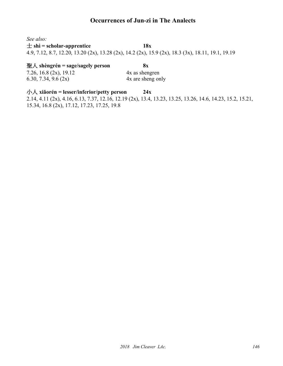## **Occurrences of Jun-zi in The Analects**

*See also:*

#### $\pm$  shì = scholar-apprentice **18x**

4.9, 7.12, 8.7, 12.20, 13.20 (2x), 13.28 (2x), 14.2 (2x), 15.9 (2x), 18.3 (3x), 18.11, 19.1, 19.19

#### 聖人 **shèngrén = sage/sagely person 8x**

7.26, 16.8 (2x), 19.12 4x as shengren 6.30, 7.34, 9.6 (2x) 4x are sheng only

## 小人 **xiǎorén = lesser/inferior/petty person 24x**

2.14, 4.11 (2x), 4.16, 6.13, 7.37, 12.16, 12.19 (2x), 13.4, 13.23, 13.25, 13.26, 14.6, 14.23, 15.2, 15.21, 15.34, 16.8 (2x), 17.12, 17.23, 17.25, 19.8